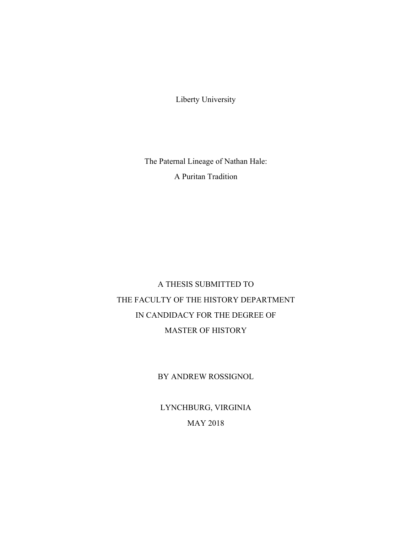Liberty University

The Paternal Lineage of Nathan Hale: A Puritan Tradition

# A THESIS SUBMITTED TO THE FACULTY OF THE HISTORY DEPARTMENT IN CANDIDACY FOR THE DEGREE OF MASTER OF HISTORY

BY ANDREW ROSSIGNOL

LYNCHBURG, VIRGINIA MAY 2018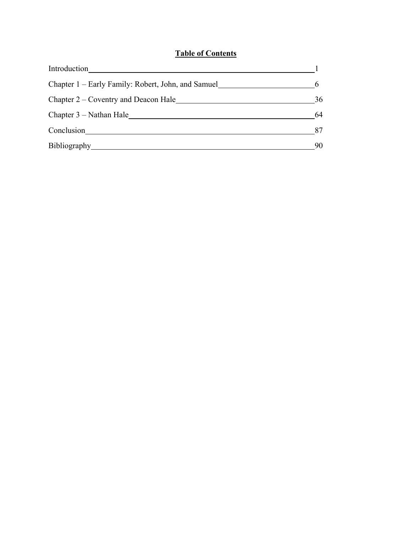# **Table of Contents**

| Introduction                                       |    |
|----------------------------------------------------|----|
| Chapter 1 – Early Family: Robert, John, and Samuel |    |
| Chapter $2$ – Coventry and Deacon Hale             | 36 |
| Chapter $3$ – Nathan Hale                          | 64 |
| Conclusion                                         | 87 |
| Bibliography http://www.com/2010/01/2010           | 90 |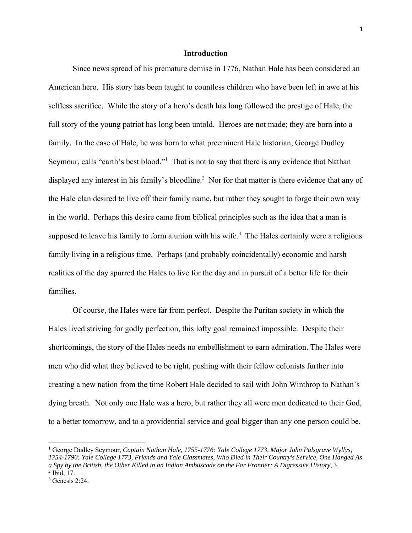## **Introduction**

Since news spread of his premature demise in 1776, Nathan Hale has been considered an American hero. His story has been taught to countless children who have been left in awe at his selfless sacrifice. While the story of a hero's death has long followed the prestige of Hale, the full story of the young patriot has long been untold. Heroes are not made; they are born into a family. In the case of Hale, he was born to what preeminent Hale historian, George Dudley Seymour, calls "earth's best blood."<sup>1</sup> That is not to say that there is any evidence that Nathan displayed any interest in his family's bloodline.<sup>2</sup> Nor for that matter is there evidence that any of the Hale clan desired to live off their family name, but rather they sought to forge their own way in the world. Perhaps this desire came from biblical principles such as the idea that a man is supposed to leave his family to form a union with his wife. $3$  The Hales certainly were a religious family living in a religious time. Perhaps (and probably coincidentally) economic and harsh realities of the day spurred the Hales to live for the day and in pursuit of a better life for their families.

Of course, the Hales were far from perfect. Despite the Puritan society in which the Hales lived striving for godly perfection, this lofty goal remained impossible. Despite their shortcomings, the story of the Hales needs no embellishment to earn admiration. The Hales were men who did what they believed to be right, pushing with their fellow colonists further into creating a new nation from the time Robert Hale decided to sail with John Winthrop to Nathan's dying breath. Not only one Hale was a hero, but rather they all were men dedicated to their God, to a better tomorrow, and to a providential service and goal bigger than any one person could be.

<sup>&</sup>lt;sup>1</sup> George Dudley Seymour, *Captain Nathan Hale, 1755-1776: Yale College 1773, Major John Palsgrave Wyllys, 1754-1790: Yale College 1773, Friends and Yale Classmates, Who Died in Their Country's Service, One Hanged As a Spy by the British, the Other Killed in an Indian Ambuscade on the Far Frontier: A Digressive History*, 3. 2  $<sup>2</sup>$  Ibid, 17.</sup>

 $3$  Genesis 2:24.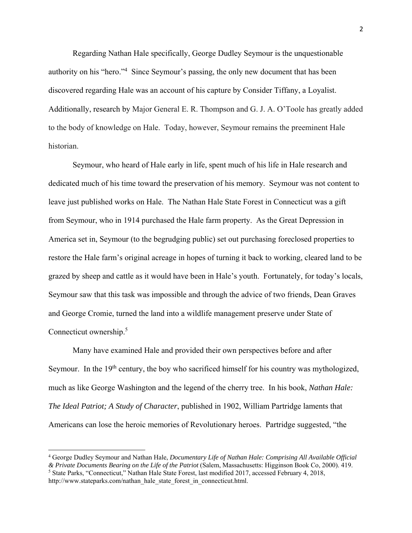Regarding Nathan Hale specifically, George Dudley Seymour is the unquestionable authority on his "hero."<sup>4</sup> Since Seymour's passing, the only new document that has been discovered regarding Hale was an account of his capture by Consider Tiffany, a Loyalist. Additionally, research by Major General E. R. Thompson and G. J. A. O'Toole has greatly added to the body of knowledge on Hale. Today, however, Seymour remains the preeminent Hale historian.

Seymour, who heard of Hale early in life, spent much of his life in Hale research and dedicated much of his time toward the preservation of his memory. Seymour was not content to leave just published works on Hale. The Nathan Hale State Forest in Connecticut was a gift from Seymour, who in 1914 purchased the Hale farm property. As the Great Depression in America set in, Seymour (to the begrudging public) set out purchasing foreclosed properties to restore the Hale farm's original acreage in hopes of turning it back to working, cleared land to be grazed by sheep and cattle as it would have been in Hale's youth. Fortunately, for today's locals, Seymour saw that this task was impossible and through the advice of two friends, Dean Graves and George Cromie, turned the land into a wildlife management preserve under State of Connecticut ownership.<sup>5</sup>

Many have examined Hale and provided their own perspectives before and after Seymour. In the  $19<sup>th</sup>$  century, the boy who sacrificed himself for his country was mythologized, much as like George Washington and the legend of the cherry tree. In his book, *Nathan Hale: The Ideal Patriot; A Study of Character*, published in 1902, William Partridge laments that Americans can lose the heroic memories of Revolutionary heroes. Partridge suggested, "the

<sup>4</sup> George Dudley Seymour and Nathan Hale, *Documentary Life of Nathan Hale: Comprising All Available Official & Private Documents Bearing on the Life of the Patriot* (Salem, Massachusetts: Higginson Book Co, 2000). 419. 5 State Parks, "Connecticut," Nathan Hale State Forest, last modified 2017, accessed February 4, 2018, http://www.stateparks.com/nathan\_hale\_state\_forest\_in\_connecticut.html.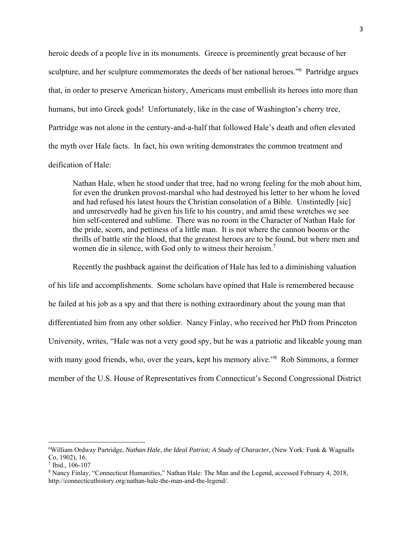heroic deeds of a people live in its monuments. Greece is preeminently great because of her sculpture, and her sculpture commemorates the deeds of her national heroes."<sup>6</sup> Partridge argues that, in order to preserve American history, Americans must embellish its heroes into more than humans, but into Greek gods! Unfortunately, like in the case of Washington's cherry tree, Partridge was not alone in the century-and-a-half that followed Hale's death and often elevated the myth over Hale facts. In fact, his own writing demonstrates the common treatment and deification of Hale:

Nathan Hale, when he stood under that tree, had no wrong feeling for the mob about him, for even the drunken provost-marshal who had destroyed his letter to her whom he loved and had refused his latest hours the Christian consolation of a Bible. Unstintedly [sic] and unreservedly had he given his life to his country, and amid these wretches we see him self-centered and sublime. There was no room in the Character of Nathan Hale for the pride, scorn, and pettiness of a little man. It is not where the cannon booms or the thrills of battle stir the blood, that the greatest heroes are to be found, but where men and women die in silence, with God only to witness their heroism.<sup>7</sup>

Recently the pushback against the deification of Hale has led to a diminishing valuation of his life and accomplishments. Some scholars have opined that Hale is remembered because he failed at his job as a spy and that there is nothing extraordinary about the young man that differentiated him from any other soldier. Nancy Finlay, who received her PhD from Princeton University, writes, "Hale was not a very good spy, but he was a patriotic and likeable young man with many good friends, who, over the years, kept his memory alive."<sup>8</sup> Rob Simmons, a former member of the U.S. House of Representatives from Connecticut's Second Congressional District

<sup>6</sup> William Ordway Partridge, *Nathan Hale, the Ideal Patriot; A Study of Character*, (New York: Funk & Wagnalls Co, 1902), 16.

<sup>7</sup> Ibid., 106-107

<sup>8</sup> Nancy Finlay, "Connecticut Humanities," Nathan Hale: The Man and the Legend, accessed February 4, 2018, http://connecticuthistory.org/nathan-hale-the-man-and-the-legend/.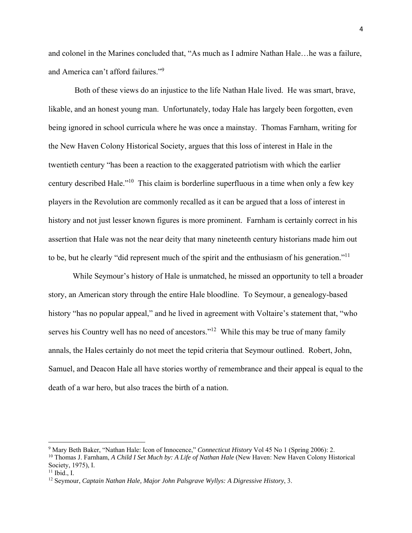and colonel in the Marines concluded that, "As much as I admire Nathan Hale…he was a failure, and America can't afford failures."<sup>9</sup>

Both of these views do an injustice to the life Nathan Hale lived. He was smart, brave, likable, and an honest young man. Unfortunately, today Hale has largely been forgotten, even being ignored in school curricula where he was once a mainstay. Thomas Farnham, writing for the New Haven Colony Historical Society, argues that this loss of interest in Hale in the twentieth century "has been a reaction to the exaggerated patriotism with which the earlier century described Hale."10 This claim is borderline superfluous in a time when only a few key players in the Revolution are commonly recalled as it can be argued that a loss of interest in history and not just lesser known figures is more prominent. Farnham is certainly correct in his assertion that Hale was not the near deity that many nineteenth century historians made him out to be, but he clearly "did represent much of the spirit and the enthusiasm of his generation."11

While Seymour's history of Hale is unmatched, he missed an opportunity to tell a broader story, an American story through the entire Hale bloodline. To Seymour, a genealogy-based history "has no popular appeal," and he lived in agreement with Voltaire's statement that, "who serves his Country well has no need of ancestors."<sup>12</sup> While this may be true of many family annals, the Hales certainly do not meet the tepid criteria that Seymour outlined. Robert, John, Samuel, and Deacon Hale all have stories worthy of remembrance and their appeal is equal to the death of a war hero, but also traces the birth of a nation.

<sup>9</sup> Mary Beth Baker, "Nathan Hale: Icon of Innocence," *Connecticut History* Vol 45 No 1 (Spring 2006): 2.

<sup>10</sup> Thomas J. Farnham, *A Child I Set Much by: A Life of Nathan Hale* (New Haven: New Haven Colony Historical Society, 1975), I.

 $11$  Ibid., I.

<sup>12</sup> Seymour, *Captain Nathan Hale, Major John Palsgrave Wyllys: A Digressive History*, 3.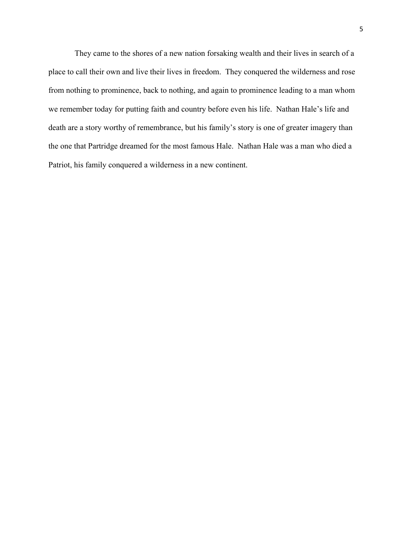They came to the shores of a new nation forsaking wealth and their lives in search of a place to call their own and live their lives in freedom. They conquered the wilderness and rose from nothing to prominence, back to nothing, and again to prominence leading to a man whom we remember today for putting faith and country before even his life. Nathan Hale's life and death are a story worthy of remembrance, but his family's story is one of greater imagery than the one that Partridge dreamed for the most famous Hale. Nathan Hale was a man who died a Patriot, his family conquered a wilderness in a new continent.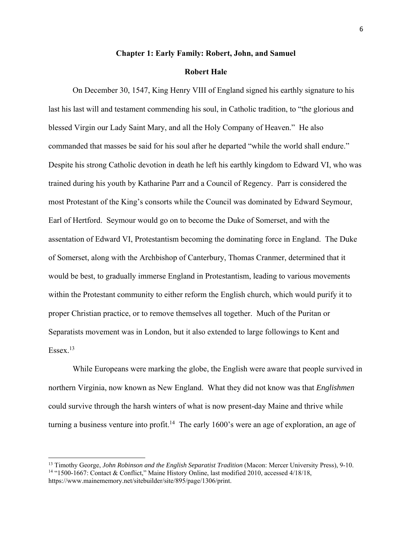#### **Chapter 1: Early Family: Robert, John, and Samuel**

#### **Robert Hale**

 On December 30, 1547, King Henry VIII of England signed his earthly signature to his last his last will and testament commending his soul, in Catholic tradition, to "the glorious and blessed Virgin our Lady Saint Mary, and all the Holy Company of Heaven." He also commanded that masses be said for his soul after he departed "while the world shall endure." Despite his strong Catholic devotion in death he left his earthly kingdom to Edward VI, who was trained during his youth by Katharine Parr and a Council of Regency. Parr is considered the most Protestant of the King's consorts while the Council was dominated by Edward Seymour, Earl of Hertford. Seymour would go on to become the Duke of Somerset, and with the assentation of Edward VI, Protestantism becoming the dominating force in England. The Duke of Somerset, along with the Archbishop of Canterbury, Thomas Cranmer, determined that it would be best, to gradually immerse England in Protestantism, leading to various movements within the Protestant community to either reform the English church, which would purify it to proper Christian practice, or to remove themselves all together. Much of the Puritan or Separatists movement was in London, but it also extended to large followings to Kent and  $Essex.<sup>13</sup>$ 

While Europeans were marking the globe, the English were aware that people survived in northern Virginia, now known as New England. What they did not know was that *Englishmen* could survive through the harsh winters of what is now present-day Maine and thrive while turning a business venture into profit.<sup>14</sup> The early 1600's were an age of exploration, an age of

<sup>&</sup>lt;sup>13</sup> Timothy George, *John Robinson and the English Separatist Tradition* (Macon: Mercer University Press), 9-10.<br><sup>14</sup> "1500-1667: Contact & Conflict," Maine History Online, last modified 2010, accessed 4/18/18, https://www.mainememory.net/sitebuilder/site/895/page/1306/print.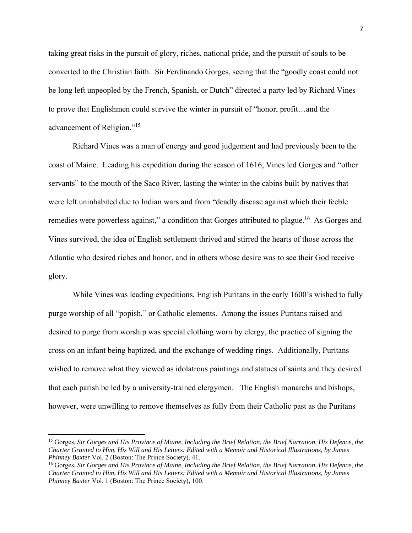taking great risks in the pursuit of glory, riches, national pride, and the pursuit of souls to be converted to the Christian faith. Sir Ferdinando Gorges, seeing that the "goodly coast could not be long left unpeopled by the French, Spanish, or Dutch" directed a party led by Richard Vines to prove that Englishmen could survive the winter in pursuit of "honor, profit…and the advancement of Religion."15

Richard Vines was a man of energy and good judgement and had previously been to the coast of Maine. Leading his expedition during the season of 1616, Vines led Gorges and "other servants" to the mouth of the Saco River, lasting the winter in the cabins built by natives that were left uninhabited due to Indian wars and from "deadly disease against which their feeble remedies were powerless against," a condition that Gorges attributed to plague.<sup>16</sup> As Gorges and Vines survived, the idea of English settlement thrived and stirred the hearts of those across the Atlantic who desired riches and honor, and in others whose desire was to see their God receive glory.

While Vines was leading expeditions, English Puritans in the early 1600's wished to fully purge worship of all "popish," or Catholic elements. Among the issues Puritans raised and desired to purge from worship was special clothing worn by clergy, the practice of signing the cross on an infant being baptized, and the exchange of wedding rings. Additionally, Puritans wished to remove what they viewed as idolatrous paintings and statues of saints and they desired that each parish be led by a university-trained clergymen. The English monarchs and bishops, however, were unwilling to remove themselves as fully from their Catholic past as the Puritans

<sup>15</sup> Gorges, *Sir Gorges and His Province of Maine, Including the Brief Relation, the Brief Narration, His Defence, the Charter Granted to Him, His Will and His Letters: Edited with a Memoir and Historical Illustrations, by James Phinney Baxter* Vol. 2 (Boston: The Prince Society), 41.

<sup>16</sup> Gorges, *Sir Gorges and His Province of Maine, Including the Brief Relation, the Brief Narration, His Defence, the Charter Granted to Him, His Will and His Letters: Edited with a Memoir and Historical Illustrations, by James Phinney Baxter* Vol. 1 (Boston: The Prince Society), 100.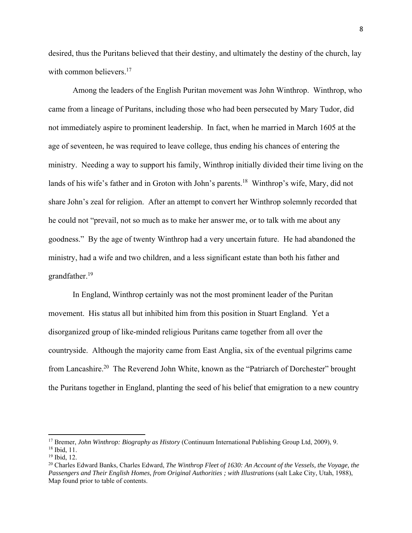desired, thus the Puritans believed that their destiny, and ultimately the destiny of the church, lay with common believers.<sup>17</sup>

Among the leaders of the English Puritan movement was John Winthrop. Winthrop, who came from a lineage of Puritans, including those who had been persecuted by Mary Tudor, did not immediately aspire to prominent leadership. In fact, when he married in March 1605 at the age of seventeen, he was required to leave college, thus ending his chances of entering the ministry. Needing a way to support his family, Winthrop initially divided their time living on the lands of his wife's father and in Groton with John's parents.<sup>18</sup> Winthrop's wife, Mary, did not share John's zeal for religion. After an attempt to convert her Winthrop solemnly recorded that he could not "prevail, not so much as to make her answer me, or to talk with me about any goodness." By the age of twenty Winthrop had a very uncertain future. He had abandoned the ministry, had a wife and two children, and a less significant estate than both his father and grandfather.19

In England, Winthrop certainly was not the most prominent leader of the Puritan movement. His status all but inhibited him from this position in Stuart England. Yet a disorganized group of like-minded religious Puritans came together from all over the countryside. Although the majority came from East Anglia, six of the eventual pilgrims came from Lancashire.20 The Reverend John White, known as the "Patriarch of Dorchester" brought the Puritans together in England, planting the seed of his belief that emigration to a new country

<sup>17</sup> Bremer, *John Winthrop: Biography as History* (Continuum International Publishing Group Ltd, 2009), 9. 18 Ibid, 11.

<sup>19</sup> Ibid, 12.

<sup>20</sup> Charles Edward Banks, Charles Edward, *The Winthrop Fleet of 1630: An Account of the Vessels, the Voyage, the Passengers and Their English Homes, from Original Authorities ; with Illustrations* (salt Lake City, Utah, 1988), Map found prior to table of contents.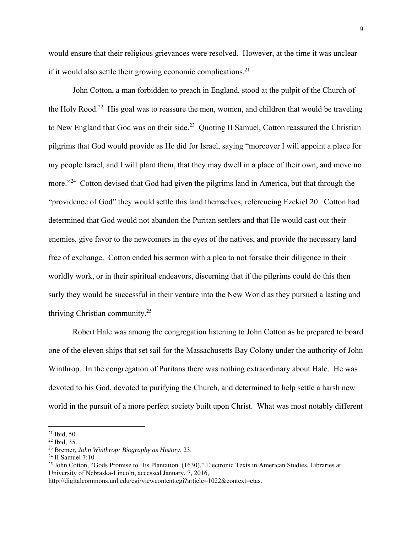would ensure that their religious grievances were resolved. However, at the time it was unclear if it would also settle their growing economic complications. $2<sup>1</sup>$ 

John Cotton, a man forbidden to preach in England, stood at the pulpit of the Church of the Holy Rood.<sup>22</sup> His goal was to reassure the men, women, and children that would be traveling to New England that God was on their side.<sup>23</sup> Quoting II Samuel, Cotton reassured the Christian pilgrims that God would provide as He did for Israel, saying "moreover I will appoint a place for my people Israel, and I will plant them, that they may dwell in a place of their own, and move no more."<sup>24</sup> Cotton devised that God had given the pilgrims land in America, but that through the "providence of God" they would settle this land themselves, referencing Ezekiel 20. Cotton had determined that God would not abandon the Puritan settlers and that He would cast out their enemies, give favor to the newcomers in the eyes of the natives, and provide the necessary land free of exchange. Cotton ended his sermon with a plea to not forsake their diligence in their worldly work, or in their spiritual endeavors, discerning that if the pilgrims could do this then surly they would be successful in their venture into the New World as they pursued a lasting and thriving Christian community.25

Robert Hale was among the congregation listening to John Cotton as he prepared to board one of the eleven ships that set sail for the Massachusetts Bay Colony under the authority of John Winthrop. In the congregation of Puritans there was nothing extraordinary about Hale. He was devoted to his God, devoted to purifying the Church, and determined to help settle a harsh new world in the pursuit of a more perfect society built upon Christ. What was most notably different

<sup>21</sup> Ibid, 50.

<sup>22</sup> Ibid, 35.

<sup>23</sup> Bremer, *John Winthrop: Biography as History*, 23. 24 II Samuel 7:10

<sup>&</sup>lt;sup>25</sup> John Cotton, "Gods Promise to His Plantation (1630)," Electronic Texts in American Studies, Libraries at University of Nebraska-Lincoln, accessed January, 7, 2016,

http://digitalcommons.unl.edu/cgi/viewcontent.cgi?article=1022&context=etas.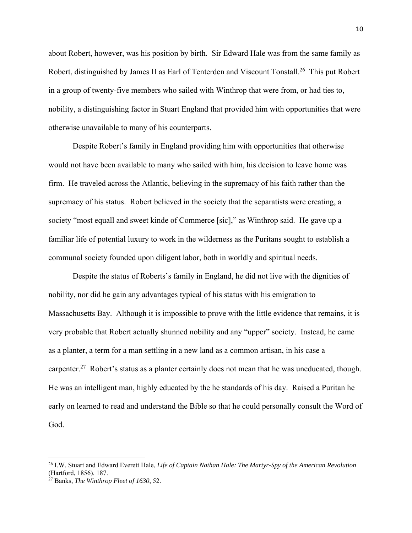about Robert, however, was his position by birth. Sir Edward Hale was from the same family as Robert, distinguished by James II as Earl of Tenterden and Viscount Tonstall.<sup>26</sup> This put Robert in a group of twenty-five members who sailed with Winthrop that were from, or had ties to, nobility, a distinguishing factor in Stuart England that provided him with opportunities that were otherwise unavailable to many of his counterparts.

Despite Robert's family in England providing him with opportunities that otherwise would not have been available to many who sailed with him, his decision to leave home was firm. He traveled across the Atlantic, believing in the supremacy of his faith rather than the supremacy of his status. Robert believed in the society that the separatists were creating, a society "most equall and sweet kinde of Commerce [sic]," as Winthrop said. He gave up a familiar life of potential luxury to work in the wilderness as the Puritans sought to establish a communal society founded upon diligent labor, both in worldly and spiritual needs.

Despite the status of Roberts's family in England, he did not live with the dignities of nobility, nor did he gain any advantages typical of his status with his emigration to Massachusetts Bay. Although it is impossible to prove with the little evidence that remains, it is very probable that Robert actually shunned nobility and any "upper" society. Instead, he came as a planter, a term for a man settling in a new land as a common artisan, in his case a carpenter.<sup>27</sup> Robert's status as a planter certainly does not mean that he was uneducated, though. He was an intelligent man, highly educated by the he standards of his day. Raised a Puritan he early on learned to read and understand the Bible so that he could personally consult the Word of God.

<sup>26</sup> I.W. Stuart and Edward Everett Hale, *Life of Captain Nathan Hale: The Martyr-Spy of the American Revolution* (Hartford, 1856). 187.

<sup>27</sup> Banks, *The Winthrop Fleet of 1630*, 52.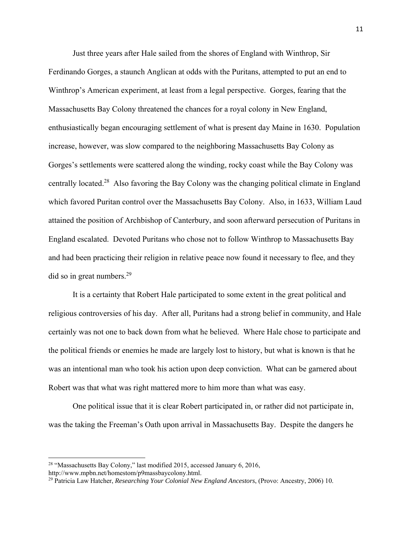Just three years after Hale sailed from the shores of England with Winthrop, Sir Ferdinando Gorges, a staunch Anglican at odds with the Puritans, attempted to put an end to Winthrop's American experiment, at least from a legal perspective. Gorges, fearing that the Massachusetts Bay Colony threatened the chances for a royal colony in New England, enthusiastically began encouraging settlement of what is present day Maine in 1630. Population increase, however, was slow compared to the neighboring Massachusetts Bay Colony as Gorges's settlements were scattered along the winding, rocky coast while the Bay Colony was centrally located.28 Also favoring the Bay Colony was the changing political climate in England which favored Puritan control over the Massachusetts Bay Colony. Also, in 1633, William Laud attained the position of Archbishop of Canterbury, and soon afterward persecution of Puritans in England escalated. Devoted Puritans who chose not to follow Winthrop to Massachusetts Bay and had been practicing their religion in relative peace now found it necessary to flee, and they did so in great numbers.<sup>29</sup>

It is a certainty that Robert Hale participated to some extent in the great political and religious controversies of his day. After all, Puritans had a strong belief in community, and Hale certainly was not one to back down from what he believed. Where Hale chose to participate and the political friends or enemies he made are largely lost to history, but what is known is that he was an intentional man who took his action upon deep conviction. What can be garnered about Robert was that what was right mattered more to him more than what was easy.

One political issue that it is clear Robert participated in, or rather did not participate in, was the taking the Freeman's Oath upon arrival in Massachusetts Bay. Despite the dangers he

<sup>28 &</sup>quot;Massachusetts Bay Colony," last modified 2015, accessed January 6, 2016, http://www.mpbn.net/homestom/p9massbaycolony.html.

<sup>29</sup> Patricia Law Hatcher, *Researching Your Colonial New England Ancestors*, (Provo: Ancestry, 2006) 10.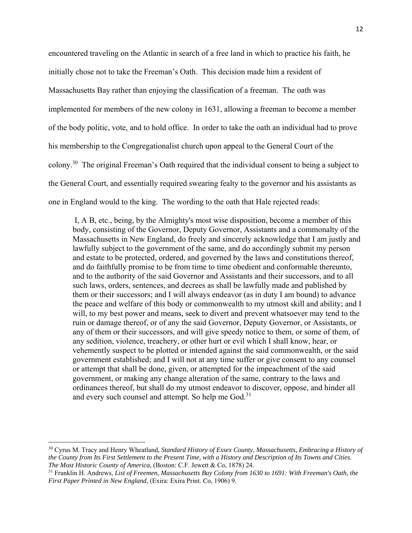encountered traveling on the Atlantic in search of a free land in which to practice his faith, he initially chose not to take the Freeman's Oath. This decision made him a resident of Massachusetts Bay rather than enjoying the classification of a freeman. The oath was implemented for members of the new colony in 1631, allowing a freeman to become a member of the body politic, vote, and to hold office. In order to take the oath an individual had to prove his membership to the Congregationalist church upon appeal to the General Court of the colony.30 The original Freeman's Oath required that the individual consent to being a subject to the General Court, and essentially required swearing fealty to the governor and his assistants as one in England would to the king. The wording to the oath that Hale rejected reads:

I, A B, etc., being, by the Almighty's most wise disposition, become a member of this body, consisting of the Governor, Deputy Governor, Assistants and a commonalty of the Massachusetts in New England, do freely and sincerely acknowledge that I am justly and lawfully subject to the government of the same, and do accordingly submit my person and estate to be protected, ordered, and governed by the laws and constitutions thereof, and do faithfully promise to be from time to time obedient and conformable thereunto, and to the authority of the said Governor and Assistants and their successors, and to all such laws, orders, sentences, and decrees as shall be lawfully made and published by them or their successors; and I will always endeavor (as in duty I am bound) to advance the peace and welfare of this body or commonwealth to my utmost skill and ability; and I will, to my best power and means, seek to divert and prevent whatsoever may tend to the ruin or damage thereof, or of any the said Governor, Deputy Governor, or Assistants, or any of them or their successors, and will give speedy notice to them, or some of them, of any sedition, violence, treachery, or other hurt or evil which I shall know, hear, or vehemently suspect to be plotted or intended against the said commonwealth, or the said government established; and I will not at any time suffer or give consent to any counsel or attempt that shall be done, given, or attempted for the impeachment of the said government, or making any change alteration of the same, contrary to the laws and ordinances thereof, but shall do my utmost endeavor to discover, oppose, and hinder all and every such counsel and attempt. So help me God.<sup>31</sup>

<sup>30</sup> Cyrus M. Tracy and Henry Wheatland, *Standard History of Essex County, Massachusetts, Embracing a History of the County from Its First Settlement to the Present Time, with a History and Description of Its Towns and Cities. The Most Historic County of America*, (Boston: C.F. Jewett & Co, 1878) 24.

<sup>31</sup> Franklin H. Andrews, *List of Freemen, Massachusetts Bay Colony from 1630 to 1691: With Freeman's Oath, the First Paper Printed in New England*, (Exira: Exira Print. Co, 1906) 9.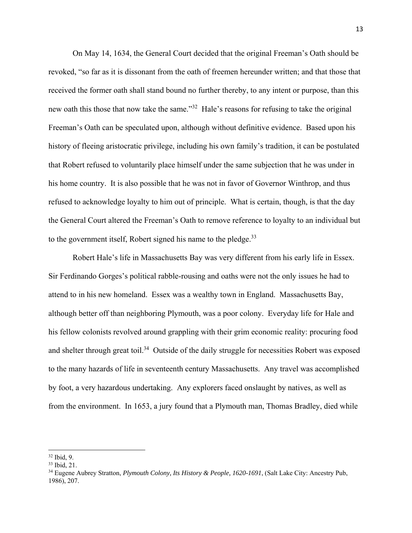On May 14, 1634, the General Court decided that the original Freeman's Oath should be revoked, "so far as it is dissonant from the oath of freemen hereunder written; and that those that received the former oath shall stand bound no further thereby, to any intent or purpose, than this new oath this those that now take the same."<sup>32</sup> Hale's reasons for refusing to take the original Freeman's Oath can be speculated upon, although without definitive evidence. Based upon his history of fleeing aristocratic privilege, including his own family's tradition, it can be postulated that Robert refused to voluntarily place himself under the same subjection that he was under in his home country. It is also possible that he was not in favor of Governor Winthrop, and thus refused to acknowledge loyalty to him out of principle. What is certain, though, is that the day the General Court altered the Freeman's Oath to remove reference to loyalty to an individual but to the government itself, Robert signed his name to the pledge. $33$ 

Robert Hale's life in Massachusetts Bay was very different from his early life in Essex. Sir Ferdinando Gorges's political rabble-rousing and oaths were not the only issues he had to attend to in his new homeland. Essex was a wealthy town in England. Massachusetts Bay, although better off than neighboring Plymouth, was a poor colony. Everyday life for Hale and his fellow colonists revolved around grappling with their grim economic reality: procuring food and shelter through great toil.<sup>34</sup> Outside of the daily struggle for necessities Robert was exposed to the many hazards of life in seventeenth century Massachusetts. Any travel was accomplished by foot, a very hazardous undertaking. Any explorers faced onslaught by natives, as well as from the environment. In 1653, a jury found that a Plymouth man, Thomas Bradley, died while

 32 Ibid, 9.

<sup>33</sup> Ibid, 21.

<sup>34</sup> Eugene Aubrey Stratton, *Plymouth Colony, Its History & People, 1620-1691*, (Salt Lake City: Ancestry Pub, 1986), 207.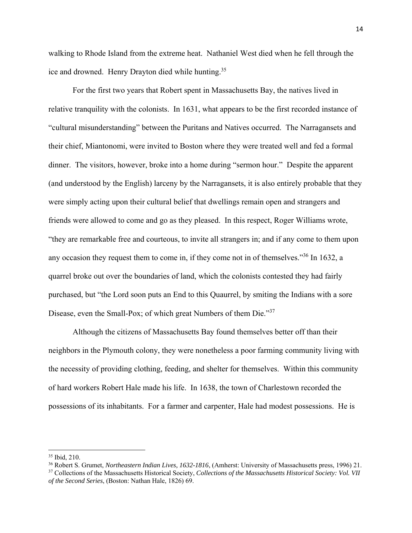walking to Rhode Island from the extreme heat. Nathaniel West died when he fell through the ice and drowned. Henry Drayton died while hunting.<sup>35</sup>

 For the first two years that Robert spent in Massachusetts Bay, the natives lived in relative tranquility with the colonists. In 1631, what appears to be the first recorded instance of "cultural misunderstanding" between the Puritans and Natives occurred. The Narragansets and their chief, Miantonomi, were invited to Boston where they were treated well and fed a formal dinner. The visitors, however, broke into a home during "sermon hour." Despite the apparent (and understood by the English) larceny by the Narragansets, it is also entirely probable that they were simply acting upon their cultural belief that dwellings remain open and strangers and friends were allowed to come and go as they pleased. In this respect, Roger Williams wrote, "they are remarkable free and courteous, to invite all strangers in; and if any come to them upon any occasion they request them to come in, if they come not in of themselves."36 In 1632, a quarrel broke out over the boundaries of land, which the colonists contested they had fairly purchased, but "the Lord soon puts an End to this Quaurrel, by smiting the Indians with a sore Disease, even the Small-Pox; of which great Numbers of them Die."<sup>37</sup>

 Although the citizens of Massachusetts Bay found themselves better off than their neighbors in the Plymouth colony, they were nonetheless a poor farming community living with the necessity of providing clothing, feeding, and shelter for themselves. Within this community of hard workers Robert Hale made his life. In 1638, the town of Charlestown recorded the possessions of its inhabitants. For a farmer and carpenter, Hale had modest possessions. He is

<sup>35</sup> Ibid, 210.

<sup>36</sup> Robert S. Grumet, *Northeastern Indian Lives, 1632-1816*, (Amherst: University of Massachusetts press, 1996) 21.

<sup>37</sup> Collections of the Massachusetts Historical Society, *Collections of the Massachusetts Historical Society: Vol. VII of the Second Series*, (Boston: Nathan Hale, 1826) 69.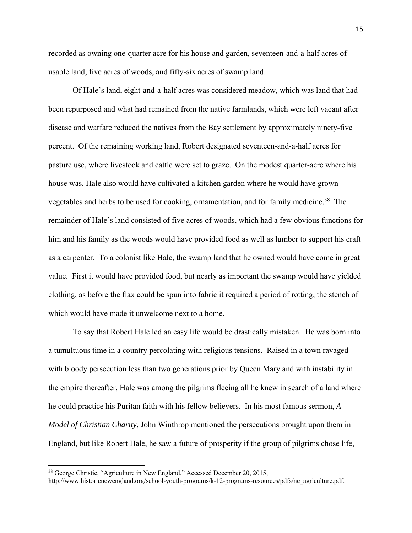recorded as owning one-quarter acre for his house and garden, seventeen-and-a-half acres of usable land, five acres of woods, and fifty-six acres of swamp land.

Of Hale's land, eight-and-a-half acres was considered meadow, which was land that had been repurposed and what had remained from the native farmlands, which were left vacant after disease and warfare reduced the natives from the Bay settlement by approximately ninety-five percent. Of the remaining working land, Robert designated seventeen-and-a-half acres for pasture use, where livestock and cattle were set to graze. On the modest quarter-acre where his house was, Hale also would have cultivated a kitchen garden where he would have grown vegetables and herbs to be used for cooking, ornamentation, and for family medicine.<sup>38</sup> The remainder of Hale's land consisted of five acres of woods, which had a few obvious functions for him and his family as the woods would have provided food as well as lumber to support his craft as a carpenter. To a colonist like Hale, the swamp land that he owned would have come in great value. First it would have provided food, but nearly as important the swamp would have yielded clothing, as before the flax could be spun into fabric it required a period of rotting, the stench of which would have made it unwelcome next to a home.

To say that Robert Hale led an easy life would be drastically mistaken. He was born into a tumultuous time in a country percolating with religious tensions. Raised in a town ravaged with bloody persecution less than two generations prior by Queen Mary and with instability in the empire thereafter, Hale was among the pilgrims fleeing all he knew in search of a land where he could practice his Puritan faith with his fellow believers. In his most famous sermon, *A Model of Christian Charity*, John Winthrop mentioned the persecutions brought upon them in England, but like Robert Hale, he saw a future of prosperity if the group of pilgrims chose life,

<sup>38</sup> George Christie, "Agriculture in New England." Accessed December 20, 2015,

http://www.historicnewengland.org/school-youth-programs/k-12-programs-resources/pdfs/ne\_agriculture.pdf.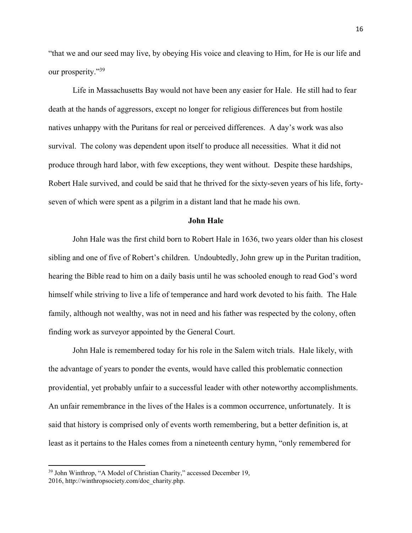"that we and our seed may live, by obeying His voice and cleaving to Him, for He is our life and our prosperity."<sup>39</sup>

Life in Massachusetts Bay would not have been any easier for Hale. He still had to fear death at the hands of aggressors, except no longer for religious differences but from hostile natives unhappy with the Puritans for real or perceived differences. A day's work was also survival. The colony was dependent upon itself to produce all necessities. What it did not produce through hard labor, with few exceptions, they went without. Despite these hardships, Robert Hale survived, and could be said that he thrived for the sixty-seven years of his life, fortyseven of which were spent as a pilgrim in a distant land that he made his own.

#### **John Hale**

John Hale was the first child born to Robert Hale in 1636, two years older than his closest sibling and one of five of Robert's children. Undoubtedly, John grew up in the Puritan tradition, hearing the Bible read to him on a daily basis until he was schooled enough to read God's word himself while striving to live a life of temperance and hard work devoted to his faith. The Hale family, although not wealthy, was not in need and his father was respected by the colony, often finding work as surveyor appointed by the General Court.

 John Hale is remembered today for his role in the Salem witch trials. Hale likely, with the advantage of years to ponder the events, would have called this problematic connection providential, yet probably unfair to a successful leader with other noteworthy accomplishments. An unfair remembrance in the lives of the Hales is a common occurrence, unfortunately. It is said that history is comprised only of events worth remembering, but a better definition is, at least as it pertains to the Hales comes from a nineteenth century hymn, "only remembered for

<sup>39</sup> John Winthrop, "A Model of Christian Charity," accessed December 19,

<sup>2016,</sup> http://winthropsociety.com/doc\_charity.php.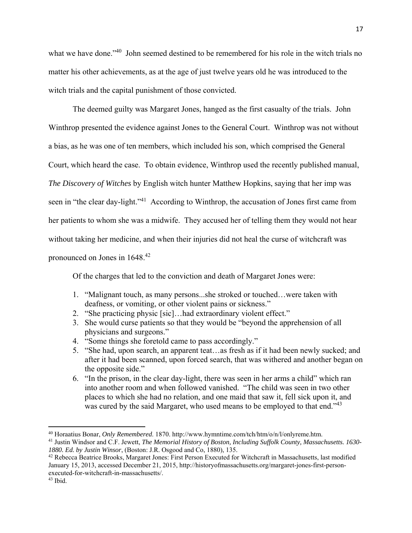what we have done."<sup>40</sup> John seemed destined to be remembered for his role in the witch trials no matter his other achievements, as at the age of just twelve years old he was introduced to the witch trials and the capital punishment of those convicted.

The deemed guilty was Margaret Jones, hanged as the first casualty of the trials. John Winthrop presented the evidence against Jones to the General Court. Winthrop was not without a bias, as he was one of ten members, which included his son, which comprised the General Court, which heard the case. To obtain evidence, Winthrop used the recently published manual, *The Discovery of Witches* by English witch hunter Matthew Hopkins, saying that her imp was seen in "the clear day-light."<sup>41</sup> According to Winthrop, the accusation of Jones first came from her patients to whom she was a midwife. They accused her of telling them they would not hear without taking her medicine, and when their injuries did not heal the curse of witchcraft was pronounced on Jones in 1648.42

Of the charges that led to the conviction and death of Margaret Jones were:

- 1. "Malignant touch, as many persons...she stroked or touched…were taken with deafness, or vomiting, or other violent pains or sickness."
- 2. "She practicing physic [sic]…had extraordinary violent effect."
- 3. She would curse patients so that they would be "beyond the apprehension of all physicians and surgeons."
- 4. "Some things she foretold came to pass accordingly."
- 5. "She had, upon search, an apparent teat…as fresh as if it had been newly sucked; and after it had been scanned, upon forced search, that was withered and another began on the opposite side."
- 6. "In the prison, in the clear day-light, there was seen in her arms a child" which ran into another room and when followed vanished. "The child was seen in two other places to which she had no relation, and one maid that saw it, fell sick upon it, and was cured by the said Margaret, who used means to be employed to that end."<sup>43</sup>

<sup>40</sup> Horaatius Bonar, *Only Remembered*. 1870. http://www.hymntime.com/tch/htm/o/n/l/onlyreme.htm. 41 Justin Windsor and C.F. Jewett, *The Memorial History of Boston, Including Suffolk County, Massachusetts. 1630-*

*<sup>1880.</sup> Ed. by Justin Winsor*, (Boston: J.R. Osgood and Co, 1880), 135.<br><sup>42</sup> Rebecca Beatrice Brooks, Margaret Jones: First Person Executed for Witchcraft in Massachusetts, last modified

January 15, 2013, accessed December 21, 2015, http://historyofmassachusetts.org/margaret-jones-first-personexecuted-for-witchcraft-in-massachusetts/.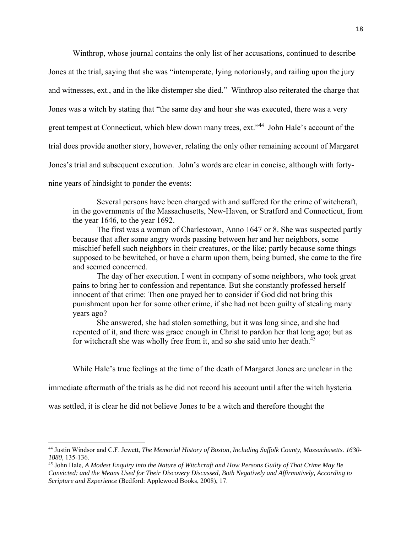Winthrop, whose journal contains the only list of her accusations, continued to describe Jones at the trial, saying that she was "intemperate, lying notoriously, and railing upon the jury and witnesses, ext., and in the like distemper she died." Winthrop also reiterated the charge that Jones was a witch by stating that "the same day and hour she was executed, there was a very great tempest at Connecticut, which blew down many trees, ext."<sup>44</sup> John Hale's account of the trial does provide another story, however, relating the only other remaining account of Margaret Jones's trial and subsequent execution. John's words are clear in concise, although with fortynine years of hindsight to ponder the events:

Several persons have been charged with and suffered for the crime of witchcraft, in the governments of the Massachusetts, New-Haven, or Stratford and Connecticut, from the year 1646, to the year 1692.

The first was a woman of Charlestown, Anno 1647 or 8. She was suspected partly because that after some angry words passing between her and her neighbors, some mischief befell such neighbors in their creatures, or the like; partly because some things supposed to be bewitched, or have a charm upon them, being burned, she came to the fire and seemed concerned.

The day of her execution. I went in company of some neighbors, who took great pains to bring her to confession and repentance. But she constantly professed herself innocent of that crime: Then one prayed her to consider if God did not bring this punishment upon her for some other crime, if she had not been guilty of stealing many years ago?

She answered, she had stolen something, but it was long since, and she had repented of it, and there was grace enough in Christ to pardon her that long ago; but as for witchcraft she was wholly free from it, and so she said unto her death.<sup>45</sup>

While Hale's true feelings at the time of the death of Margaret Jones are unclear in the

immediate aftermath of the trials as he did not record his account until after the witch hysteria

was settled, it is clear he did not believe Jones to be a witch and therefore thought the

<sup>44</sup> Justin Windsor and C.F. Jewett, *The Memorial History of Boston, Including Suffolk County, Massachusetts. 1630- 1880*, 135-136.

<sup>45</sup> John Hale, *A Modest Enquiry into the Nature of Witchcraft and How Persons Guilty of That Crime May Be Convicted: and the Means Used for Their Discovery Discussed, Both Negatively and Affirmatively, According to Scripture and Experience* (Bedford: Applewood Books, 2008), 17.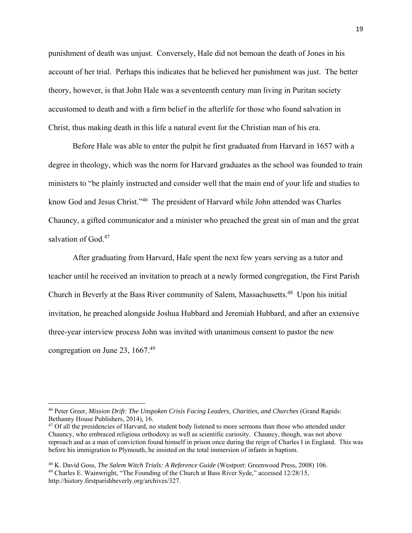punishment of death was unjust. Conversely, Hale did not bemoan the death of Jones in his account of her trial. Perhaps this indicates that he believed her punishment was just. The better theory, however, is that John Hale was a seventeenth century man living in Puritan society accustomed to death and with a firm belief in the afterlife for those who found salvation in Christ, thus making death in this life a natural event for the Christian man of his era.

Before Hale was able to enter the pulpit he first graduated from Harvard in 1657 with a degree in theology, which was the norm for Harvard graduates as the school was founded to train ministers to "be plainly instructed and consider well that the main end of your life and studies to know God and Jesus Christ."46 The president of Harvard while John attended was Charles Chauncy, a gifted communicator and a minister who preached the great sin of man and the great salvation of God.<sup>47</sup>

After graduating from Harvard, Hale spent the next few years serving as a tutor and teacher until he received an invitation to preach at a newly formed congregation, the First Parish Church in Beverly at the Bass River community of Salem, Massachusetts.48 Upon his initial invitation, he preached alongside Joshua Hubbard and Jeremiah Hubbard, and after an extensive three-year interview process John was invited with unanimous consent to pastor the new congregation on June 23, 1667.<sup>49</sup>

<sup>46</sup> Peter Greer, *Mission Drift: The Unspoken Crisis Facing Leaders, Charities, and Churches* (Grand Rapids: Bethanny House Publishers, 2014), 16.

<sup>&</sup>lt;sup>47</sup> Of all the presidencies of Harvard, no student body listened to more sermons than those who attended under Chauncy, who embraced religious orthodoxy as well as scientific curiosity. Chauncy, though, was not above reproach and as a man of conviction found himself in prison once during the reign of Charles I in England. This was before his immigration to Plymouth, he insisted on the total immersion of infants in baptism.

<sup>48</sup> K. David Goss, *The Salem Witch Trials: A Reference Guide* (Westport: Greenwood Press, 2008) 106. 49 Charles E. Wainwright, "The Founding of the Church at Bass River Syde," accessed 12/28/15, http://history.firstparishbeverly.org/archives/327.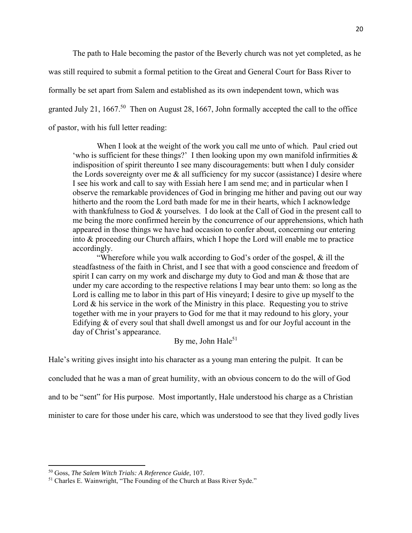The path to Hale becoming the pastor of the Beverly church was not yet completed, as he was still required to submit a formal petition to the Great and General Court for Bass River to formally be set apart from Salem and established as its own independent town, which was granted July 21,  $1667<sup>50</sup>$  Then on August 28, 1667, John formally accepted the call to the office of pastor, with his full letter reading:

When I look at the weight of the work you call me unto of which. Paul cried out 'who is sufficient for these things?' I then looking upon my own manifold infirmities & indisposition of spirit thereunto I see many discouragements: butt when I duly consider the Lords sovereignty over me  $\&$  all sufficiency for my succor (assistance) I desire where I see his work and call to say with Essiah here I am send me; and in particular when I observe the remarkable providences of God in bringing me hither and paving out our way hitherto and the room the Lord bath made for me in their hearts, which I acknowledge with thankfulness to God & yourselves. I do look at the Call of God in the present call to me being the more confirmed herein by the concurrence of our apprehensions, which hath appeared in those things we have had occasion to confer about, concerning our entering into & proceeding our Church affairs, which I hope the Lord will enable me to practice accordingly.

"Wherefore while you walk according to God's order of the gospel, & ill the steadfastness of the faith in Christ, and I see that with a good conscience and freedom of spirit I can carry on my work and discharge my duty to God and man & those that are under my care according to the respective relations I may bear unto them: so long as the Lord is calling me to labor in this part of His vineyard; I desire to give up myself to the Lord & his service in the work of the Ministry in this place. Requesting you to strive together with me in your prayers to God for me that it may redound to his glory, your Edifying & of every soul that shall dwell amongst us and for our Joyful account in the day of Christ's appearance.

By me, John Hale $51$ 

Hale's writing gives insight into his character as a young man entering the pulpit. It can be concluded that he was a man of great humility, with an obvious concern to do the will of God and to be "sent" for His purpose. Most importantly, Hale understood his charge as a Christian minister to care for those under his care, which was understood to see that they lived godly lives

<sup>50</sup> Goss, *The Salem Witch Trials: A Reference Guide,* 107.

<sup>51</sup> Charles E. Wainwright, "The Founding of the Church at Bass River Syde."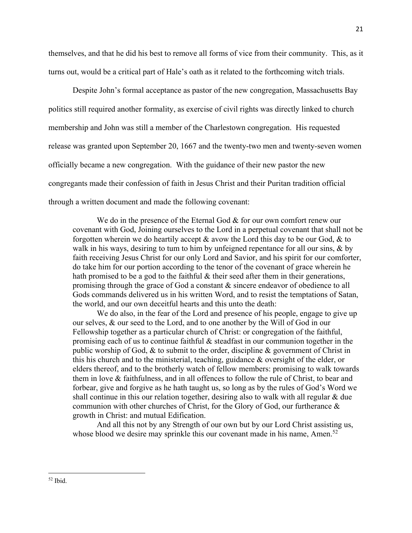themselves, and that he did his best to remove all forms of vice from their community. This, as it turns out, would be a critical part of Hale's oath as it related to the forthcoming witch trials.

Despite John's formal acceptance as pastor of the new congregation, Massachusetts Bay politics still required another formality, as exercise of civil rights was directly linked to church membership and John was still a member of the Charlestown congregation. His requested release was granted upon September 20, 1667 and the twenty-two men and twenty-seven women officially became a new congregation. With the guidance of their new pastor the new congregants made their confession of faith in Jesus Christ and their Puritan tradition official through a written document and made the following covenant:

We do in the presence of the Eternal God & for our own comfort renew our covenant with God, Joining ourselves to the Lord in a perpetual covenant that shall not be forgotten wherein we do heartily accept  $\&$  avow the Lord this day to be our God,  $\&$  to walk in his ways, desiring to tum to him by unfeigned repentance for all our sins, & by faith receiving Jesus Christ for our only Lord and Savior, and his spirit for our comforter, do take him for our portion according to the tenor of the covenant of grace wherein he hath promised to be a god to the faithful & their seed after them in their generations, promising through the grace of God a constant & sincere endeavor of obedience to all Gods commands delivered us in his written Word, and to resist the temptations of Satan, the world, and our own deceitful hearts and this unto the death:

We do also, in the fear of the Lord and presence of his people, engage to give up our selves, & our seed to the Lord, and to one another by the Will of God in our Fellowship together as a particular church of Christ: or congregation of the faithful, promising each of us to continue faithful & steadfast in our communion together in the public worship of God, & to submit to the order, discipline & government of Christ in this his church and to the ministerial, teaching, guidance & oversight of the elder, or elders thereof, and to the brotherly watch of fellow members: promising to walk towards them in love & faithfulness, and in all offences to follow the rule of Christ, to bear and forbear, give and forgive as he hath taught us, so long as by the rules of God's Word we shall continue in this our relation together, desiring also to walk with all regular & due communion with other churches of Christ, for the Glory of God, our furtherance & growth in Christ: and mutual Edification.

And all this not by any Strength of our own but by our Lord Christ assisting us, whose blood we desire may sprinkle this our covenant made in his name, Amen.<sup>52</sup>

 $52$  Ibid.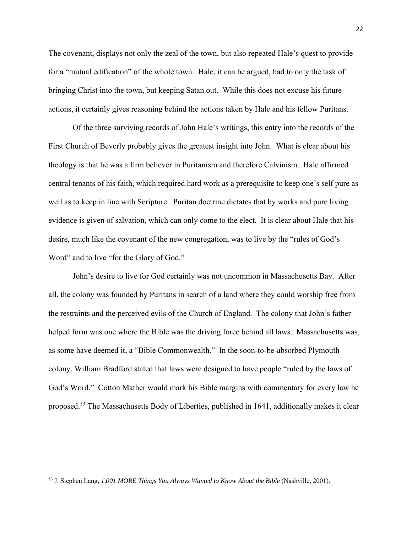The covenant, displays not only the zeal of the town, but also repeated Hale's quest to provide for a "mutual edification" of the whole town. Hale, it can be argued, had to only the task of bringing Christ into the town, but keeping Satan out. While this does not excuse his future actions, it certainly gives reasoning behind the actions taken by Hale and his fellow Puritans.

Of the three surviving records of John Hale's writings, this entry into the records of the First Church of Beverly probably gives the greatest insight into John. What is clear about his theology is that he was a firm believer in Puritanism and therefore Calvinism. Hale affirmed central tenants of his faith, which required hard work as a prerequisite to keep one's self pure as well as to keep in line with Scripture. Puritan doctrine dictates that by works and pure living evidence is given of salvation, which can only come to the elect. It is clear about Hale that his desire, much like the covenant of the new congregation, was to live by the "rules of God's Word" and to live "for the Glory of God."

John's desire to live for God certainly was not uncommon in Massachusetts Bay. After all, the colony was founded by Puritans in search of a land where they could worship free from the restraints and the perceived evils of the Church of England. The colony that John's father helped form was one where the Bible was the driving force behind all laws. Massachusetts was, as some have deemed it, a "Bible Commonwealth." In the soon-to-be-absorbed Plymouth colony, William Bradford stated that laws were designed to have people "ruled by the laws of God's Word." Cotton Mather would mark his Bible margins with commentary for every law he proposed.53 The Massachusetts Body of Liberties, published in 1641, additionally makes it clear

<sup>53</sup> J. Stephen Lang, *1,001 MORE Things You Always Wanted to Know About the Bible* (Nashville, 2001).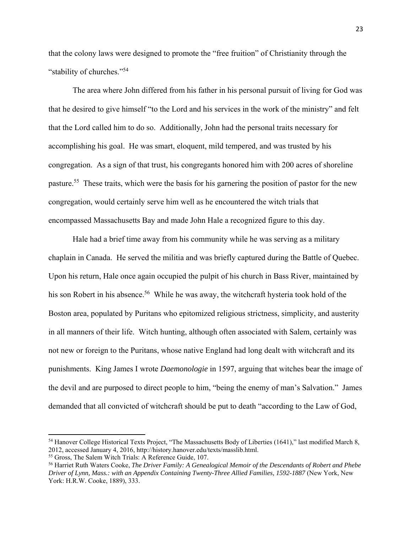that the colony laws were designed to promote the "free fruition" of Christianity through the "stability of churches."<sup>54</sup>

The area where John differed from his father in his personal pursuit of living for God was that he desired to give himself "to the Lord and his services in the work of the ministry" and felt that the Lord called him to do so. Additionally, John had the personal traits necessary for accomplishing his goal. He was smart, eloquent, mild tempered, and was trusted by his congregation. As a sign of that trust, his congregants honored him with 200 acres of shoreline pasture.<sup>55</sup> These traits, which were the basis for his garnering the position of pastor for the new congregation, would certainly serve him well as he encountered the witch trials that encompassed Massachusetts Bay and made John Hale a recognized figure to this day.

Hale had a brief time away from his community while he was serving as a military chaplain in Canada. He served the militia and was briefly captured during the Battle of Quebec. Upon his return, Hale once again occupied the pulpit of his church in Bass River, maintained by his son Robert in his absence.<sup>56</sup> While he was away, the witchcraft hysteria took hold of the Boston area, populated by Puritans who epitomized religious strictness, simplicity, and austerity in all manners of their life. Witch hunting, although often associated with Salem, certainly was not new or foreign to the Puritans, whose native England had long dealt with witchcraft and its punishments. King James I wrote *Daemonologie* in 1597, arguing that witches bear the image of the devil and are purposed to direct people to him, "being the enemy of man's Salvation." James demanded that all convicted of witchcraft should be put to death "according to the Law of God,

<sup>54</sup> Hanover College Historical Texts Project, "The Massachusetts Body of Liberties (1641)," last modified March 8, 2012, accessed January 4, 2016, http://history.hanover.edu/texts/masslib.html. 55 Gross, The Salem Witch Trials: A Reference Guide, 107.

<sup>56</sup> Harriet Ruth Waters Cooke, *The Driver Family: A Genealogical Memoir of the Descendants of Robert and Phebe Driver of Lynn, Mass.: with an Appendix Containing Twenty-Three Allied Families, 1592-1887* (New York, New York: H.R.W. Cooke, 1889), 333.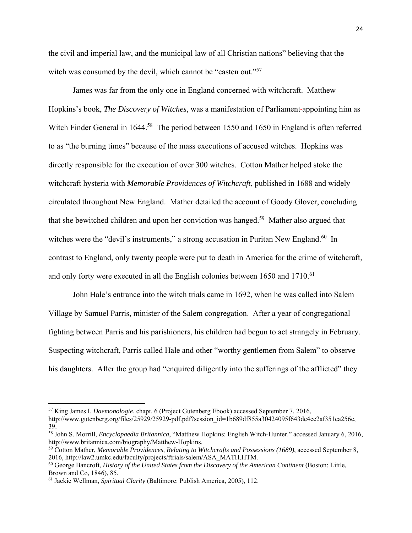the civil and imperial law, and the municipal law of all Christian nations" believing that the witch was consumed by the devil, which cannot be "casten out."<sup>57</sup>

James was far from the only one in England concerned with witchcraft. Matthew Hopkins's book, *The Discovery of Witches*, was a manifestation of Parliament appointing him as Witch Finder General in 1644.<sup>58</sup> The period between 1550 and 1650 in England is often referred to as "the burning times" because of the mass executions of accused witches. Hopkins was directly responsible for the execution of over 300 witches. Cotton Mather helped stoke the witchcraft hysteria with *Memorable Providences of Witchcraft*, published in 1688 and widely circulated throughout New England. Mather detailed the account of Goody Glover, concluding that she bewitched children and upon her conviction was hanged.<sup>59</sup> Mather also argued that witches were the "devil's instruments," a strong accusation in Puritan New England.<sup>60</sup> In contrast to England, only twenty people were put to death in America for the crime of witchcraft, and only forty were executed in all the English colonies between 1650 and 1710.<sup>61</sup>

John Hale's entrance into the witch trials came in 1692, when he was called into Salem Village by Samuel Parris, minister of the Salem congregation. After a year of congregational fighting between Parris and his parishioners, his children had begun to act strangely in February. Suspecting witchcraft, Parris called Hale and other "worthy gentlemen from Salem" to observe his daughters. After the group had "enquired diligently into the sufferings of the afflicted" they

<sup>57</sup> King James I, *Daemonologie*, chapt. 6 (Project Gutenberg Ebook) accessed September 7, 2016,

http://www.gutenberg.org/files/25929/25929-pdf.pdf?session\_id=1b689df855a30424095f643de4ee2af351ea256e, 39.

<sup>58</sup> John S. Morrill, *Encyclopaedia Britannica*, "Matthew Hopkins: English Witch-Hunter." accessed January 6, 2016, http://www.britannica.com/biography/Matthew-Hopkins.

<sup>59</sup> Cotton Mather, *Memorable Providences, Relating to Witchcrafts and Possessions (1689)*, accessed September 8, 2016, http://law2.umkc.edu/faculty/projects/ftrials/salem/ASA\_MATH.HTM.

<sup>60</sup> George Bancroft, *History of the United States from the Discovery of the American Continent* (Boston: Little, Brown and Co, 1846), 85.

<sup>61</sup> Jackie Wellman, *Spiritual Clarity* (Baltimore: Publish America, 2005), 112.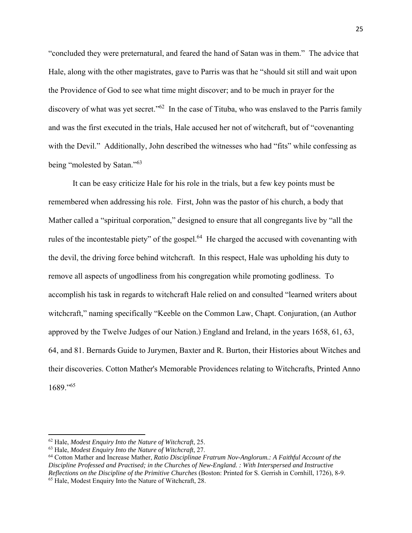"concluded they were preternatural, and feared the hand of Satan was in them." The advice that Hale, along with the other magistrates, gave to Parris was that he "should sit still and wait upon the Providence of God to see what time might discover; and to be much in prayer for the discovery of what was yet secret."<sup>62</sup> In the case of Tituba, who was enslaved to the Parris family and was the first executed in the trials, Hale accused her not of witchcraft, but of "covenanting with the Devil." Additionally, John described the witnesses who had "fits" while confessing as being "molested by Satan."<sup>63</sup>

It can be easy criticize Hale for his role in the trials, but a few key points must be remembered when addressing his role. First, John was the pastor of his church, a body that Mather called a "spiritual corporation," designed to ensure that all congregants live by "all the rules of the incontestable piety" of the gospel.<sup>64</sup> He charged the accused with covenanting with the devil, the driving force behind witchcraft. In this respect, Hale was upholding his duty to remove all aspects of ungodliness from his congregation while promoting godliness. To accomplish his task in regards to witchcraft Hale relied on and consulted "learned writers about witchcraft," naming specifically "Keeble on the Common Law, Chapt. Conjuration, (an Author approved by the Twelve Judges of our Nation.) England and Ireland, in the years 1658, 61, 63, 64, and 81. Bernards Guide to Jurymen, Baxter and R. Burton, their Histories about Witches and their discoveries. Cotton Mather's Memorable Providences relating to Witchcrafts, Printed Anno 1689."65

<sup>62</sup> Hale, *Modest Enquiry Into the Nature of Witchcraft*, 25.

<sup>63</sup> Hale, *Modest Enquiry Into the Nature of Witchcraft*, 27.

<sup>64</sup> Cotton Mather and Increase Mather, *Ratio Disciplinae Fratrum Nov-Anglorum.: A Faithful Account of the Discipline Professed and Practised; in the Churches of New-England. : With Interspersed and Instructive Reflections on the Discipline of the Primitive Churches* (Boston: Printed for S. Gerrish in Cornhill, 1726), 8-9. 65 Hale, Modest Enquiry Into the Nature of Witchcraft, 28.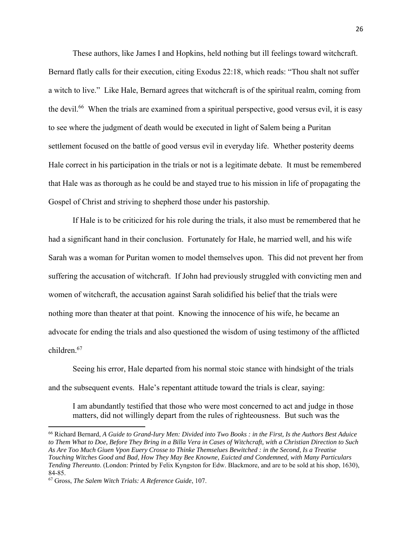These authors, like James I and Hopkins, held nothing but ill feelings toward witchcraft. Bernard flatly calls for their execution, citing Exodus 22:18, which reads: "Thou shalt not suffer a witch to live." Like Hale, Bernard agrees that witchcraft is of the spiritual realm, coming from the devil.66 When the trials are examined from a spiritual perspective, good versus evil, it is easy to see where the judgment of death would be executed in light of Salem being a Puritan settlement focused on the battle of good versus evil in everyday life. Whether posterity deems Hale correct in his participation in the trials or not is a legitimate debate. It must be remembered that Hale was as thorough as he could be and stayed true to his mission in life of propagating the Gospel of Christ and striving to shepherd those under his pastorship.

If Hale is to be criticized for his role during the trials, it also must be remembered that he had a significant hand in their conclusion. Fortunately for Hale, he married well, and his wife Sarah was a woman for Puritan women to model themselves upon. This did not prevent her from suffering the accusation of witchcraft. If John had previously struggled with convicting men and women of witchcraft, the accusation against Sarah solidified his belief that the trials were nothing more than theater at that point. Knowing the innocence of his wife, he became an advocate for ending the trials and also questioned the wisdom of using testimony of the afflicted children.67

Seeing his error, Hale departed from his normal stoic stance with hindsight of the trials and the subsequent events. Hale's repentant attitude toward the trials is clear, saying:

I am abundantly testified that those who were most concerned to act and judge in those matters, did not willingly depart from the rules of righteousness. But such was the

<sup>66</sup> Richard Bernard, *A Guide to Grand-Iury Men: Divided into Two Books : in the First, Is the Authors Best Aduice to Them What to Doe, Before They Bring in a Billa Vera in Cases of Witchcraft, with a Christian Direction to Such As Are Too Much Giuen Vpon Euery Crosse to Thinke Themselues Bewitched : in the Second, Is a Treatise Touching Witches Good and Bad, How They May Bee Knowne, Euicted and Condemned, with Many Particulars Tending Thereunto*. (London: Printed by Felix Kyngston for Edw. Blackmore, and are to be sold at his shop, 1630), 84-85.

<sup>67</sup> Gross, *The Salem Witch Trials: A Reference Guide*, 107.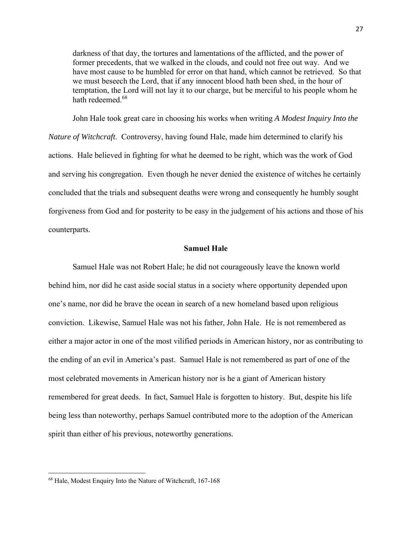darkness of that day, the tortures and lamentations of the afflicted, and the power of former precedents, that we walked in the clouds, and could not free out way. And we have most cause to be humbled for error on that hand, which cannot be retrieved. So that we must beseech the Lord, that if any innocent blood hath been shed, in the hour of temptation, the Lord will not lay it to our charge, but be merciful to his people whom he hath redeemed.<sup>68</sup>

John Hale took great care in choosing his works when writing *A Modest Inquiry Into the Nature of Witchcraft*. Controversy, having found Hale, made him determined to clarify his actions. Hale believed in fighting for what he deemed to be right, which was the work of God and serving his congregation. Even though he never denied the existence of witches he certainly concluded that the trials and subsequent deaths were wrong and consequently he humbly sought forgiveness from God and for posterity to be easy in the judgement of his actions and those of his counterparts.

## **Samuel Hale**

Samuel Hale was not Robert Hale; he did not courageously leave the known world behind him, nor did he cast aside social status in a society where opportunity depended upon one's name, nor did he brave the ocean in search of a new homeland based upon religious conviction. Likewise, Samuel Hale was not his father, John Hale. He is not remembered as either a major actor in one of the most vilified periods in American history, nor as contributing to the ending of an evil in America's past. Samuel Hale is not remembered as part of one of the most celebrated movements in American history nor is he a giant of American history remembered for great deeds. In fact, Samuel Hale is forgotten to history. But, despite his life being less than noteworthy, perhaps Samuel contributed more to the adoption of the American spirit than either of his previous, noteworthy generations.

<sup>&</sup>lt;sup>68</sup> Hale, Modest Enquiry Into the Nature of Witchcraft, 167-168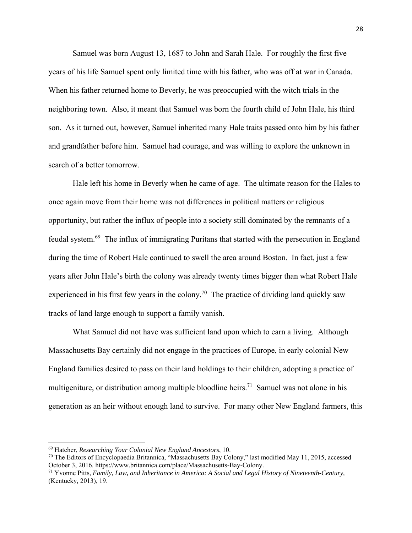Samuel was born August 13, 1687 to John and Sarah Hale. For roughly the first five years of his life Samuel spent only limited time with his father, who was off at war in Canada. When his father returned home to Beverly, he was preoccupied with the witch trials in the neighboring town. Also, it meant that Samuel was born the fourth child of John Hale, his third son. As it turned out, however, Samuel inherited many Hale traits passed onto him by his father and grandfather before him. Samuel had courage, and was willing to explore the unknown in search of a better tomorrow.

Hale left his home in Beverly when he came of age. The ultimate reason for the Hales to once again move from their home was not differences in political matters or religious opportunity, but rather the influx of people into a society still dominated by the remnants of a feudal system.69 The influx of immigrating Puritans that started with the persecution in England during the time of Robert Hale continued to swell the area around Boston. In fact, just a few years after John Hale's birth the colony was already twenty times bigger than what Robert Hale experienced in his first few years in the colony.<sup>70</sup> The practice of dividing land quickly saw tracks of land large enough to support a family vanish.

What Samuel did not have was sufficient land upon which to earn a living. Although Massachusetts Bay certainly did not engage in the practices of Europe, in early colonial New England families desired to pass on their land holdings to their children, adopting a practice of multigeniture, or distribution among multiple bloodline heirs.<sup>71</sup> Samuel was not alone in his generation as an heir without enough land to survive. For many other New England farmers, this

<sup>69</sup> Hatcher, *Researching Your Colonial New England Ancestors*, 10.

 $70$  The Editors of Encyclopaedia Britannica, "Massachusetts Bay Colony," last modified May 11, 2015, accessed October 3, 2016. https://www.britannica.com/place/Massachusetts-Bay-Colony.

<sup>71</sup> Yvonne Pitts, *Family, Law, and Inheritance in America: A Social and Legal History of Nineteenth-Century,*  (Kentucky*,* 2013), 19.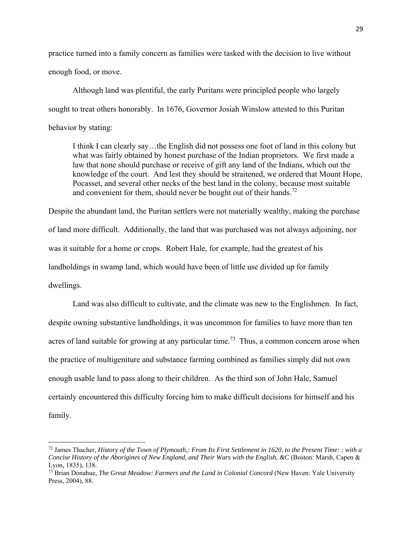practice turned into a family concern as families were tasked with the decision to live without enough food, or move.

Although land was plentiful, the early Puritans were principled people who largely sought to treat others honorably. In 1676, Governor Josiah Winslow attested to this Puritan behavior by stating:

I think I can clearly say…the English did not possess one foot of land in this colony but what was fairly obtained by honest purchase of the Indian proprietors. We first made a law that none should purchase or receive of gift any land of the Indians, which out the knowledge of the court. And lest they should be straitened, we ordered that Mount Hope, Pocasset, and several other necks of the best land in the colony, because most suitable and convenient for them, should never be bought out of their hands.<sup>72</sup>

Despite the abundant land, the Puritan settlers were not materially wealthy, making the purchase of land more difficult. Additionally, the land that was purchased was not always adjoining, nor was it suitable for a home or crops. Robert Hale, for example, had the greatest of his landholdings in swamp land, which would have been of little use divided up for family dwellings.

Land was also difficult to cultivate, and the climate was new to the Englishmen. In fact, despite owning substantive landholdings, it was uncommon for families to have more than ten acres of land suitable for growing at any particular time.<sup>73</sup> Thus, a common concern arose when the practice of multigeniture and substance farming combined as families simply did not own enough usable land to pass along to their children. As the third son of John Hale, Samuel certainly encountered this difficulty forcing him to make difficult decisions for himself and his family.

<sup>72</sup> James Thacher, *History of the Town of Plymouth,: From Its First Settlement in 1620, to the Present Time: : with a Concise History of the Aborigines of New England, and Their Wars with the English, &C* (Boston: Marsh, Capen & Lyon, 1835), 138.

<sup>73</sup> Brian Donahue, *The Great Meadow: Farmers and the Land in Colonial Concord* (New Haven: Yale University Press, 2004), 88.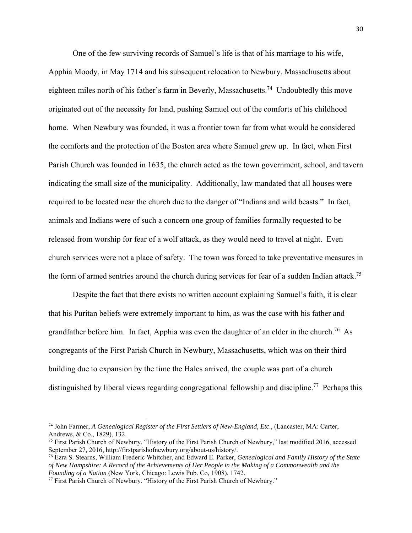One of the few surviving records of Samuel's life is that of his marriage to his wife, Apphia Moody, in May 1714 and his subsequent relocation to Newbury, Massachusetts about eighteen miles north of his father's farm in Beverly, Massachusetts.<sup>74</sup> Undoubtedly this move originated out of the necessity for land, pushing Samuel out of the comforts of his childhood home. When Newbury was founded, it was a frontier town far from what would be considered the comforts and the protection of the Boston area where Samuel grew up. In fact, when First Parish Church was founded in 1635, the church acted as the town government, school, and tavern indicating the small size of the municipality. Additionally, law mandated that all houses were required to be located near the church due to the danger of "Indians and wild beasts." In fact, animals and Indians were of such a concern one group of families formally requested to be released from worship for fear of a wolf attack, as they would need to travel at night. Even church services were not a place of safety. The town was forced to take preventative measures in the form of armed sentries around the church during services for fear of a sudden Indian attack.<sup>75</sup>

Despite the fact that there exists no written account explaining Samuel's faith, it is clear that his Puritan beliefs were extremely important to him, as was the case with his father and grandfather before him. In fact, Apphia was even the daughter of an elder in the church.<sup>76</sup> As congregants of the First Parish Church in Newbury, Massachusetts, which was on their third building due to expansion by the time the Hales arrived, the couple was part of a church distinguished by liberal views regarding congregational fellowship and discipline.<sup>77</sup> Perhaps this

<sup>74</sup> John Farmer, *A Genealogical Register of the First Settlers of New-England, Etc*., (Lancaster, MA: Carter, Andrews, & Co., 1829), 132.

<sup>75</sup> First Parish Church of Newbury. "History of the First Parish Church of Newbury," last modified 2016, accessed September 27, 2016, http://firstparishofnewbury.org/about-us/history/.

<sup>76</sup> Ezra S. Stearns, William Frederic Whitcher, and Edward E. Parker, *Genealogical and Family History of the State of New Hampshire: A Record of the Achievements of Her People in the Making of a Commonwealth and the Founding of a Nation* (New York, Chicago: Lewis Pub. Co, 1908). 1742.<br><sup>77</sup> First Parish Church of Newbury. "History of the First Parish Church of Newbury."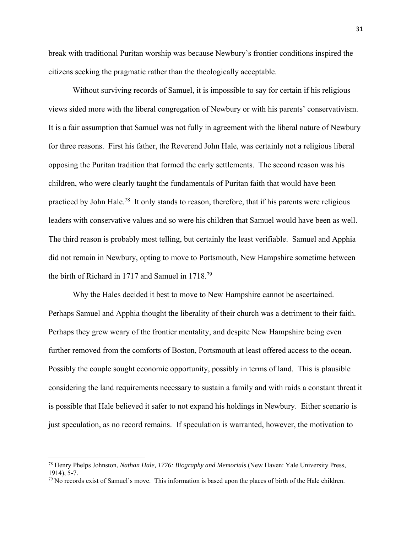break with traditional Puritan worship was because Newbury's frontier conditions inspired the citizens seeking the pragmatic rather than the theologically acceptable.

Without surviving records of Samuel, it is impossible to say for certain if his religious views sided more with the liberal congregation of Newbury or with his parents' conservativism. It is a fair assumption that Samuel was not fully in agreement with the liberal nature of Newbury for three reasons. First his father, the Reverend John Hale, was certainly not a religious liberal opposing the Puritan tradition that formed the early settlements. The second reason was his children, who were clearly taught the fundamentals of Puritan faith that would have been practiced by John Hale.<sup>78</sup> It only stands to reason, therefore, that if his parents were religious leaders with conservative values and so were his children that Samuel would have been as well. The third reason is probably most telling, but certainly the least verifiable. Samuel and Apphia did not remain in Newbury, opting to move to Portsmouth, New Hampshire sometime between the birth of Richard in 1717 and Samuel in 1718.79

Why the Hales decided it best to move to New Hampshire cannot be ascertained. Perhaps Samuel and Apphia thought the liberality of their church was a detriment to their faith. Perhaps they grew weary of the frontier mentality, and despite New Hampshire being even further removed from the comforts of Boston, Portsmouth at least offered access to the ocean. Possibly the couple sought economic opportunity, possibly in terms of land. This is plausible considering the land requirements necessary to sustain a family and with raids a constant threat it is possible that Hale believed it safer to not expand his holdings in Newbury. Either scenario is just speculation, as no record remains. If speculation is warranted, however, the motivation to

<sup>78</sup> Henry Phelps Johnston, *Nathan Hale, 1776: Biography and Memorials* (New Haven: Yale University Press, 1914), 5-7.

 $79$  No records exist of Samuel's move. This information is based upon the places of birth of the Hale children.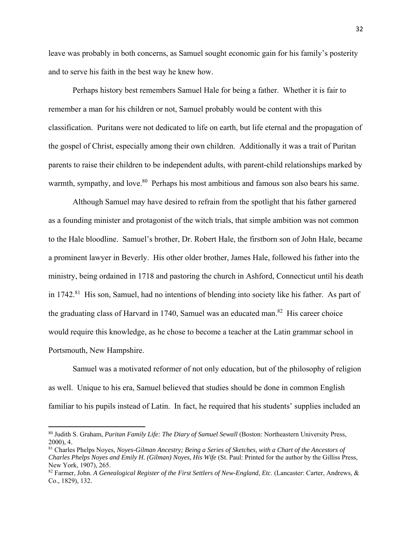leave was probably in both concerns, as Samuel sought economic gain for his family's posterity and to serve his faith in the best way he knew how.

Perhaps history best remembers Samuel Hale for being a father. Whether it is fair to remember a man for his children or not, Samuel probably would be content with this classification. Puritans were not dedicated to life on earth, but life eternal and the propagation of the gospel of Christ, especially among their own children. Additionally it was a trait of Puritan parents to raise their children to be independent adults, with parent-child relationships marked by warmth, sympathy, and love. $80$  Perhaps his most ambitious and famous son also bears his same.

Although Samuel may have desired to refrain from the spotlight that his father garnered as a founding minister and protagonist of the witch trials, that simple ambition was not common to the Hale bloodline. Samuel's brother, Dr. Robert Hale, the firstborn son of John Hale, became a prominent lawyer in Beverly. His other older brother, James Hale, followed his father into the ministry, being ordained in 1718 and pastoring the church in Ashford, Connecticut until his death in 1742.<sup>81</sup> His son, Samuel, had no intentions of blending into society like his father. As part of the graduating class of Harvard in 1740, Samuel was an educated man.<sup>82</sup> His career choice would require this knowledge, as he chose to become a teacher at the Latin grammar school in Portsmouth, New Hampshire.

Samuel was a motivated reformer of not only education, but of the philosophy of religion as well. Unique to his era, Samuel believed that studies should be done in common English familiar to his pupils instead of Latin. In fact, he required that his students' supplies included an

<sup>80</sup> Judith S. Graham, *Puritan Family Life: The Diary of Samuel Sewall* (Boston: Northeastern University Press, 2000), 4.

<sup>81</sup> Charles Phelps Noyes, *Noyes-Gilman Ancestry; Being a Series of Sketches, with a Chart of the Ancestors of Charles Phelps Noyes and Emily H. (Gilman) Noyes, His Wife* (St. Paul: Printed for the author by the Gilliss Press, New York, 1907), 265.

<sup>82</sup> Farmer, John. *A Genealogical Register of the First Settlers of New-England, Etc*. (Lancaster: Carter, Andrews, & Co., 1829), 132.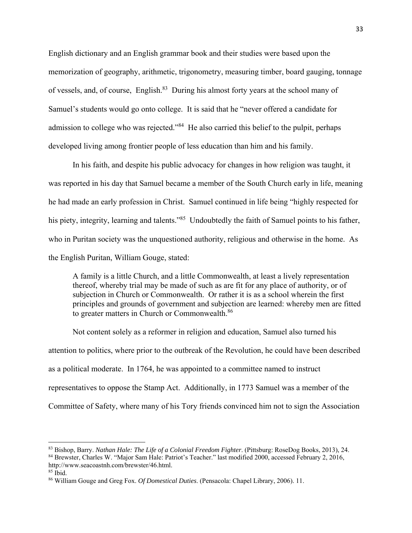English dictionary and an English grammar book and their studies were based upon the memorization of geography, arithmetic, trigonometry, measuring timber, board gauging, tonnage of vessels, and, of course, English.<sup>83</sup> During his almost forty years at the school many of Samuel's students would go onto college. It is said that he "never offered a candidate for admission to college who was rejected."<sup>84</sup> He also carried this belief to the pulpit, perhaps developed living among frontier people of less education than him and his family.

In his faith, and despite his public advocacy for changes in how religion was taught, it was reported in his day that Samuel became a member of the South Church early in life, meaning he had made an early profession in Christ. Samuel continued in life being "highly respected for his piety, integrity, learning and talents."<sup>85</sup> Undoubtedly the faith of Samuel points to his father, who in Puritan society was the unquestioned authority, religious and otherwise in the home. As the English Puritan, William Gouge, stated:

A family is a little Church, and a little Commonwealth, at least a lively representation thereof, whereby trial may be made of such as are fit for any place of authority, or of subjection in Church or Commonwealth. Or rather it is as a school wherein the first principles and grounds of government and subjection are learned: whereby men are fitted to greater matters in Church or Commonwealth.<sup>86</sup>

Not content solely as a reformer in religion and education, Samuel also turned his attention to politics, where prior to the outbreak of the Revolution, he could have been described as a political moderate. In 1764, he was appointed to a committee named to instruct representatives to oppose the Stamp Act. Additionally, in 1773 Samuel was a member of the Committee of Safety, where many of his Tory friends convinced him not to sign the Association

<sup>83</sup> Bishop, Barry. *Nathan Hale: The Life of a Colonial Freedom Fighter*. (Pittsburg: RoseDog Books, 2013), 24.

<sup>84</sup> Brewster, Charles W. "Major Sam Hale: Patriot's Teacher." last modified 2000, accessed February 2, 2016, http://www.seacoastnh.com/brewster/46.html.

 $85$  Ibid.

<sup>86</sup> William Gouge and Greg Fox. *Of Domestical Duties*. (Pensacola: Chapel Library, 2006). 11.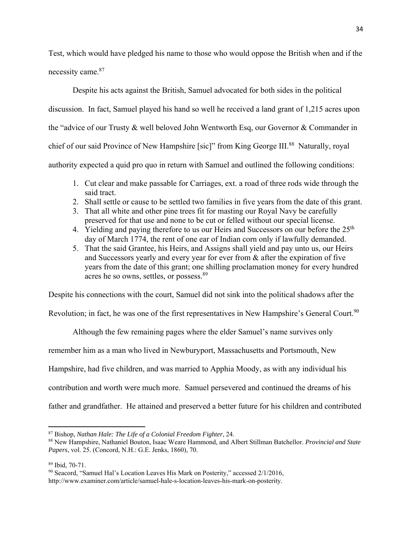Test, which would have pledged his name to those who would oppose the British when and if the necessity came.<sup>87</sup>

Despite his acts against the British, Samuel advocated for both sides in the political discussion. In fact, Samuel played his hand so well he received a land grant of 1,215 acres upon the "advice of our Trusty & well beloved John Wentworth Esq, our Governor & Commander in chief of our said Province of New Hampshire [sic]" from King George III.<sup>88</sup> Naturally, royal authority expected a quid pro quo in return with Samuel and outlined the following conditions:

- 1. Cut clear and make passable for Carriages, ext. a road of three rods wide through the said tract.
- 2. Shall settle or cause to be settled two families in five years from the date of this grant.
- 3. That all white and other pine trees fit for masting our Royal Navy be carefully preserved for that use and none to be cut or felled without our special license.
- 4. Yielding and paying therefore to us our Heirs and Successors on our before the  $25<sup>th</sup>$ day of March 1774, the rent of one ear of Indian corn only if lawfully demanded.
- 5. That the said Grantee, his Heirs, and Assigns shall yield and pay unto us, our Heirs and Successors yearly and every year for ever from & after the expiration of five years from the date of this grant; one shilling proclamation money for every hundred acres he so owns, settles, or possess.<sup>89</sup>

Despite his connections with the court, Samuel did not sink into the political shadows after the

Revolution; in fact, he was one of the first representatives in New Hampshire's General Court.<sup>90</sup>

Although the few remaining pages where the elder Samuel's name survives only

remember him as a man who lived in Newburyport, Massachusetts and Portsmouth, New

Hampshire, had five children, and was married to Apphia Moody, as with any individual his

contribution and worth were much more. Samuel persevered and continued the dreams of his

father and grandfather. He attained and preserved a better future for his children and contributed

<sup>87</sup> Bishop, *Nathan Hale: The Life of a Colonial Freedom Fighter*, 24.

<sup>88</sup> New Hampshire, Nathaniel Bouton, Isaac Weare Hammond, and Albert Stillman Batchellor. *Provincial and State Papers*, vol. 25. (Concord, N.H.: G.E. Jenks, 1860), 70.

<sup>89</sup> Ibid, 70-71.

<sup>90</sup> Seacord, "Samuel Hal's Location Leaves His Mark on Posterity," accessed 2/1/2016,

http://www.examiner.com/article/samuel-hale-s-location-leaves-his-mark-on-posterity.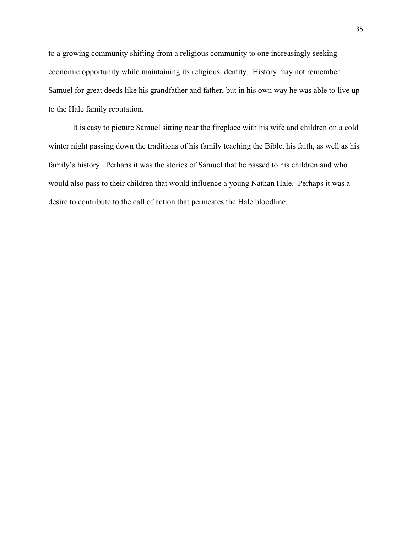to a growing community shifting from a religious community to one increasingly seeking economic opportunity while maintaining its religious identity. History may not remember Samuel for great deeds like his grandfather and father, but in his own way he was able to live up to the Hale family reputation.

It is easy to picture Samuel sitting near the fireplace with his wife and children on a cold winter night passing down the traditions of his family teaching the Bible, his faith, as well as his family's history. Perhaps it was the stories of Samuel that he passed to his children and who would also pass to their children that would influence a young Nathan Hale. Perhaps it was a desire to contribute to the call of action that permeates the Hale bloodline.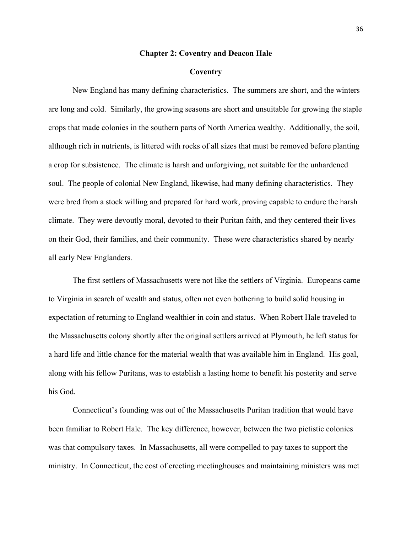### **Chapter 2: Coventry and Deacon Hale**

## **Coventry**

New England has many defining characteristics. The summers are short, and the winters are long and cold. Similarly, the growing seasons are short and unsuitable for growing the staple crops that made colonies in the southern parts of North America wealthy. Additionally, the soil, although rich in nutrients, is littered with rocks of all sizes that must be removed before planting a crop for subsistence. The climate is harsh and unforgiving, not suitable for the unhardened soul. The people of colonial New England, likewise, had many defining characteristics. They were bred from a stock willing and prepared for hard work, proving capable to endure the harsh climate. They were devoutly moral, devoted to their Puritan faith, and they centered their lives on their God, their families, and their community. These were characteristics shared by nearly all early New Englanders.

The first settlers of Massachusetts were not like the settlers of Virginia. Europeans came to Virginia in search of wealth and status, often not even bothering to build solid housing in expectation of returning to England wealthier in coin and status. When Robert Hale traveled to the Massachusetts colony shortly after the original settlers arrived at Plymouth, he left status for a hard life and little chance for the material wealth that was available him in England. His goal, along with his fellow Puritans, was to establish a lasting home to benefit his posterity and serve his God.

 Connecticut's founding was out of the Massachusetts Puritan tradition that would have been familiar to Robert Hale. The key difference, however, between the two pietistic colonies was that compulsory taxes. In Massachusetts, all were compelled to pay taxes to support the ministry. In Connecticut, the cost of erecting meetinghouses and maintaining ministers was met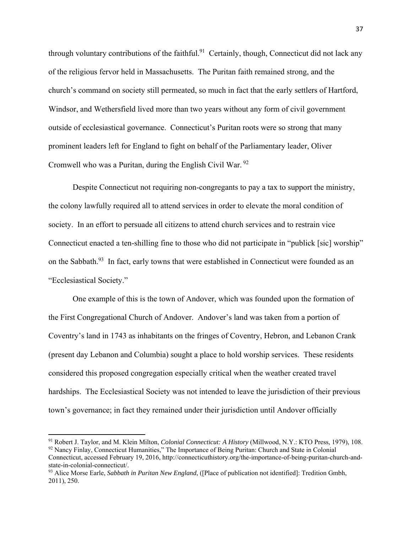through voluntary contributions of the faithful.<sup>91</sup> Certainly, though, Connecticut did not lack any of the religious fervor held in Massachusetts. The Puritan faith remained strong, and the church's command on society still permeated, so much in fact that the early settlers of Hartford, Windsor, and Wethersfield lived more than two years without any form of civil government outside of ecclesiastical governance. Connecticut's Puritan roots were so strong that many prominent leaders left for England to fight on behalf of the Parliamentary leader, Oliver Cromwell who was a Puritan, during the English Civil War. 92

Despite Connecticut not requiring non-congregants to pay a tax to support the ministry, the colony lawfully required all to attend services in order to elevate the moral condition of society. In an effort to persuade all citizens to attend church services and to restrain vice Connecticut enacted a ten-shilling fine to those who did not participate in "publick [sic] worship" on the Sabbath.<sup>93</sup> In fact, early towns that were established in Connecticut were founded as an "Ecclesiastical Society."

One example of this is the town of Andover, which was founded upon the formation of the First Congregational Church of Andover. Andover's land was taken from a portion of Coventry's land in 1743 as inhabitants on the fringes of Coventry, Hebron, and Lebanon Crank (present day Lebanon and Columbia) sought a place to hold worship services. These residents considered this proposed congregation especially critical when the weather created travel hardships. The Ecclesiastical Society was not intended to leave the jurisdiction of their previous town's governance; in fact they remained under their jurisdiction until Andover officially

<sup>91</sup> Robert J. Taylor, and M. Klein Milton, *Colonial Connecticut: A History* (Millwood, N.Y.: KTO Press, 1979), 108. 92 Nancy Finlay, Connecticut Humanities," The Importance of Being Puritan: Church and State in Colonial Connecticut, accessed February 19, 2016, http://connecticuthistory.org/the-importance-of-being-puritan-church-andstate-in-colonial-connecticut/.

<sup>93</sup> Alice Morse Earle, *Sabbath in Puritan New England*, ([Place of publication not identified]: Tredition Gmbh, 2011), 250.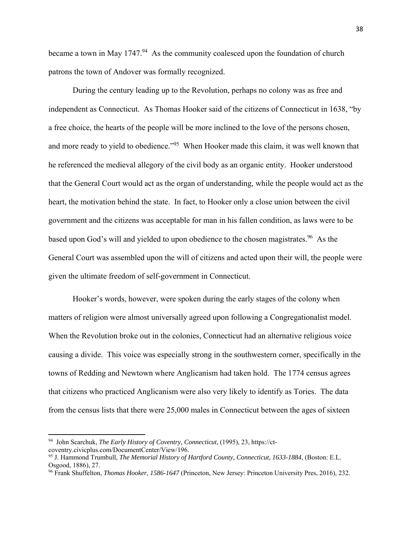became a town in May  $1747.^{94}$  As the community coalesced upon the foundation of church patrons the town of Andover was formally recognized.

During the century leading up to the Revolution, perhaps no colony was as free and independent as Connecticut. As Thomas Hooker said of the citizens of Connecticut in 1638, "by a free choice, the hearts of the people will be more inclined to the love of the persons chosen, and more ready to yield to obedience."<sup>95</sup> When Hooker made this claim, it was well known that he referenced the medieval allegory of the civil body as an organic entity. Hooker understood that the General Court would act as the organ of understanding, while the people would act as the heart, the motivation behind the state. In fact, to Hooker only a close union between the civil government and the citizens was acceptable for man in his fallen condition, as laws were to be based upon God's will and yielded to upon obedience to the chosen magistrates.<sup>96</sup> As the General Court was assembled upon the will of citizens and acted upon their will, the people were given the ultimate freedom of self-government in Connecticut.

Hooker's words, however, were spoken during the early stages of the colony when matters of religion were almost universally agreed upon following a Congregationalist model. When the Revolution broke out in the colonies, Connecticut had an alternative religious voice causing a divide. This voice was especially strong in the southwestern corner, specifically in the towns of Redding and Newtown where Anglicanism had taken hold. The 1774 census agrees that citizens who practiced Anglicanism were also very likely to identify as Tories. The data from the census lists that there were 25,000 males in Connecticut between the ages of sixteen

<sup>94</sup> John Scarchuk, *The Early History of Coventry, Connecticut*, (1995), 23, https://ctcoventry.civicplus.com/DocumentCenter/View/196.

<sup>95</sup> J. Hammond Trumbull, *The Memorial History of Hartford County, Connecticut, 1633-1884*, (Boston: E.L. Osgood, 1886), 27.

<sup>96</sup> Frank Shuffelton, *Thomas Hooker, 1586-1647* (Princeton, New Jersey: Princeton University Pres, 2016), 232.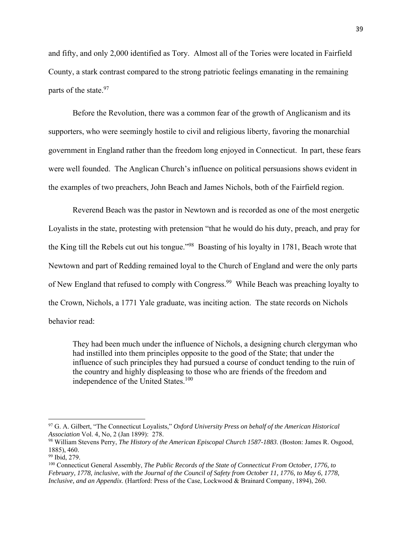and fifty, and only 2,000 identified as Tory. Almost all of the Tories were located in Fairfield County, a stark contrast compared to the strong patriotic feelings emanating in the remaining parts of the state.<sup>97</sup>

Before the Revolution, there was a common fear of the growth of Anglicanism and its supporters, who were seemingly hostile to civil and religious liberty, favoring the monarchial government in England rather than the freedom long enjoyed in Connecticut. In part, these fears were well founded. The Anglican Church's influence on political persuasions shows evident in the examples of two preachers, John Beach and James Nichols, both of the Fairfield region.

Reverend Beach was the pastor in Newtown and is recorded as one of the most energetic Loyalists in the state, protesting with pretension "that he would do his duty, preach, and pray for the King till the Rebels cut out his tongue."98 Boasting of his loyalty in 1781, Beach wrote that Newtown and part of Redding remained loyal to the Church of England and were the only parts of New England that refused to comply with Congress.<sup>99</sup> While Beach was preaching loyalty to the Crown, Nichols, a 1771 Yale graduate, was inciting action. The state records on Nichols behavior read:

They had been much under the influence of Nichols, a designing church clergyman who had instilled into them principles opposite to the good of the State; that under the influence of such principles they had pursued a course of conduct tending to the ruin of the country and highly displeasing to those who are friends of the freedom and independence of the United States.<sup>100</sup>

<sup>97</sup> G. A. Gilbert, "The Connecticut Loyalists," *Oxford University Press on behalf of the American Historical Association* Vol. 4, No, 2 (Jan 1899): 278.

<sup>98</sup> William Stevens Perry, *The History of the American Episcopal Church 1587-1883*. (Boston: James R. Osgood, 1885), 460.

<sup>99</sup> Ibid, 279.

<sup>100</sup> Connecticut General Assembly, *The Public Records of the State of Connecticut From October, 1776, to February, 1778, inclusive, with the Journal of the Council of Safety from October 11, 1776, to May 6, 1778, Inclusive, and an Appendix*. (Hartford: Press of the Case, Lockwood & Brainard Company, 1894), 260.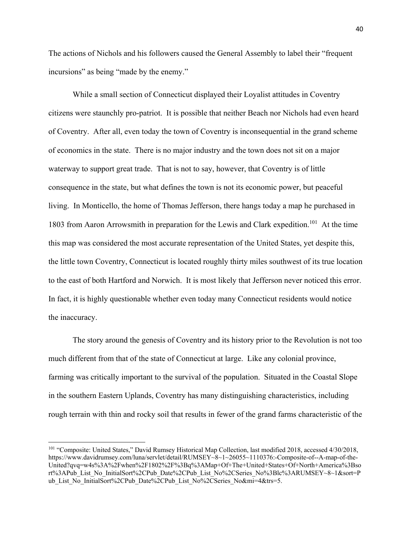The actions of Nichols and his followers caused the General Assembly to label their "frequent incursions" as being "made by the enemy."

While a small section of Connecticut displayed their Loyalist attitudes in Coventry citizens were staunchly pro-patriot. It is possible that neither Beach nor Nichols had even heard of Coventry. After all, even today the town of Coventry is inconsequential in the grand scheme of economics in the state. There is no major industry and the town does not sit on a major waterway to support great trade. That is not to say, however, that Coventry is of little consequence in the state, but what defines the town is not its economic power, but peaceful living. In Monticello, the home of Thomas Jefferson, there hangs today a map he purchased in 1803 from Aaron Arrowsmith in preparation for the Lewis and Clark expedition.<sup>101</sup> At the time this map was considered the most accurate representation of the United States, yet despite this, the little town Coventry, Connecticut is located roughly thirty miles southwest of its true location to the east of both Hartford and Norwich. It is most likely that Jefferson never noticed this error. In fact, it is highly questionable whether even today many Connecticut residents would notice the inaccuracy.

The story around the genesis of Coventry and its history prior to the Revolution is not too much different from that of the state of Connecticut at large. Like any colonial province, farming was critically important to the survival of the population. Situated in the Coastal Slope in the southern Eastern Uplands, Coventry has many distinguishing characteristics, including rough terrain with thin and rocky soil that results in fewer of the grand farms characteristic of the

<sup>101 &</sup>quot;Composite: United States," David Rumsey Historical Map Collection, last modified 2018, accessed 4/30/2018, https://www.davidrumsey.com/luna/servlet/detail/RUMSEY~8~1~26055~1110376:-Composite-of--A-map-of-the-United?qvq=w4s%3A%2Fwhen%2F1802%2F%3Bq%3AMap+Of+The+United+States+Of+North+America%3Bso rt%3APub\_List\_No\_InitialSort%2CPub\_Date%2CPub\_List\_No%2CSeries\_No%3Blc%3ARUMSEY~8~1&sort=P ub\_List\_No\_InitialSort%2CPub\_Date%2CPub\_List\_No%2CSeries\_No&mi=4&trs=5.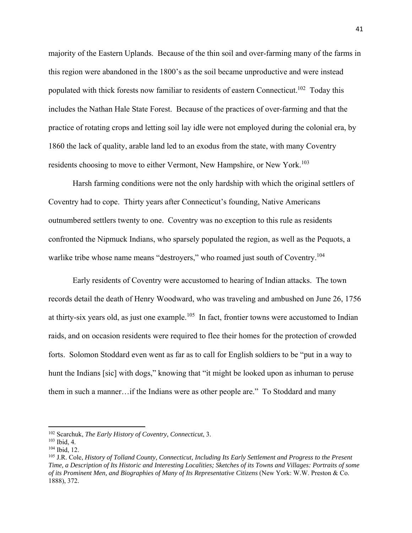majority of the Eastern Uplands. Because of the thin soil and over-farming many of the farms in this region were abandoned in the 1800's as the soil became unproductive and were instead populated with thick forests now familiar to residents of eastern Connecticut.<sup>102</sup> Today this includes the Nathan Hale State Forest. Because of the practices of over-farming and that the practice of rotating crops and letting soil lay idle were not employed during the colonial era, by 1860 the lack of quality, arable land led to an exodus from the state, with many Coventry residents choosing to move to either Vermont, New Hampshire, or New York.<sup>103</sup>

 Harsh farming conditions were not the only hardship with which the original settlers of Coventry had to cope. Thirty years after Connecticut's founding, Native Americans outnumbered settlers twenty to one. Coventry was no exception to this rule as residents confronted the Nipmuck Indians, who sparsely populated the region, as well as the Pequots, a warlike tribe whose name means "destroyers," who roamed just south of Coventry.<sup>104</sup>

Early residents of Coventry were accustomed to hearing of Indian attacks. The town records detail the death of Henry Woodward, who was traveling and ambushed on June 26, 1756 at thirty-six years old, as just one example.<sup>105</sup> In fact, frontier towns were accustomed to Indian raids, and on occasion residents were required to flee their homes for the protection of crowded forts. Solomon Stoddard even went as far as to call for English soldiers to be "put in a way to hunt the Indians [sic] with dogs," knowing that "it might be looked upon as inhuman to peruse them in such a manner…if the Indians were as other people are." To Stoddard and many

<sup>102</sup> Scarchuk, *The Early History of Coventry, Connecticut*, 3.

<sup>103</sup> Ibid, 4.

<sup>104</sup> Ibid, 12.

<sup>105</sup> J.R. Cole, *History of Tolland County, Connecticut, Including Its Early Settlement and Progress to the Present Time, a Description of Its Historic and Interesting Localities; Sketches of its Towns and Villages: Portraits of some of its Prominent Men, and Biographies of Many of Its Representative Citizens* (New York: W.W. Preston & Co. 1888), 372.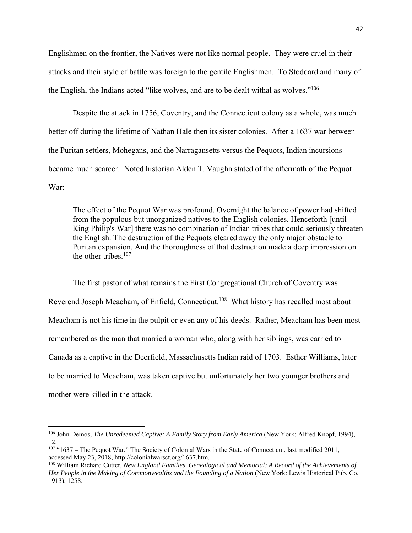Englishmen on the frontier, the Natives were not like normal people. They were cruel in their attacks and their style of battle was foreign to the gentile Englishmen. To Stoddard and many of the English, the Indians acted "like wolves, and are to be dealt withal as wolves."106

Despite the attack in 1756, Coventry, and the Connecticut colony as a whole, was much better off during the lifetime of Nathan Hale then its sister colonies. After a 1637 war between the Puritan settlers, Mohegans, and the Narragansetts versus the Pequots, Indian incursions became much scarcer. Noted historian Alden T. Vaughn stated of the aftermath of the Pequot War:

The effect of the Pequot War was profound. Overnight the balance of power had shifted from the populous but unorganized natives to the English colonies. Henceforth [until King Philip's War] there was no combination of Indian tribes that could seriously threaten the English. The destruction of the Pequots cleared away the only major obstacle to Puritan expansion. And the thoroughness of that destruction made a deep impression on the other tribes. $107$ 

The first pastor of what remains the First Congregational Church of Coventry was Reverend Joseph Meacham, of Enfield, Connecticut.<sup>108</sup> What history has recalled most about Meacham is not his time in the pulpit or even any of his deeds. Rather, Meacham has been most remembered as the man that married a woman who, along with her siblings, was carried to Canada as a captive in the Deerfield, Massachusetts Indian raid of 1703. Esther Williams, later to be married to Meacham, was taken captive but unfortunately her two younger brothers and mother were killed in the attack.

<sup>106</sup> John Demos, *The Unredeemed Captive: A Family Story from Early America* (New York: Alfred Knopf, 1994), 12.

<sup>107 &</sup>quot;1637 – The Pequot War," The Society of Colonial Wars in the State of Connecticut, last modified 2011, accessed May 23, 2018, http://colonialwarsct.org/1637.htm.

<sup>108</sup> William Richard Cutter, *New England Families, Genealogical and Memorial; A Record of the Achievements of Her People in the Making of Commonwealths and the Founding of a Nation* (New York: Lewis Historical Pub. Co, 1913), 1258.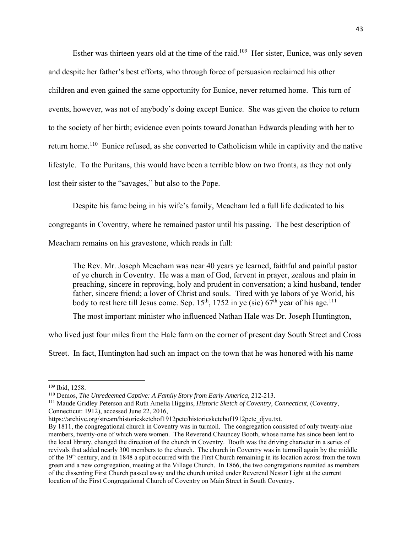Esther was thirteen years old at the time of the raid.<sup>109</sup> Her sister, Eunice, was only seven and despite her father's best efforts, who through force of persuasion reclaimed his other children and even gained the same opportunity for Eunice, never returned home. This turn of events, however, was not of anybody's doing except Eunice. She was given the choice to return to the society of her birth; evidence even points toward Jonathan Edwards pleading with her to return home.110 Eunice refused, as she converted to Catholicism while in captivity and the native lifestyle. To the Puritans, this would have been a terrible blow on two fronts, as they not only lost their sister to the "savages," but also to the Pope.

Despite his fame being in his wife's family, Meacham led a full life dedicated to his congregants in Coventry, where he remained pastor until his passing. The best description of Meacham remains on his gravestone, which reads in full:

The Rev. Mr. Joseph Meacham was near 40 years ye learned, faithful and painful pastor of ye church in Coventry. He was a man of God, fervent in prayer, zealous and plain in preaching, sincere in reproving, holy and prudent in conversation; a kind husband, tender father, sincere friend; a lover of Christ and souls. Tired with ye labors of ye World, his body to rest here till Jesus come. Sep. 15<sup>th</sup>, 1752 in ye (sic)  $67<sup>th</sup>$  year of his age.<sup>111</sup>

The most important minister who influenced Nathan Hale was Dr. Joseph Huntington,

who lived just four miles from the Hale farm on the corner of present day South Street and Cross

Street. In fact, Huntington had such an impact on the town that he was honored with his name

<sup>109</sup> Ibid, 1258.

<sup>&</sup>lt;sup>110</sup> Demos, *The Unredeemed Captive: A Family Story from Early America*, 212-213.<br><sup>111</sup> Maude Gridley Peterson and Ruth Amelia Higgins, *Historic Sketch of Coventry, Connecticut*, (Coventry, Connecticut: 1912), accessed June 22, 2016,

https://archive.org/stream/historicsketchof1912pete/historicsketchof1912pete\_djvu.txt.

By 1811, the congregational church in Coventry was in turmoil. The congregation consisted of only twenty-nine members, twenty-one of which were women. The Reverend Chauncey Booth, whose name has since been lent to the local library, changed the direction of the church in Coventry. Booth was the driving character in a series of revivals that added nearly 300 members to the church. The church in Coventry was in turmoil again by the middle of the 19th century, and in 1848 a split occurred with the First Church remaining in its location across from the town green and a new congregation, meeting at the Village Church. In 1866, the two congregations reunited as members of the dissenting First Church passed away and the church united under Reverend Nestor Light at the current location of the First Congregational Church of Coventry on Main Street in South Coventry.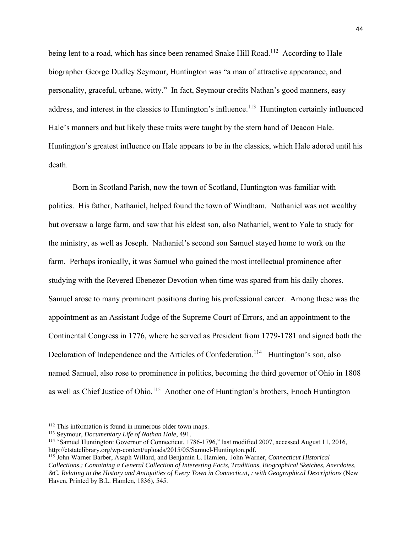being lent to a road, which has since been renamed Snake Hill Road.<sup>112</sup> According to Hale biographer George Dudley Seymour, Huntington was "a man of attractive appearance, and personality, graceful, urbane, witty." In fact, Seymour credits Nathan's good manners, easy address, and interest in the classics to Huntington's influence.<sup>113</sup> Huntington certainly influenced Hale's manners and but likely these traits were taught by the stern hand of Deacon Hale. Huntington's greatest influence on Hale appears to be in the classics, which Hale adored until his death.

Born in Scotland Parish, now the town of Scotland, Huntington was familiar with politics. His father, Nathaniel, helped found the town of Windham. Nathaniel was not wealthy but oversaw a large farm, and saw that his eldest son, also Nathaniel, went to Yale to study for the ministry, as well as Joseph. Nathaniel's second son Samuel stayed home to work on the farm. Perhaps ironically, it was Samuel who gained the most intellectual prominence after studying with the Revered Ebenezer Devotion when time was spared from his daily chores. Samuel arose to many prominent positions during his professional career. Among these was the appointment as an Assistant Judge of the Supreme Court of Errors, and an appointment to the Continental Congress in 1776, where he served as President from 1779-1781 and signed both the Declaration of Independence and the Articles of Confederation.<sup>114</sup> Huntington's son, also named Samuel, also rose to prominence in politics, becoming the third governor of Ohio in 1808 as well as Chief Justice of Ohio.<sup>115</sup> Another one of Huntington's brothers, Enoch Huntington

<sup>&</sup>lt;sup>112</sup> This information is found in numerous older town maps.<br><sup>113</sup> Seymour, *Documentary Life of Nathan Hale*, 491.

<sup>&</sup>lt;sup>114</sup> "Samuel Huntington: Governor of Connecticut, 1786-1796," last modified 2007, accessed August 11, 2016, http://ctstatelibrary.org/wp-content/uploads/2015/05/Samuel-Huntington.pdf.

<sup>115</sup> John Warner Barber, Asaph Willard, and Benjamin L. Hamlen, John Warner, *Connecticut Historical Collections,: Containing a General Collection of Interesting Facts, Traditions, Biographical Sketches, Anecdotes, &C. Relating to the History and Antiquities of Every Town in Connecticut, : with Geographical Descriptions* (New Haven, Printed by B.L. Hamlen, 1836), 545.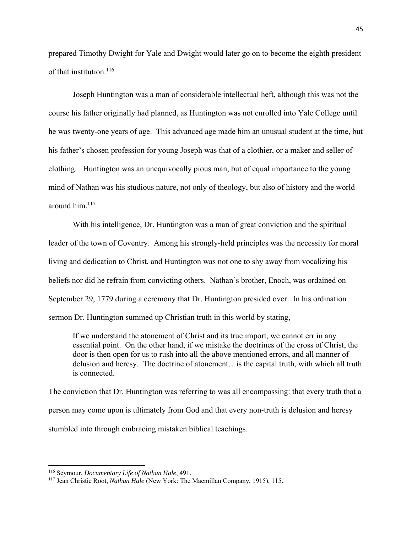prepared Timothy Dwight for Yale and Dwight would later go on to become the eighth president of that institution. $116$ 

Joseph Huntington was a man of considerable intellectual heft, although this was not the course his father originally had planned, as Huntington was not enrolled into Yale College until he was twenty-one years of age. This advanced age made him an unusual student at the time, but his father's chosen profession for young Joseph was that of a clothier, or a maker and seller of clothing. Huntington was an unequivocally pious man, but of equal importance to the young mind of Nathan was his studious nature, not only of theology, but also of history and the world around him.117

With his intelligence, Dr. Huntington was a man of great conviction and the spiritual leader of the town of Coventry. Among his strongly-held principles was the necessity for moral living and dedication to Christ, and Huntington was not one to shy away from vocalizing his beliefs nor did he refrain from convicting others. Nathan's brother, Enoch, was ordained on September 29, 1779 during a ceremony that Dr. Huntington presided over. In his ordination sermon Dr. Huntington summed up Christian truth in this world by stating,

If we understand the atonement of Christ and its true import, we cannot err in any essential point. On the other hand, if we mistake the doctrines of the cross of Christ, the door is then open for us to rush into all the above mentioned errors, and all manner of delusion and heresy. The doctrine of atonement…is the capital truth, with which all truth is connected.

The conviction that Dr. Huntington was referring to was all encompassing: that every truth that a person may come upon is ultimately from God and that every non-truth is delusion and heresy stumbled into through embracing mistaken biblical teachings.

<sup>116</sup> Seymour, *Documentary Life of Nathan Hale*, 491.

<sup>117</sup> Jean Christie Root, *Nathan Hale* (New York: The Macmillan Company, 1915), 115.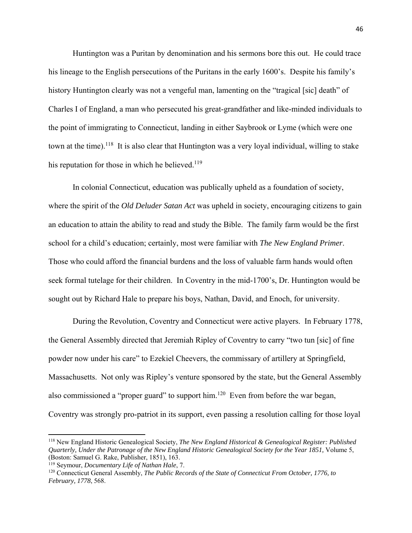Huntington was a Puritan by denomination and his sermons bore this out. He could trace his lineage to the English persecutions of the Puritans in the early 1600's. Despite his family's history Huntington clearly was not a vengeful man, lamenting on the "tragical [sic] death" of Charles I of England, a man who persecuted his great-grandfather and like-minded individuals to the point of immigrating to Connecticut, landing in either Saybrook or Lyme (which were one town at the time).<sup>118</sup> It is also clear that Huntington was a very loyal individual, willing to stake his reputation for those in which he believed. $119$ 

 In colonial Connecticut, education was publically upheld as a foundation of society, where the spirit of the *Old Deluder Satan Act* was upheld in society, encouraging citizens to gain an education to attain the ability to read and study the Bible. The family farm would be the first school for a child's education; certainly, most were familiar with *The New England Primer*. Those who could afford the financial burdens and the loss of valuable farm hands would often seek formal tutelage for their children. In Coventry in the mid-1700's, Dr. Huntington would be sought out by Richard Hale to prepare his boys, Nathan, David, and Enoch, for university.

During the Revolution, Coventry and Connecticut were active players. In February 1778, the General Assembly directed that Jeremiah Ripley of Coventry to carry "two tun [sic] of fine powder now under his care" to Ezekiel Cheevers, the commissary of artillery at Springfield, Massachusetts. Not only was Ripley's venture sponsored by the state, but the General Assembly also commissioned a "proper guard" to support him.<sup>120</sup> Even from before the war began, Coventry was strongly pro-patriot in its support, even passing a resolution calling for those loyal

<sup>118</sup> New England Historic Genealogical Society, *The New England Historical & Genealogical Register: Published Quarterly, Under the Patronage of the New England Historic Genealogical Society for the Year 1851,* Volume 5, (Boston: Samuel G. Rake, Publisher, 1851), 163.

<sup>119</sup> Seymour, *Documentary Life of Nathan Hale*, 7.

<sup>120</sup> Connecticut General Assembly, *The Public Records of the State of Connecticut From October, 1776, to February, 1778*, 568.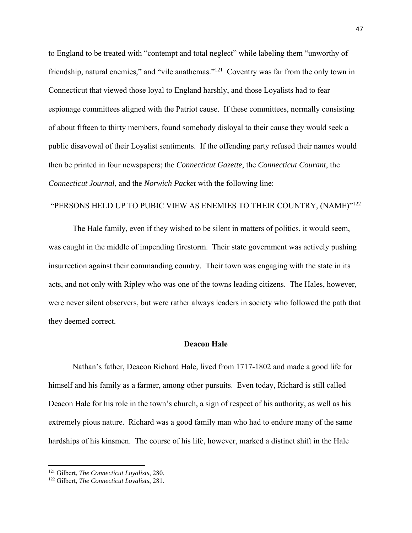to England to be treated with "contempt and total neglect" while labeling them "unworthy of friendship, natural enemies," and "vile anathemas."<sup>121</sup> Coventry was far from the only town in Connecticut that viewed those loyal to England harshly, and those Loyalists had to fear espionage committees aligned with the Patriot cause. If these committees, normally consisting of about fifteen to thirty members, found somebody disloyal to their cause they would seek a public disavowal of their Loyalist sentiments. If the offending party refused their names would then be printed in four newspapers; the *Connecticut Gazette*, the *Connecticut Courant*, the *Connecticut Journal*, and the *Norwich Packet* with the following line:

# "PERSONS HELD UP TO PUBIC VIEW AS ENEMIES TO THEIR COUNTRY, (NAME)"<sup>122</sup>

 The Hale family, even if they wished to be silent in matters of politics, it would seem, was caught in the middle of impending firestorm. Their state government was actively pushing insurrection against their commanding country. Their town was engaging with the state in its acts, and not only with Ripley who was one of the towns leading citizens. The Hales, however, were never silent observers, but were rather always leaders in society who followed the path that they deemed correct.

## **Deacon Hale**

Nathan's father, Deacon Richard Hale, lived from 1717-1802 and made a good life for himself and his family as a farmer, among other pursuits. Even today, Richard is still called Deacon Hale for his role in the town's church, a sign of respect of his authority, as well as his extremely pious nature. Richard was a good family man who had to endure many of the same hardships of his kinsmen. The course of his life, however, marked a distinct shift in the Hale

<sup>121</sup> Gilbert, *The Connecticut Loyalists*, 280. 122 Gilbert, *The Connecticut Loyalists*, 281.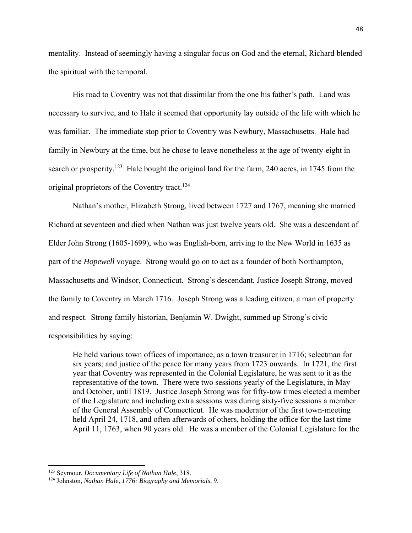mentality. Instead of seemingly having a singular focus on God and the eternal, Richard blended the spiritual with the temporal.

His road to Coventry was not that dissimilar from the one his father's path. Land was necessary to survive, and to Hale it seemed that opportunity lay outside of the life with which he was familiar. The immediate stop prior to Coventry was Newbury, Massachusetts. Hale had family in Newbury at the time, but he chose to leave nonetheless at the age of twenty-eight in search or prosperity.<sup>123</sup> Hale bought the original land for the farm, 240 acres, in 1745 from the original proprietors of the Coventry tract.124

Nathan's mother, Elizabeth Strong, lived between 1727 and 1767, meaning she married Richard at seventeen and died when Nathan was just twelve years old. She was a descendant of Elder John Strong (1605-1699), who was English-born, arriving to the New World in 1635 as part of the *Hopewell* voyage. Strong would go on to act as a founder of both Northampton, Massachusetts and Windsor, Connecticut. Strong's descendant, Justice Joseph Strong, moved the family to Coventry in March 1716. Joseph Strong was a leading citizen, a man of property and respect. Strong family historian, Benjamin W. Dwight, summed up Strong's civic responsibilities by saying:

He held various town offices of importance, as a town treasurer in 1716; selectman for six years; and justice of the peace for many years from 1723 onwards. In 1721, the first year that Coventry was represented in the Colonial Legislature, he was sent to it as the representative of the town. There were two sessions yearly of the Legislature, in May and October, until 1819. Justice Joseph Strong was for fifty-tow times elected a member of the Legislature and including extra sessions was during sixty-five sessions a member of the General Assembly of Connecticut. He was moderator of the first town-meeting held April 24, 1718, and often afterwards of others, holding the office for the last time April 11, 1763, when 90 years old. He was a member of the Colonial Legislature for the

<sup>123</sup> Seymour, *Documentary Life of Nathan Hale*, 318. 124 Johnston, *Nathan Hale, 1776: Biography and Memorials*, 9.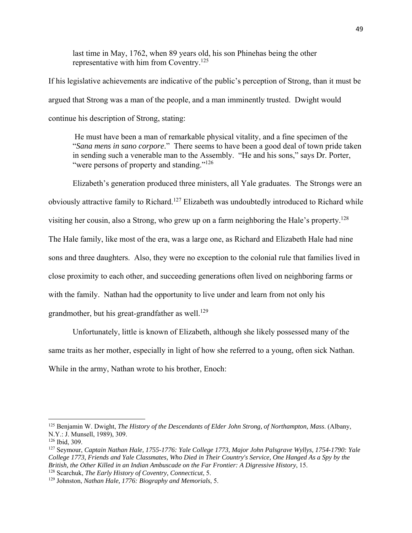last time in May, 1762, when 89 years old, his son Phinehas being the other representative with him from Coventry.<sup>125</sup>

If his legislative achievements are indicative of the public's perception of Strong, than it must be argued that Strong was a man of the people, and a man imminently trusted. Dwight would continue his description of Strong, stating:

 He must have been a man of remarkable physical vitality, and a fine specimen of the "*Sana mens in sano corpore*." There seems to have been a good deal of town pride taken in sending such a venerable man to the Assembly. "He and his sons," says Dr. Porter, "were persons of property and standing."<sup>126</sup>

Elizabeth's generation produced three ministers, all Yale graduates. The Strongs were an obviously attractive family to Richard.<sup>127</sup> Elizabeth was undoubtedly introduced to Richard while visiting her cousin, also a Strong, who grew up on a farm neighboring the Hale's property.128 The Hale family, like most of the era, was a large one, as Richard and Elizabeth Hale had nine sons and three daughters. Also, they were no exception to the colonial rule that families lived in close proximity to each other, and succeeding generations often lived on neighboring farms or with the family. Nathan had the opportunity to live under and learn from not only his grandmother, but his great-grandfather as well.<sup>129</sup>

Unfortunately, little is known of Elizabeth, although she likely possessed many of the same traits as her mother, especially in light of how she referred to a young, often sick Nathan. While in the army, Nathan wrote to his brother, Enoch:

<sup>125</sup> Benjamin W. Dwight, *The History of the Descendants of Elder John Strong, of Northampton, Mass*. (Albany, N.Y.: J. Munsell, 1989), 309.

<sup>126</sup> Ibid, 309.

<sup>127</sup> Seymour, *Captain Nathan Hale, 1755-1776: Yale College 1773, Major John Palsgrave Wyllys, 1754-1790: Yale College 1773, Friends and Yale Classmates, Who Died in Their Country's Service, One Hanged As a Spy by the British, the Other Killed in an Indian Ambuscade on the Far Frontier: A Digressive History*, 15. 128 Scarchuk, *The Early History of Coventry, Connecticut*, 5.

<sup>129</sup> Johnston, *Nathan Hale, 1776: Biography and Memorials*, 5.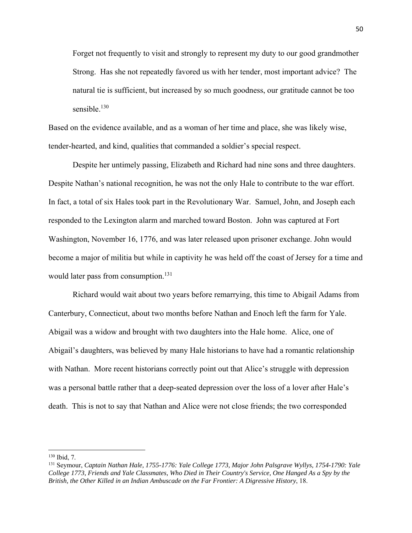Forget not frequently to visit and strongly to represent my duty to our good grandmother Strong. Has she not repeatedly favored us with her tender, most important advice? The natural tie is sufficient, but increased by so much goodness, our gratitude cannot be too sensible. $130$ 

Based on the evidence available, and as a woman of her time and place, she was likely wise, tender-hearted, and kind, qualities that commanded a soldier's special respect.

 Despite her untimely passing, Elizabeth and Richard had nine sons and three daughters. Despite Nathan's national recognition, he was not the only Hale to contribute to the war effort. In fact, a total of six Hales took part in the Revolutionary War. Samuel, John, and Joseph each responded to the Lexington alarm and marched toward Boston. John was captured at Fort Washington, November 16, 1776, and was later released upon prisoner exchange. John would become a major of militia but while in captivity he was held off the coast of Jersey for a time and would later pass from consumption.<sup>131</sup>

 Richard would wait about two years before remarrying, this time to Abigail Adams from Canterbury, Connecticut, about two months before Nathan and Enoch left the farm for Yale. Abigail was a widow and brought with two daughters into the Hale home. Alice, one of Abigail's daughters, was believed by many Hale historians to have had a romantic relationship with Nathan. More recent historians correctly point out that Alice's struggle with depression was a personal battle rather that a deep-seated depression over the loss of a lover after Hale's death. This is not to say that Nathan and Alice were not close friends; the two corresponded

<sup>130</sup> Ibid, 7.

<sup>131</sup> Seymour, *Captain Nathan Hale, 1755-1776: Yale College 1773, Major John Palsgrave Wyllys, 1754-1790: Yale College 1773, Friends and Yale Classmates, Who Died in Their Country's Service, One Hanged As a Spy by the British, the Other Killed in an Indian Ambuscade on the Far Frontier: A Digressive History*, 18.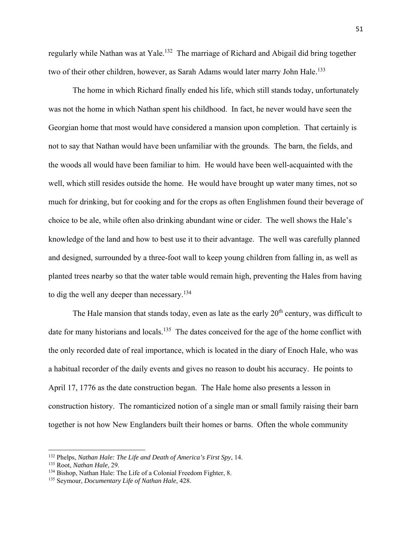regularly while Nathan was at Yale.<sup>132</sup> The marriage of Richard and Abigail did bring together two of their other children, however, as Sarah Adams would later marry John Hale.<sup>133</sup>

The home in which Richard finally ended his life, which still stands today, unfortunately was not the home in which Nathan spent his childhood. In fact, he never would have seen the Georgian home that most would have considered a mansion upon completion. That certainly is not to say that Nathan would have been unfamiliar with the grounds. The barn, the fields, and the woods all would have been familiar to him. He would have been well-acquainted with the well, which still resides outside the home. He would have brought up water many times, not so much for drinking, but for cooking and for the crops as often Englishmen found their beverage of choice to be ale, while often also drinking abundant wine or cider. The well shows the Hale's knowledge of the land and how to best use it to their advantage. The well was carefully planned and designed, surrounded by a three-foot wall to keep young children from falling in, as well as planted trees nearby so that the water table would remain high, preventing the Hales from having to dig the well any deeper than necessary.<sup>134</sup>

The Hale mansion that stands today, even as late as the early  $20<sup>th</sup>$  century, was difficult to date for many historians and locals.<sup>135</sup> The dates conceived for the age of the home conflict with the only recorded date of real importance, which is located in the diary of Enoch Hale, who was a habitual recorder of the daily events and gives no reason to doubt his accuracy. He points to April 17, 1776 as the date construction began. The Hale home also presents a lesson in construction history. The romanticized notion of a single man or small family raising their barn together is not how New Englanders built their homes or barns. Often the whole community

<sup>132</sup> Phelps, *Nathan Hale: The Life and Death of America's First Spy*, 14.

<sup>133</sup> Root, *Nathan Hale*, 29.

<sup>134</sup> Bishop, Nathan Hale: The Life of a Colonial Freedom Fighter, 8. 135 Seymour, *Documentary Life of Nathan Hale*, 428.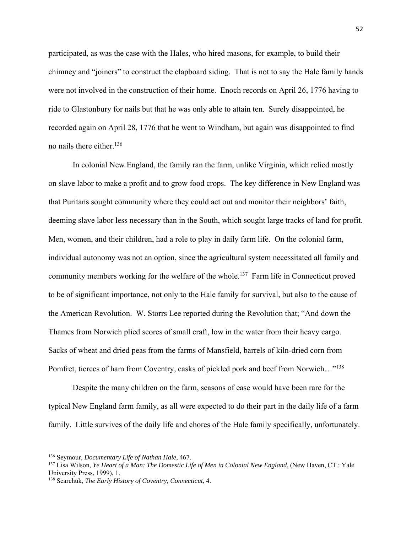participated, as was the case with the Hales, who hired masons, for example, to build their chimney and "joiners" to construct the clapboard siding. That is not to say the Hale family hands were not involved in the construction of their home. Enoch records on April 26, 1776 having to ride to Glastonbury for nails but that he was only able to attain ten. Surely disappointed, he recorded again on April 28, 1776 that he went to Windham, but again was disappointed to find no nails there either.<sup>136</sup>

In colonial New England, the family ran the farm, unlike Virginia, which relied mostly on slave labor to make a profit and to grow food crops. The key difference in New England was that Puritans sought community where they could act out and monitor their neighbors' faith, deeming slave labor less necessary than in the South, which sought large tracks of land for profit. Men, women, and their children, had a role to play in daily farm life. On the colonial farm, individual autonomy was not an option, since the agricultural system necessitated all family and community members working for the welfare of the whole.<sup>137</sup> Farm life in Connecticut proved to be of significant importance, not only to the Hale family for survival, but also to the cause of the American Revolution. W. Storrs Lee reported during the Revolution that; "And down the Thames from Norwich plied scores of small craft, low in the water from their heavy cargo. Sacks of wheat and dried peas from the farms of Mansfield, barrels of kiln-dried corn from Pomfret, tierces of ham from Coventry, casks of pickled pork and beef from Norwich…"138

Despite the many children on the farm, seasons of ease would have been rare for the typical New England farm family, as all were expected to do their part in the daily life of a farm family. Little survives of the daily life and chores of the Hale family specifically, unfortunately.

<sup>136</sup> Seymour, *Documentary Life of Nathan Hale*, 467.

<sup>137</sup> Lisa Wilson, *Ye Heart of a Man: The Domestic Life of Men in Colonial New England*, (New Haven, CT.: Yale University Press, 1999), 1.

<sup>138</sup> Scarchuk, *The Early History of Coventry, Connecticut*, 4.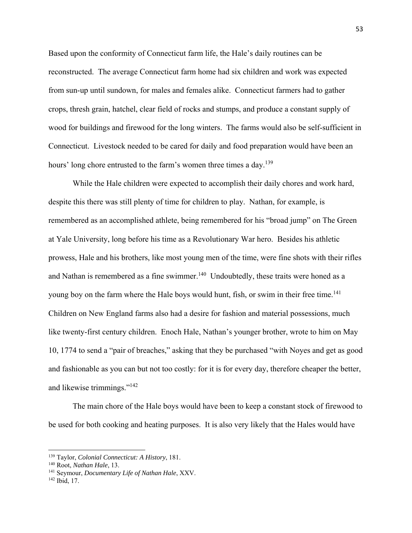Based upon the conformity of Connecticut farm life, the Hale's daily routines can be reconstructed. The average Connecticut farm home had six children and work was expected from sun-up until sundown, for males and females alike. Connecticut farmers had to gather crops, thresh grain, hatchel, clear field of rocks and stumps, and produce a constant supply of wood for buildings and firewood for the long winters. The farms would also be self-sufficient in Connecticut. Livestock needed to be cared for daily and food preparation would have been an hours' long chore entrusted to the farm's women three times a day.<sup>139</sup>

While the Hale children were expected to accomplish their daily chores and work hard, despite this there was still plenty of time for children to play. Nathan, for example, is remembered as an accomplished athlete, being remembered for his "broad jump" on The Green at Yale University, long before his time as a Revolutionary War hero. Besides his athletic prowess, Hale and his brothers, like most young men of the time, were fine shots with their rifles and Nathan is remembered as a fine swimmer.<sup>140</sup> Undoubtedly, these traits were honed as a young boy on the farm where the Hale boys would hunt, fish, or swim in their free time.<sup>141</sup> Children on New England farms also had a desire for fashion and material possessions, much like twenty-first century children. Enoch Hale, Nathan's younger brother, wrote to him on May 10, 1774 to send a "pair of breaches," asking that they be purchased "with Noyes and get as good and fashionable as you can but not too costly: for it is for every day, therefore cheaper the better, and likewise trimmings."<sup>142</sup>

The main chore of the Hale boys would have been to keep a constant stock of firewood to be used for both cooking and heating purposes. It is also very likely that the Hales would have

<sup>139</sup> Taylor, *Colonial Connecticut: A History*, 181.

<sup>&</sup>lt;sup>141</sup> Seymour, *Documentary Life of Nathan Hale*, XXV.<br><sup>142</sup> Ibid, 17.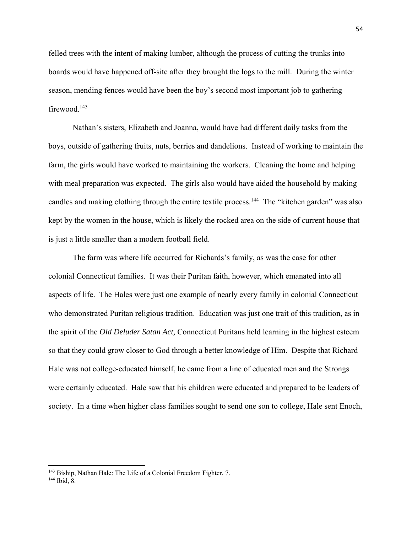felled trees with the intent of making lumber, although the process of cutting the trunks into boards would have happened off-site after they brought the logs to the mill. During the winter season, mending fences would have been the boy's second most important job to gathering firewood.<sup>143</sup>

Nathan's sisters, Elizabeth and Joanna, would have had different daily tasks from the boys, outside of gathering fruits, nuts, berries and dandelions. Instead of working to maintain the farm, the girls would have worked to maintaining the workers. Cleaning the home and helping with meal preparation was expected. The girls also would have aided the household by making candles and making clothing through the entire textile process.<sup>144</sup> The "kitchen garden" was also kept by the women in the house, which is likely the rocked area on the side of current house that is just a little smaller than a modern football field.

The farm was where life occurred for Richards's family, as was the case for other colonial Connecticut families. It was their Puritan faith, however, which emanated into all aspects of life. The Hales were just one example of nearly every family in colonial Connecticut who demonstrated Puritan religious tradition. Education was just one trait of this tradition, as in the spirit of the *Old Deluder Satan Act,* Connecticut Puritans held learning in the highest esteem so that they could grow closer to God through a better knowledge of Him. Despite that Richard Hale was not college-educated himself, he came from a line of educated men and the Strongs were certainly educated. Hale saw that his children were educated and prepared to be leaders of society. In a time when higher class families sought to send one son to college, Hale sent Enoch,

<sup>143</sup> Biship, Nathan Hale: The Life of a Colonial Freedom Fighter, 7. 144 Ibid, 8.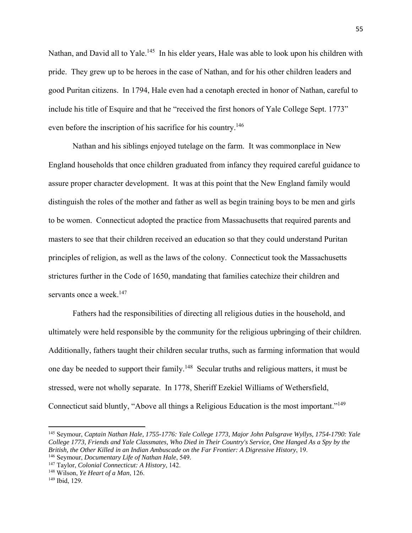Nathan, and David all to Yale.<sup>145</sup> In his elder years, Hale was able to look upon his children with pride. They grew up to be heroes in the case of Nathan, and for his other children leaders and good Puritan citizens. In 1794, Hale even had a cenotaph erected in honor of Nathan, careful to include his title of Esquire and that he "received the first honors of Yale College Sept. 1773" even before the inscription of his sacrifice for his country.<sup>146</sup>

Nathan and his siblings enjoyed tutelage on the farm. It was commonplace in New England households that once children graduated from infancy they required careful guidance to assure proper character development. It was at this point that the New England family would distinguish the roles of the mother and father as well as begin training boys to be men and girls to be women. Connecticut adopted the practice from Massachusetts that required parents and masters to see that their children received an education so that they could understand Puritan principles of religion, as well as the laws of the colony. Connecticut took the Massachusetts strictures further in the Code of 1650, mandating that families catechize their children and servants once a week.<sup>147</sup>

Fathers had the responsibilities of directing all religious duties in the household, and ultimately were held responsible by the community for the religious upbringing of their children. Additionally, fathers taught their children secular truths, such as farming information that would one day be needed to support their family.<sup>148</sup> Secular truths and religious matters, it must be stressed, were not wholly separate. In 1778, Sheriff Ezekiel Williams of Wethersfield, Connecticut said bluntly, "Above all things a Religious Education is the most important."149

<sup>145</sup> Seymour, *Captain Nathan Hale, 1755-1776: Yale College 1773, Major John Palsgrave Wyllys, 1754-1790: Yale College 1773, Friends and Yale Classmates, Who Died in Their Country's Service, One Hanged As a Spy by the British, the Other Killed in an Indian Ambuscade on the Far Frontier: A Digressive History*, 19.

<sup>146</sup> Seymour, *Documentary Life of Nathan Hale*, 549.

<sup>147</sup> Taylor, *Colonial Connecticut: A History*, 142.

<sup>148</sup> Wilson, *Ye Heart of a Man*, 126.

<sup>149</sup> Ibid, 129.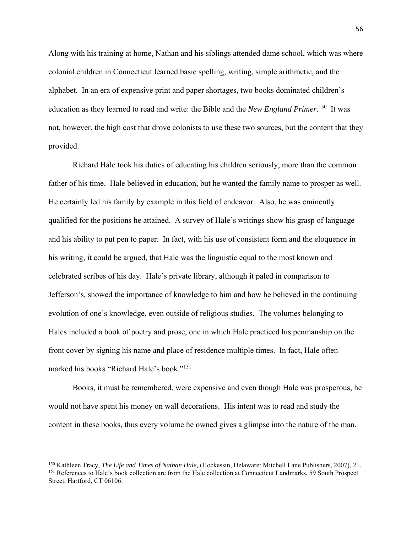Along with his training at home, Nathan and his siblings attended dame school, which was where colonial children in Connecticut learned basic spelling, writing, simple arithmetic, and the alphabet. In an era of expensive print and paper shortages, two books dominated children's education as they learned to read and write: the Bible and the *New England Primer*.<sup>150</sup> It was not, however, the high cost that drove colonists to use these two sources, but the content that they provided.

Richard Hale took his duties of educating his children seriously, more than the common father of his time. Hale believed in education, but he wanted the family name to prosper as well. He certainly led his family by example in this field of endeavor. Also, he was eminently qualified for the positions he attained. A survey of Hale's writings show his grasp of language and his ability to put pen to paper. In fact, with his use of consistent form and the eloquence in his writing, it could be argued, that Hale was the linguistic equal to the most known and celebrated scribes of his day. Hale's private library, although it paled in comparison to Jefferson's, showed the importance of knowledge to him and how he believed in the continuing evolution of one's knowledge, even outside of religious studies. The volumes belonging to Hales included a book of poetry and prose, one in which Hale practiced his penmanship on the front cover by signing his name and place of residence multiple times. In fact, Hale often marked his books "Richard Hale's book."151

Books, it must be remembered, were expensive and even though Hale was prosperous, he would not have spent his money on wall decorations. His intent was to read and study the content in these books, thus every volume he owned gives a glimpse into the nature of the man.

<sup>150</sup> Kathleen Tracy, *The Life and Times of Nathan Hale,* (Hockessin, Delaware: Mitchell Lane Publishers, 2007), 21.

<sup>151</sup> References to Hale's book collection are from the Hale collection at Connecticut Landmarks, 59 South Prospect Street, Hartford, CT 06106.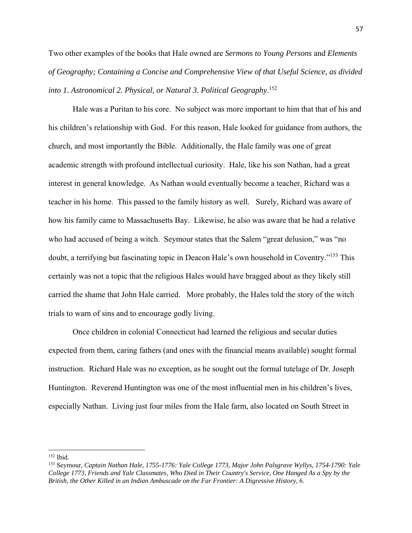Two other examples of the books that Hale owned are *Sermons to Young Persons* and *Elements of Geography; Containing a Concise and Comprehensive View of that Useful Science, as divided into 1. Astronomical 2. Physical, or Natural 3. Political Geography*. 152

Hale was a Puritan to his core. No subject was more important to him that that of his and his children's relationship with God. For this reason, Hale looked for guidance from authors, the church, and most importantly the Bible. Additionally, the Hale family was one of great academic strength with profound intellectual curiosity. Hale, like his son Nathan, had a great interest in general knowledge. As Nathan would eventually become a teacher, Richard was a teacher in his home. This passed to the family history as well. Surely, Richard was aware of how his family came to Massachusetts Bay. Likewise, he also was aware that he had a relative who had accused of being a witch. Seymour states that the Salem "great delusion," was "no doubt, a terrifying but fascinating topic in Deacon Hale's own household in Coventry."153 This certainly was not a topic that the religious Hales would have bragged about as they likely still carried the shame that John Hale carried. More probably, the Hales told the story of the witch trials to warn of sins and to encourage godly living.

Once children in colonial Connecticut had learned the religious and secular duties expected from them, caring fathers (and ones with the financial means available) sought formal instruction. Richard Hale was no exception, as he sought out the formal tutelage of Dr. Joseph Huntington. Reverend Huntington was one of the most influential men in his children's lives, especially Nathan. Living just four miles from the Hale farm, also located on South Street in

 $152$  Ibid.

<sup>153</sup> Seymour, *Captain Nathan Hale, 1755-1776: Yale College 1773, Major John Palsgrave Wyllys, 1754-1790: Yale College 1773, Friends and Yale Classmates, Who Died in Their Country's Service, One Hanged As a Spy by the British, the Other Killed in an Indian Ambuscade on the Far Frontier: A Digressive History,* 6.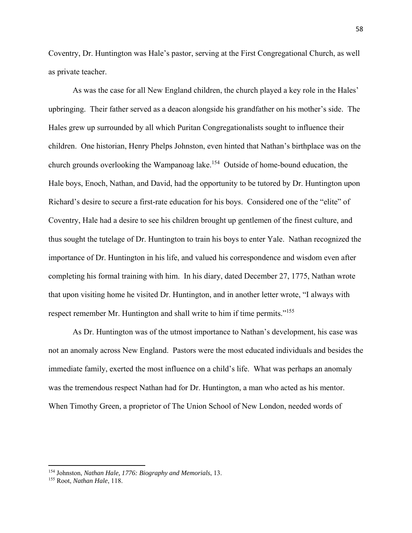Coventry, Dr. Huntington was Hale's pastor, serving at the First Congregational Church, as well as private teacher.

As was the case for all New England children, the church played a key role in the Hales' upbringing. Their father served as a deacon alongside his grandfather on his mother's side. The Hales grew up surrounded by all which Puritan Congregationalists sought to influence their children. One historian, Henry Phelps Johnston, even hinted that Nathan's birthplace was on the church grounds overlooking the Wampanoag lake.<sup>154</sup> Outside of home-bound education, the Hale boys, Enoch, Nathan, and David, had the opportunity to be tutored by Dr. Huntington upon Richard's desire to secure a first-rate education for his boys. Considered one of the "elite" of Coventry, Hale had a desire to see his children brought up gentlemen of the finest culture, and thus sought the tutelage of Dr. Huntington to train his boys to enter Yale. Nathan recognized the importance of Dr. Huntington in his life, and valued his correspondence and wisdom even after completing his formal training with him. In his diary, dated December 27, 1775, Nathan wrote that upon visiting home he visited Dr. Huntington, and in another letter wrote, "I always with respect remember Mr. Huntington and shall write to him if time permits."<sup>155</sup>

As Dr. Huntington was of the utmost importance to Nathan's development, his case was not an anomaly across New England. Pastors were the most educated individuals and besides the immediate family, exerted the most influence on a child's life. What was perhaps an anomaly was the tremendous respect Nathan had for Dr. Huntington, a man who acted as his mentor. When Timothy Green, a proprietor of The Union School of New London, needed words of

<sup>154</sup> Johnston, *Nathan Hale, 1776: Biography and Memorials*, 13.

<sup>155</sup> Root, *Nathan Hale*, 118.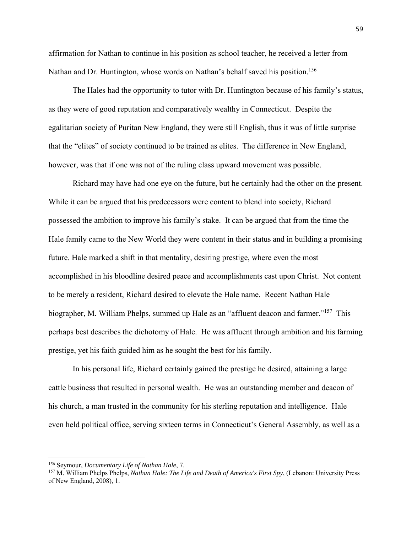affirmation for Nathan to continue in his position as school teacher, he received a letter from Nathan and Dr. Huntington, whose words on Nathan's behalf saved his position.<sup>156</sup>

The Hales had the opportunity to tutor with Dr. Huntington because of his family's status, as they were of good reputation and comparatively wealthy in Connecticut. Despite the egalitarian society of Puritan New England, they were still English, thus it was of little surprise that the "elites" of society continued to be trained as elites. The difference in New England, however, was that if one was not of the ruling class upward movement was possible.

Richard may have had one eye on the future, but he certainly had the other on the present. While it can be argued that his predecessors were content to blend into society, Richard possessed the ambition to improve his family's stake. It can be argued that from the time the Hale family came to the New World they were content in their status and in building a promising future. Hale marked a shift in that mentality, desiring prestige, where even the most accomplished in his bloodline desired peace and accomplishments cast upon Christ. Not content to be merely a resident, Richard desired to elevate the Hale name. Recent Nathan Hale biographer, M. William Phelps, summed up Hale as an "affluent deacon and farmer."<sup>157</sup> This perhaps best describes the dichotomy of Hale. He was affluent through ambition and his farming prestige, yet his faith guided him as he sought the best for his family.

In his personal life, Richard certainly gained the prestige he desired, attaining a large cattle business that resulted in personal wealth. He was an outstanding member and deacon of his church, a man trusted in the community for his sterling reputation and intelligence. Hale even held political office, serving sixteen terms in Connecticut's General Assembly, as well as a

<sup>156</sup> Seymour, *Documentary Life of Nathan Hale*, 7.

<sup>157</sup> M. William Phelps Phelps, *Nathan Hale: The Life and Death of America's First Spy*, (Lebanon: University Press of New England, 2008), 1.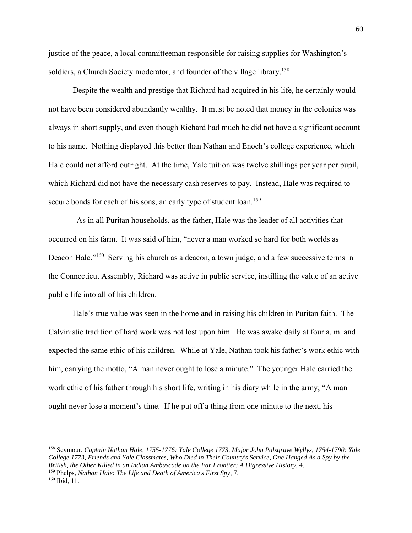justice of the peace, a local committeeman responsible for raising supplies for Washington's soldiers, a Church Society moderator, and founder of the village library.<sup>158</sup>

Despite the wealth and prestige that Richard had acquired in his life, he certainly would not have been considered abundantly wealthy. It must be noted that money in the colonies was always in short supply, and even though Richard had much he did not have a significant account to his name. Nothing displayed this better than Nathan and Enoch's college experience, which Hale could not afford outright. At the time, Yale tuition was twelve shillings per year per pupil, which Richard did not have the necessary cash reserves to pay. Instead, Hale was required to secure bonds for each of his sons, an early type of student loan.<sup>159</sup>

 As in all Puritan households, as the father, Hale was the leader of all activities that occurred on his farm. It was said of him, "never a man worked so hard for both worlds as Deacon Hale."<sup>160</sup> Serving his church as a deacon, a town judge, and a few successive terms in the Connecticut Assembly, Richard was active in public service, instilling the value of an active public life into all of his children.

Hale's true value was seen in the home and in raising his children in Puritan faith. The Calvinistic tradition of hard work was not lost upon him. He was awake daily at four a. m. and expected the same ethic of his children. While at Yale, Nathan took his father's work ethic with him, carrying the motto, "A man never ought to lose a minute." The younger Hale carried the work ethic of his father through his short life, writing in his diary while in the army; "A man ought never lose a moment's time. If he put off a thing from one minute to the next, his

<sup>158</sup> Seymour, *Captain Nathan Hale, 1755-1776: Yale College 1773, Major John Palsgrave Wyllys, 1754-1790: Yale College 1773, Friends and Yale Classmates, Who Died in Their Country's Service, One Hanged As a Spy by the British, the Other Killed in an Indian Ambuscade on the Far Frontier: A Digressive History*, 4.

<sup>159</sup> Phelps, *Nathan Hale: The Life and Death of America's First Spy*, 7.

<sup>160</sup> Ibid, 11.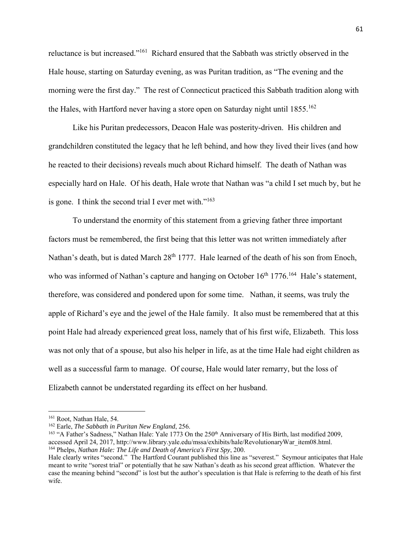reluctance is but increased."161 Richard ensured that the Sabbath was strictly observed in the Hale house, starting on Saturday evening, as was Puritan tradition, as "The evening and the morning were the first day." The rest of Connecticut practiced this Sabbath tradition along with the Hales, with Hartford never having a store open on Saturday night until  $1855$ <sup>162</sup>

Like his Puritan predecessors, Deacon Hale was posterity-driven. His children and grandchildren constituted the legacy that he left behind, and how they lived their lives (and how he reacted to their decisions) reveals much about Richard himself. The death of Nathan was especially hard on Hale. Of his death, Hale wrote that Nathan was "a child I set much by, but he is gone. I think the second trial I ever met with." $163$ 

To understand the enormity of this statement from a grieving father three important factors must be remembered, the first being that this letter was not written immediately after Nathan's death, but is dated March 28<sup>th</sup> 1777. Hale learned of the death of his son from Enoch, who was informed of Nathan's capture and hanging on October  $16<sup>th</sup> 1776<sup>164</sup>$  Hale's statement, therefore, was considered and pondered upon for some time. Nathan, it seems, was truly the apple of Richard's eye and the jewel of the Hale family. It also must be remembered that at this point Hale had already experienced great loss, namely that of his first wife, Elizabeth. This loss was not only that of a spouse, but also his helper in life, as at the time Hale had eight children as well as a successful farm to manage. Of course, Hale would later remarry, but the loss of Elizabeth cannot be understated regarding its effect on her husband.

<sup>&</sup>lt;sup>161</sup> Root, Nathan Hale, 54.

<sup>162</sup> Earle, *The Sabbath in Puritan New England*, 256.

<sup>&</sup>lt;sup>163</sup> "A Father's Sadness," Nathan Hale: Yale 1773 On the 250<sup>th</sup> Anniversary of His Birth, last modified 2009, accessed April 24, 2017, http://www.library.yale.edu/mssa/exhibits/hale/RevolutionaryWar\_item08.html. 164 Phelps, *Nathan Hale: The Life and Death of America's First Spy*, 200.

Hale clearly writes "second." The Hartford Courant published this line as "severest." Seymour anticipates that Hale meant to write "sorest trial" or potentially that he saw Nathan's death as his second great affliction. Whatever the case the meaning behind "second" is lost but the author's speculation is that Hale is referring to the death of his first wife.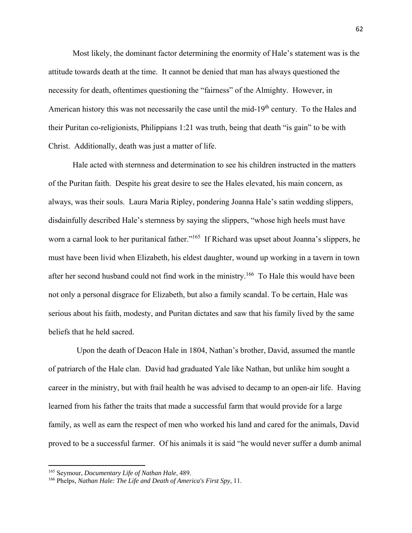Most likely, the dominant factor determining the enormity of Hale's statement was is the attitude towards death at the time. It cannot be denied that man has always questioned the necessity for death, oftentimes questioning the "fairness" of the Almighty. However, in American history this was not necessarily the case until the mid-19<sup>th</sup> century. To the Hales and their Puritan co-religionists, Philippians 1:21 was truth, being that death "is gain" to be with Christ. Additionally, death was just a matter of life.

Hale acted with sternness and determination to see his children instructed in the matters of the Puritan faith. Despite his great desire to see the Hales elevated, his main concern, as always, was their souls. Laura Maria Ripley, pondering Joanna Hale's satin wedding slippers, disdainfully described Hale's sternness by saying the slippers, "whose high heels must have worn a carnal look to her puritanical father."<sup>165</sup> If Richard was upset about Joanna's slippers, he must have been livid when Elizabeth, his eldest daughter, wound up working in a tavern in town after her second husband could not find work in the ministry.<sup>166</sup> To Hale this would have been not only a personal disgrace for Elizabeth, but also a family scandal. To be certain, Hale was serious about his faith, modesty, and Puritan dictates and saw that his family lived by the same beliefs that he held sacred.

 Upon the death of Deacon Hale in 1804, Nathan's brother, David, assumed the mantle of patriarch of the Hale clan. David had graduated Yale like Nathan, but unlike him sought a career in the ministry, but with frail health he was advised to decamp to an open-air life. Having learned from his father the traits that made a successful farm that would provide for a large family, as well as earn the respect of men who worked his land and cared for the animals, David proved to be a successful farmer. Of his animals it is said "he would never suffer a dumb animal

<sup>165</sup> Seymour, *Documentary Life of Nathan Hale*, 489.

<sup>166</sup> Phelps, *Nathan Hale: The Life and Death of America's First Spy*, 11.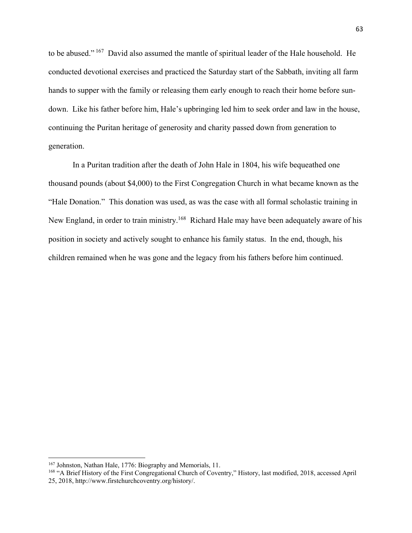to be abused." 167 David also assumed the mantle of spiritual leader of the Hale household. He conducted devotional exercises and practiced the Saturday start of the Sabbath, inviting all farm hands to supper with the family or releasing them early enough to reach their home before sundown. Like his father before him, Hale's upbringing led him to seek order and law in the house, continuing the Puritan heritage of generosity and charity passed down from generation to generation.

In a Puritan tradition after the death of John Hale in 1804, his wife bequeathed one thousand pounds (about \$4,000) to the First Congregation Church in what became known as the "Hale Donation." This donation was used, as was the case with all formal scholastic training in New England, in order to train ministry.<sup>168</sup> Richard Hale may have been adequately aware of his position in society and actively sought to enhance his family status. In the end, though, his children remained when he was gone and the legacy from his fathers before him continued.

<sup>&</sup>lt;sup>167</sup> Johnston, Nathan Hale, 1776: Biography and Memorials, 11.

<sup>168 &</sup>quot;A Brief History of the First Congregational Church of Coventry," History, last modified, 2018, accessed April 25, 2018, http://www.firstchurchcoventry.org/history/.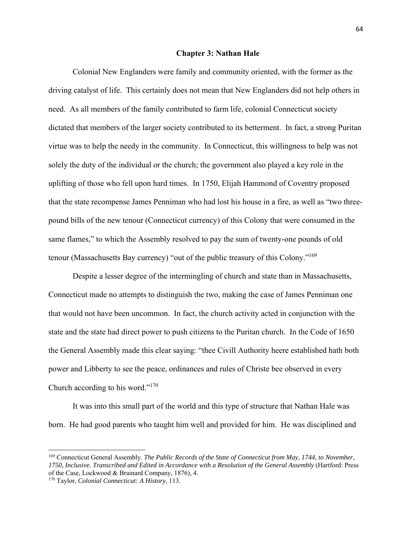### **Chapter 3: Nathan Hale**

Colonial New Englanders were family and community oriented, with the former as the driving catalyst of life. This certainly does not mean that New Englanders did not help others in need. As all members of the family contributed to farm life, colonial Connecticut society dictated that members of the larger society contributed to its betterment. In fact, a strong Puritan virtue was to help the needy in the community. In Connecticut, this willingness to help was not solely the duty of the individual or the church; the government also played a key role in the uplifting of those who fell upon hard times. In 1750, Elijah Hammond of Coventry proposed that the state recompense James Penniman who had lost his house in a fire, as well as "two threepound bills of the new tenour (Connecticut currency) of this Colony that were consumed in the same flames," to which the Assembly resolved to pay the sum of twenty-one pounds of old tenour (Massachusetts Bay currency) "out of the public treasury of this Colony."169

Despite a lesser degree of the intermingling of church and state than in Massachusetts, Connecticut made no attempts to distinguish the two, making the case of James Penniman one that would not have been uncommon. In fact, the church activity acted in conjunction with the state and the state had direct power to push citizens to the Puritan church. In the Code of 1650 the General Assembly made this clear saying: "thee Civill Authority heere established hath both power and Libberty to see the peace, ordinances and rules of Christe bee observed in every Church according to his word."<sup>170</sup>

It was into this small part of the world and this type of structure that Nathan Hale was born. He had good parents who taught him well and provided for him. He was disciplined and

<sup>169</sup> Connecticut General Assembly. *The Public Records of the State of Connecticut from May, 1744, to November, 1750, Inclusive. Transcribed and Edited in Accordance with a Resolution of the General Assembly* (Hartford: Press of the Case, Lockwood & Brainard Company, 1876), 4.

<sup>170</sup> Taylor, *Colonial Connecticut: A History*, 113.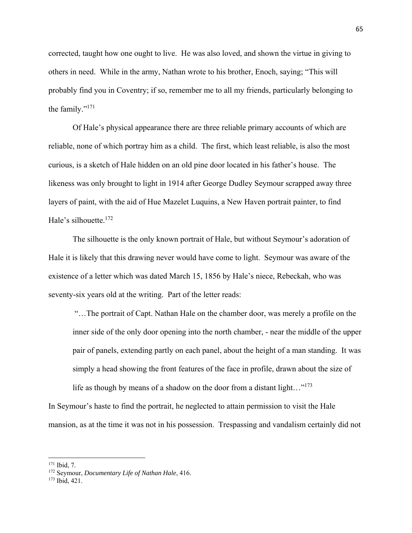corrected, taught how one ought to live. He was also loved, and shown the virtue in giving to others in need. While in the army, Nathan wrote to his brother, Enoch, saying; "This will probably find you in Coventry; if so, remember me to all my friends, particularly belonging to the family."171

Of Hale's physical appearance there are three reliable primary accounts of which are reliable, none of which portray him as a child. The first, which least reliable, is also the most curious, is a sketch of Hale hidden on an old pine door located in his father's house. The likeness was only brought to light in 1914 after George Dudley Seymour scrapped away three layers of paint, with the aid of Hue Mazelet Luquins, a New Haven portrait painter, to find Hale's silhouette.<sup>172</sup>

The silhouette is the only known portrait of Hale, but without Seymour's adoration of Hale it is likely that this drawing never would have come to light. Seymour was aware of the existence of a letter which was dated March 15, 1856 by Hale's niece, Rebeckah, who was seventy-six years old at the writing. Part of the letter reads:

"…The portrait of Capt. Nathan Hale on the chamber door, was merely a profile on the inner side of the only door opening into the north chamber, - near the middle of the upper pair of panels, extending partly on each panel, about the height of a man standing. It was simply a head showing the front features of the face in profile, drawn about the size of life as though by means of a shadow on the door from a distant light..."<sup>173</sup>

In Seymour's haste to find the portrait, he neglected to attain permission to visit the Hale mansion, as at the time it was not in his possession. Trespassing and vandalism certainly did not

<sup>171</sup> Ibid, 7.

<sup>172</sup> Seymour, *Documentary Life of Nathan Hale*, 416.

<sup>173</sup> Ibid, 421.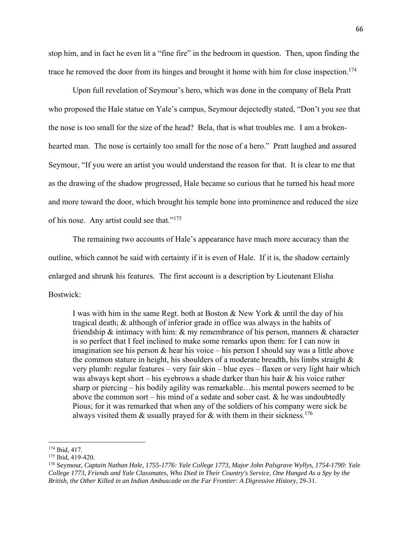stop him, and in fact he even lit a "fine fire" in the bedroom in question. Then, upon finding the trace he removed the door from its hinges and brought it home with him for close inspection.<sup>174</sup>

 Upon full revelation of Seymour's hero, which was done in the company of Bela Pratt who proposed the Hale statue on Yale's campus, Seymour dejectedly stated, "Don't you see that the nose is too small for the size of the head? Bela, that is what troubles me. I am a brokenhearted man. The nose is certainly too small for the nose of a hero." Pratt laughed and assured Seymour, "If you were an artist you would understand the reason for that. It is clear to me that as the drawing of the shadow progressed, Hale became so curious that he turned his head more and more toward the door, which brought his temple bone into prominence and reduced the size of his nose. Any artist could see that."175

 The remaining two accounts of Hale's appearance have much more accuracy than the outline, which cannot be said with certainty if it is even of Hale. If it is, the shadow certainly enlarged and shrunk his features. The first account is a description by Lieutenant Elisha Bostwick:

I was with him in the same Regt. both at Boston & New York & until the day of his tragical death; & although of inferior grade in office was always in the habits of friendship & intimacy with him: & my remembrance of his person, manners & character is so perfect that I feel inclined to make some remarks upon them: for I can now in imagination see his person  $\&$  hear his voice – his person I should say was a little above the common stature in height, his shoulders of a moderate breadth, his limbs straight  $\&$ very plumb: regular features – very fair skin – blue eyes – flaxen or very light hair which was always kept short – his eyebrows a shade darker than his hair & his voice rather sharp or piercing – his bodily agility was remarkable…his mental powers seemed to be above the common sort – his mind of a sedate and sober cast.  $\&$  he was undoubtedly Pious; for it was remarked that when any of the soldiers of his company were sick he always visited them & usually prayed for & with them in their sickness.<sup>176</sup>

<sup>174</sup> Ibid, 417.

<sup>175</sup> Ibid, 419-420.

<sup>176</sup> Seymour, *Captain Nathan Hale, 1755-1776: Yale College 1773, Major John Palsgrave Wyllys, 1754-1790: Yale College 1773, Friends and Yale Classmates, Who Died in Their Country's Service, One Hanged As a Spy by the British, the Other Killed in an Indian Ambuscade on the Far Frontier: A Digressive History*, 29-31.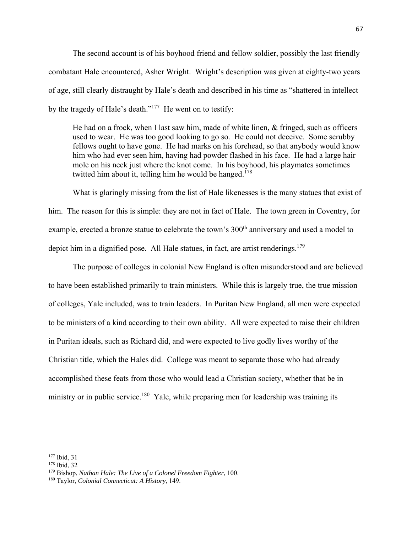The second account is of his boyhood friend and fellow soldier, possibly the last friendly combatant Hale encountered, Asher Wright. Wright's description was given at eighty-two years of age, still clearly distraught by Hale's death and described in his time as "shattered in intellect by the tragedy of Hale's death."177 He went on to testify:

He had on a frock, when I last saw him, made of white linen, & fringed, such as officers used to wear. He was too good looking to go so. He could not deceive. Some scrubby fellows ought to have gone. He had marks on his forehead, so that anybody would know him who had ever seen him, having had powder flashed in his face. He had a large hair mole on his neck just where the knot come. In his boyhood, his playmates sometimes twitted him about it, telling him he would be hanged.<sup>178</sup>

What is glaringly missing from the list of Hale likenesses is the many statues that exist of him. The reason for this is simple: they are not in fact of Hale. The town green in Coventry, for example, erected a bronze statue to celebrate the town's 300<sup>th</sup> anniversary and used a model to depict him in a dignified pose. All Hale statues, in fact, are artist renderings.<sup>179</sup>

The purpose of colleges in colonial New England is often misunderstood and are believed to have been established primarily to train ministers. While this is largely true, the true mission of colleges, Yale included, was to train leaders. In Puritan New England, all men were expected to be ministers of a kind according to their own ability. All were expected to raise their children in Puritan ideals, such as Richard did, and were expected to live godly lives worthy of the Christian title, which the Hales did. College was meant to separate those who had already accomplished these feats from those who would lead a Christian society, whether that be in ministry or in public service.<sup>180</sup> Yale, while preparing men for leadership was training its

 177 Ibid, 31

<sup>178</sup> Ibid, 32

<sup>179</sup> Bishop, *Nathan Hale: The Live of a Colonel Freedom Fighter*, 100.

<sup>180</sup> Taylor, *Colonial Connecticut: A History*, 149.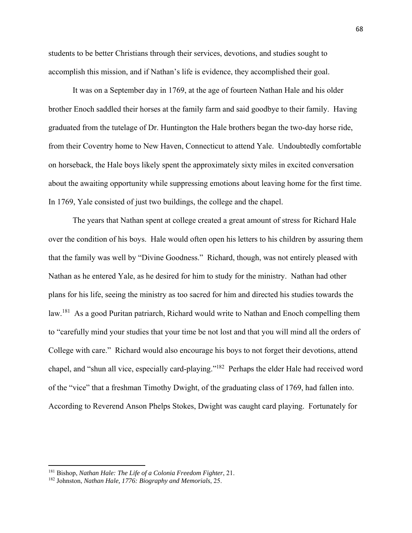students to be better Christians through their services, devotions, and studies sought to accomplish this mission, and if Nathan's life is evidence, they accomplished their goal.

It was on a September day in 1769, at the age of fourteen Nathan Hale and his older brother Enoch saddled their horses at the family farm and said goodbye to their family. Having graduated from the tutelage of Dr. Huntington the Hale brothers began the two-day horse ride, from their Coventry home to New Haven, Connecticut to attend Yale. Undoubtedly comfortable on horseback, the Hale boys likely spent the approximately sixty miles in excited conversation about the awaiting opportunity while suppressing emotions about leaving home for the first time. In 1769, Yale consisted of just two buildings, the college and the chapel.

The years that Nathan spent at college created a great amount of stress for Richard Hale over the condition of his boys. Hale would often open his letters to his children by assuring them that the family was well by "Divine Goodness." Richard, though, was not entirely pleased with Nathan as he entered Yale, as he desired for him to study for the ministry. Nathan had other plans for his life, seeing the ministry as too sacred for him and directed his studies towards the law.<sup>181</sup> As a good Puritan patriarch, Richard would write to Nathan and Enoch compelling them to "carefully mind your studies that your time be not lost and that you will mind all the orders of College with care." Richard would also encourage his boys to not forget their devotions, attend chapel, and "shun all vice, especially card-playing."182 Perhaps the elder Hale had received word of the "vice" that a freshman Timothy Dwight, of the graduating class of 1769, had fallen into. According to Reverend Anson Phelps Stokes, Dwight was caught card playing. Fortunately for

<sup>181</sup> Bishop, *Nathan Hale: The Life of a Colonia Freedom Fighter*, 21.

<sup>182</sup> Johnston, *Nathan Hale, 1776: Biography and Memorials*, 25.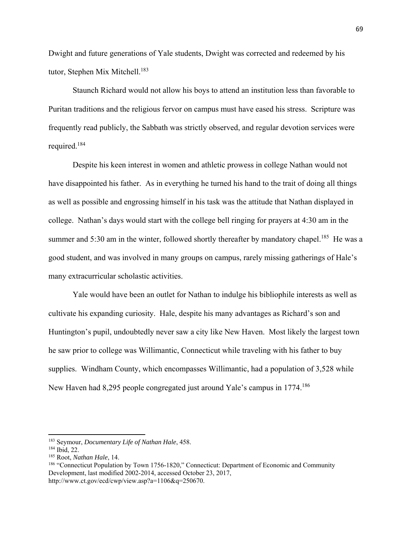Dwight and future generations of Yale students, Dwight was corrected and redeemed by his tutor, Stephen Mix Mitchell.<sup>183</sup>

Staunch Richard would not allow his boys to attend an institution less than favorable to Puritan traditions and the religious fervor on campus must have eased his stress. Scripture was frequently read publicly, the Sabbath was strictly observed, and regular devotion services were required.184

 Despite his keen interest in women and athletic prowess in college Nathan would not have disappointed his father. As in everything he turned his hand to the trait of doing all things as well as possible and engrossing himself in his task was the attitude that Nathan displayed in college. Nathan's days would start with the college bell ringing for prayers at 4:30 am in the summer and 5:30 am in the winter, followed shortly thereafter by mandatory chapel.<sup>185</sup> He was a good student, and was involved in many groups on campus, rarely missing gatherings of Hale's many extracurricular scholastic activities.

Yale would have been an outlet for Nathan to indulge his bibliophile interests as well as cultivate his expanding curiosity. Hale, despite his many advantages as Richard's son and Huntington's pupil, undoubtedly never saw a city like New Haven. Most likely the largest town he saw prior to college was Willimantic, Connecticut while traveling with his father to buy supplies. Windham County, which encompasses Willimantic, had a population of 3,528 while New Haven had 8,295 people congregated just around Yale's campus in 1774.186

<sup>183</sup> Seymour, *Documentary Life of Nathan Hale*, 458.

<sup>184</sup> Ibid, 22.

<sup>185</sup> Root, *Nathan Hale*, 14.

<sup>186 &</sup>quot;Connecticut Population by Town 1756-1820," Connecticut: Department of Economic and Community Development, last modified 2002-2014, accessed October 23, 2017, http://www.ct.gov/ecd/cwp/view.asp?a=1106&q=250670.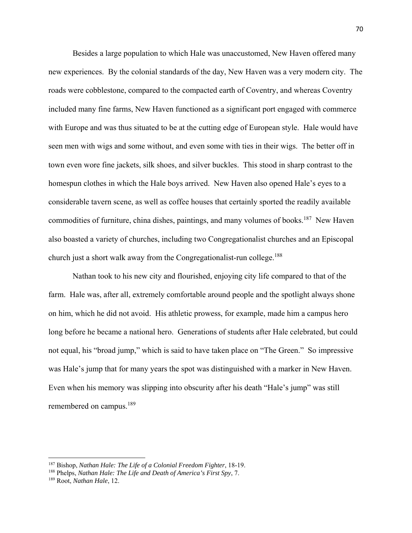Besides a large population to which Hale was unaccustomed, New Haven offered many new experiences. By the colonial standards of the day, New Haven was a very modern city. The roads were cobblestone, compared to the compacted earth of Coventry, and whereas Coventry included many fine farms, New Haven functioned as a significant port engaged with commerce with Europe and was thus situated to be at the cutting edge of European style. Hale would have seen men with wigs and some without, and even some with ties in their wigs. The better off in town even wore fine jackets, silk shoes, and silver buckles. This stood in sharp contrast to the homespun clothes in which the Hale boys arrived. New Haven also opened Hale's eyes to a considerable tavern scene, as well as coffee houses that certainly sported the readily available commodities of furniture, china dishes, paintings, and many volumes of books.<sup>187</sup> New Haven also boasted a variety of churches, including two Congregationalist churches and an Episcopal church just a short walk away from the Congregationalist-run college.<sup>188</sup>

Nathan took to his new city and flourished, enjoying city life compared to that of the farm. Hale was, after all, extremely comfortable around people and the spotlight always shone on him, which he did not avoid. His athletic prowess, for example, made him a campus hero long before he became a national hero. Generations of students after Hale celebrated, but could not equal, his "broad jump," which is said to have taken place on "The Green." So impressive was Hale's jump that for many years the spot was distinguished with a marker in New Haven. Even when his memory was slipping into obscurity after his death "Hale's jump" was still remembered on campus.<sup>189</sup>

<sup>187</sup> Bishop, *Nathan Hale: The Life of a Colonial Freedom Fighter*, 18-19.

<sup>188</sup> Phelps, *Nathan Hale: The Life and Death of America's First Spy*, 7.

<sup>189</sup> Root, *Nathan Hale*, 12.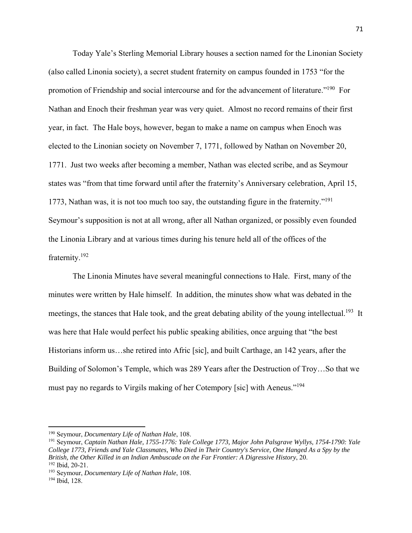Today Yale's Sterling Memorial Library houses a section named for the Linonian Society (also called Linonia society), a secret student fraternity on campus founded in 1753 "for the promotion of Friendship and social intercourse and for the advancement of literature."190 For Nathan and Enoch their freshman year was very quiet. Almost no record remains of their first year, in fact. The Hale boys, however, began to make a name on campus when Enoch was elected to the Linonian society on November 7, 1771, followed by Nathan on November 20, 1771. Just two weeks after becoming a member, Nathan was elected scribe, and as Seymour states was "from that time forward until after the fraternity's Anniversary celebration, April 15, 1773, Nathan was, it is not too much too say, the outstanding figure in the fraternity."191 Seymour's supposition is not at all wrong, after all Nathan organized, or possibly even founded the Linonia Library and at various times during his tenure held all of the offices of the fraternity.192

The Linonia Minutes have several meaningful connections to Hale. First, many of the minutes were written by Hale himself. In addition, the minutes show what was debated in the meetings, the stances that Hale took, and the great debating ability of the young intellectual.<sup>193</sup> It was here that Hale would perfect his public speaking abilities, once arguing that "the best Historians inform us…she retired into Afric [sic], and built Carthage, an 142 years, after the Building of Solomon's Temple, which was 289 Years after the Destruction of Troy…So that we must pay no regards to Virgils making of her Cotempory [sic] with Aeneus."194

<sup>190</sup> Seymour, *Documentary Life of Nathan Hale*, 108.

<sup>191</sup> Seymour, *Captain Nathan Hale, 1755-1776: Yale College 1773, Major John Palsgrave Wyllys, 1754-1790: Yale College 1773, Friends and Yale Classmates, Who Died in Their Country's Service, One Hanged As a Spy by the British, the Other Killed in an Indian Ambuscade on the Far Frontier: A Digressive History*, 20. 192 Ibid, 20-21.

<sup>193</sup> Seymour, *Documentary Life of Nathan Hale*, 108.

<sup>194</sup> Ibid, 128.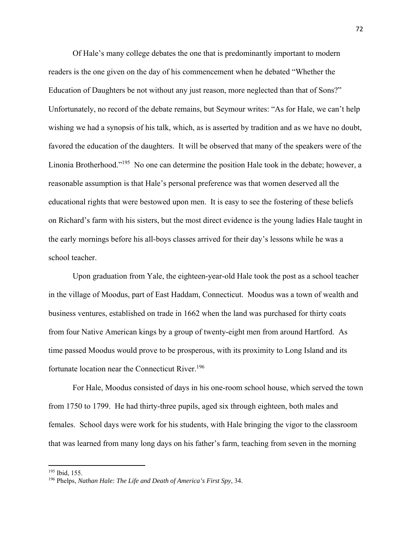Of Hale's many college debates the one that is predominantly important to modern readers is the one given on the day of his commencement when he debated "Whether the Education of Daughters be not without any just reason, more neglected than that of Sons?" Unfortunately, no record of the debate remains, but Seymour writes: "As for Hale, we can't help wishing we had a synopsis of his talk, which, as is asserted by tradition and as we have no doubt, favored the education of the daughters. It will be observed that many of the speakers were of the Linonia Brotherhood."<sup>195</sup> No one can determine the position Hale took in the debate; however, a reasonable assumption is that Hale's personal preference was that women deserved all the educational rights that were bestowed upon men. It is easy to see the fostering of these beliefs on Richard's farm with his sisters, but the most direct evidence is the young ladies Hale taught in the early mornings before his all-boys classes arrived for their day's lessons while he was a school teacher.

Upon graduation from Yale, the eighteen-year-old Hale took the post as a school teacher in the village of Moodus, part of East Haddam, Connecticut. Moodus was a town of wealth and business ventures, established on trade in 1662 when the land was purchased for thirty coats from four Native American kings by a group of twenty-eight men from around Hartford. As time passed Moodus would prove to be prosperous, with its proximity to Long Island and its fortunate location near the Connecticut River.<sup>196</sup>

For Hale, Moodus consisted of days in his one-room school house, which served the town from 1750 to 1799. He had thirty-three pupils, aged six through eighteen, both males and females. School days were work for his students, with Hale bringing the vigor to the classroom that was learned from many long days on his father's farm, teaching from seven in the morning

<sup>195</sup> Ibid, 155.

<sup>196</sup> Phelps, *Nathan Hale: The Life and Death of America's First Spy*, 34.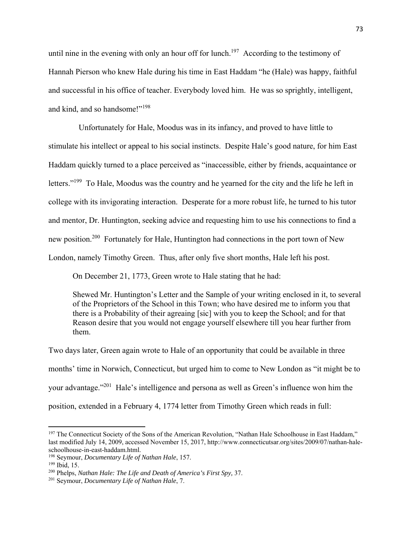until nine in the evening with only an hour off for lunch.<sup>197</sup> According to the testimony of Hannah Pierson who knew Hale during his time in East Haddam "he (Hale) was happy, faithful and successful in his office of teacher. Everybody loved him. He was so sprightly, intelligent, and kind, and so handsome!"<sup>198</sup>

 Unfortunately for Hale, Moodus was in its infancy, and proved to have little to stimulate his intellect or appeal to his social instincts. Despite Hale's good nature, for him East Haddam quickly turned to a place perceived as "inaccessible, either by friends, acquaintance or letters."199 To Hale, Moodus was the country and he yearned for the city and the life he left in college with its invigorating interaction. Desperate for a more robust life, he turned to his tutor and mentor, Dr. Huntington, seeking advice and requesting him to use his connections to find a new position.200 Fortunately for Hale, Huntington had connections in the port town of New London, namely Timothy Green. Thus, after only five short months, Hale left his post.

On December 21, 1773, Green wrote to Hale stating that he had:

Shewed Mr. Huntington's Letter and the Sample of your writing enclosed in it, to several of the Proprietors of the School in this Town; who have desired me to inform you that there is a Probability of their agreaing [sic] with you to keep the School; and for that Reason desire that you would not engage yourself elsewhere till you hear further from them.

Two days later, Green again wrote to Hale of an opportunity that could be available in three months' time in Norwich, Connecticut, but urged him to come to New London as "it might be to your advantage."201 Hale's intelligence and persona as well as Green's influence won him the position, extended in a February 4, 1774 letter from Timothy Green which reads in full:

<sup>&</sup>lt;sup>197</sup> The Connecticut Society of the Sons of the American Revolution, "Nathan Hale Schoolhouse in East Haddam," last modified July 14, 2009, accessed November 15, 2017, http://www.connecticutsar.org/sites/2009/07/nathan-haleschoolhouse-in-east-haddam.html.

<sup>198</sup> Seymour, *Documentary Life of Nathan Hale*, 157.

<sup>199</sup> Ibid, 15.

<sup>200</sup> Phelps, *Nathan Hale: The Life and Death of America's First Spy,* 37.

<sup>201</sup> Seymour, *Documentary Life of Nathan Hale*, 7.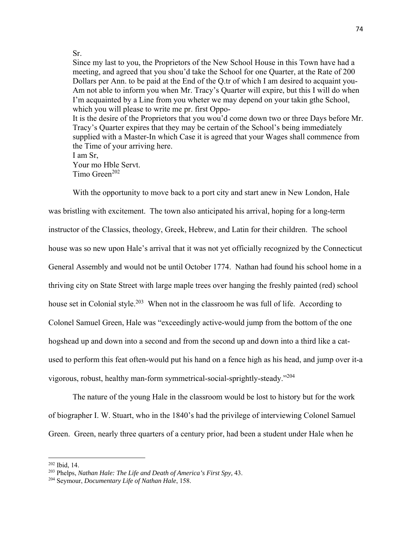# Sr.

Since my last to you, the Proprietors of the New School House in this Town have had a meeting, and agreed that you shou'd take the School for one Quarter, at the Rate of 200 Dollars per Ann. to be paid at the End of the Q.tr of which I am desired to acquaint you-Am not able to inform you when Mr. Tracy's Quarter will expire, but this I will do when I'm acquainted by a Line from you wheter we may depend on your takin gthe School, which you will please to write me pr. first Oppo-It is the desire of the Proprietors that you wou'd come down two or three Days before Mr. Tracy's Quarter expires that they may be certain of the School's being immediately supplied with a Master-In which Case it is agreed that your Wages shall commence from the Time of your arriving here. I am Sr, Your mo Hble Servt. Timo Green<sup>202</sup>

With the opportunity to move back to a port city and start anew in New London, Hale was bristling with excitement. The town also anticipated his arrival, hoping for a long-term instructor of the Classics, theology, Greek, Hebrew, and Latin for their children. The school house was so new upon Hale's arrival that it was not yet officially recognized by the Connecticut General Assembly and would not be until October 1774. Nathan had found his school home in a thriving city on State Street with large maple trees over hanging the freshly painted (red) school house set in Colonial style.<sup>203</sup> When not in the classroom he was full of life. According to Colonel Samuel Green, Hale was "exceedingly active-would jump from the bottom of the one hogshead up and down into a second and from the second up and down into a third like a catused to perform this feat often-would put his hand on a fence high as his head, and jump over it-a vigorous, robust, healthy man-form symmetrical-social-sprightly-steady."<sup>204</sup>

The nature of the young Hale in the classroom would be lost to history but for the work of biographer I. W. Stuart, who in the 1840's had the privilege of interviewing Colonel Samuel Green. Green, nearly three quarters of a century prior, had been a student under Hale when he

<sup>202</sup> Ibid, 14.

<sup>203</sup> Phelps, *Nathan Hale: The Life and Death of America's First Spy,* 43.

<sup>204</sup> Seymour, *Documentary Life of Nathan Hale*, 158.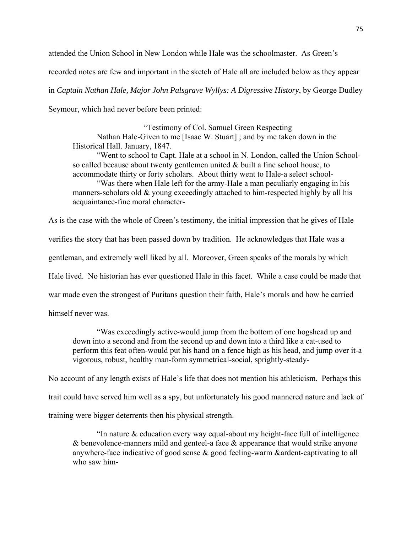attended the Union School in New London while Hale was the schoolmaster. As Green's

recorded notes are few and important in the sketch of Hale all are included below as they appear

in *Captain Nathan Hale, Major John Palsgrave Wyllys: A Digressive History*, by George Dudley

Seymour, which had never before been printed:

"Testimony of Col. Samuel Green Respecting Nathan Hale-Given to me [Isaac W. Stuart] ; and by me taken down in the Historical Hall. January, 1847.

"Went to school to Capt. Hale at a school in N. London, called the Union Schoolso called because about twenty gentlemen united & built a fine school house, to accommodate thirty or forty scholars. About thirty went to Hale-a select school-

"Was there when Hale left for the army-Hale a man peculiarly engaging in his manners-scholars old & young exceedingly attached to him-respected highly by all his acquaintance-fine moral character-

As is the case with the whole of Green's testimony, the initial impression that he gives of Hale verifies the story that has been passed down by tradition. He acknowledges that Hale was a gentleman, and extremely well liked by all. Moreover, Green speaks of the morals by which Hale lived. No historian has ever questioned Hale in this facet. While a case could be made that war made even the strongest of Puritans question their faith, Hale's morals and how he carried himself never was.

"Was exceedingly active-would jump from the bottom of one hogshead up and down into a second and from the second up and down into a third like a cat-used to perform this feat often-would put his hand on a fence high as his head, and jump over it-a vigorous, robust, healthy man-form symmetrical-social, sprightly-steady-

No account of any length exists of Hale's life that does not mention his athleticism. Perhaps this trait could have served him well as a spy, but unfortunately his good mannered nature and lack of training were bigger deterrents then his physical strength.

"In nature & education every way equal-about my height-face full of intelligence & benevolence-manners mild and genteel-a face & appearance that would strike anyone anywhere-face indicative of good sense & good feeling-warm &ardent-captivating to all who saw him-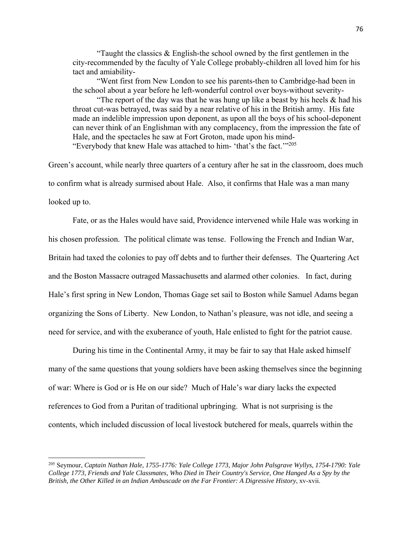"Taught the classics  $\&$  English-the school owned by the first gentlemen in the city-recommended by the faculty of Yale College probably-children all loved him for his tact and amiability-

"Went first from New London to see his parents-then to Cambridge-had been in the school about a year before he left-wonderful control over boys-without severity-

"The report of the day was that he was hung up like a beast by his heels  $\&$  had his throat cut-was betrayed, twas said by a near relative of his in the British army. His fate made an indelible impression upon deponent, as upon all the boys of his school-deponent can never think of an Englishman with any complacency, from the impression the fate of Hale, and the spectacles he saw at Fort Groton, made upon his mind- "Everybody that knew Hale was attached to him- 'that's the fact.'"205

Green's account, while nearly three quarters of a century after he sat in the classroom, does much to confirm what is already surmised about Hale. Also, it confirms that Hale was a man many looked up to.

Fate, or as the Hales would have said, Providence intervened while Hale was working in his chosen profession. The political climate was tense. Following the French and Indian War, Britain had taxed the colonies to pay off debts and to further their defenses. The Quartering Act and the Boston Massacre outraged Massachusetts and alarmed other colonies. In fact, during Hale's first spring in New London, Thomas Gage set sail to Boston while Samuel Adams began organizing the Sons of Liberty. New London, to Nathan's pleasure, was not idle, and seeing a need for service, and with the exuberance of youth, Hale enlisted to fight for the patriot cause.

During his time in the Continental Army, it may be fair to say that Hale asked himself many of the same questions that young soldiers have been asking themselves since the beginning of war: Where is God or is He on our side? Much of Hale's war diary lacks the expected references to God from a Puritan of traditional upbringing. What is not surprising is the contents, which included discussion of local livestock butchered for meals, quarrels within the

<sup>205</sup> Seymour, *Captain Nathan Hale, 1755-1776: Yale College 1773, Major John Palsgrave Wyllys, 1754-1790: Yale College 1773, Friends and Yale Classmates, Who Died in Their Country's Service, One Hanged As a Spy by the British, the Other Killed in an Indian Ambuscade on the Far Frontier: A Digressive History*, xv-xvii.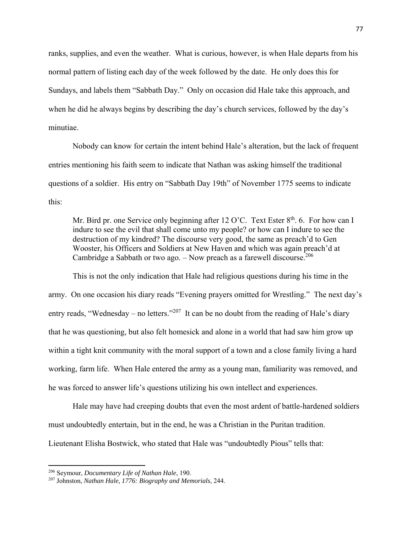ranks, supplies, and even the weather. What is curious, however, is when Hale departs from his normal pattern of listing each day of the week followed by the date. He only does this for Sundays, and labels them "Sabbath Day." Only on occasion did Hale take this approach, and when he did he always begins by describing the day's church services, followed by the day's minutiae.

Nobody can know for certain the intent behind Hale's alteration, but the lack of frequent entries mentioning his faith seem to indicate that Nathan was asking himself the traditional questions of a soldier. His entry on "Sabbath Day 19th" of November 1775 seems to indicate this:

Mr. Bird pr. one Service only beginning after 12 O'C. Text Ester  $8<sup>th</sup>$ . 6. For how can I indure to see the evil that shall come unto my people? or how can I indure to see the destruction of my kindred? The discourse very good, the same as preach'd to Gen Wooster, his Officers and Soldiers at New Haven and which was again preach'd at Cambridge a Sabbath or two ago.  $-$  Now preach as a farewell discourse.<sup>206</sup>

This is not the only indication that Hale had religious questions during his time in the army. On one occasion his diary reads "Evening prayers omitted for Wrestling." The next day's entry reads, "Wednesday – no letters."<sup>207</sup> It can be no doubt from the reading of Hale's diary that he was questioning, but also felt homesick and alone in a world that had saw him grow up within a tight knit community with the moral support of a town and a close family living a hard working, farm life. When Hale entered the army as a young man, familiarity was removed, and he was forced to answer life's questions utilizing his own intellect and experiences.

 Hale may have had creeping doubts that even the most ardent of battle-hardened soldiers must undoubtedly entertain, but in the end, he was a Christian in the Puritan tradition. Lieutenant Elisha Bostwick, who stated that Hale was "undoubtedly Pious" tells that:

<sup>206</sup> Seymour, *Documentary Life of Nathan Hale*, 190.

<sup>207</sup> Johnston, *Nathan Hale, 1776: Biography and Memorials*, 244.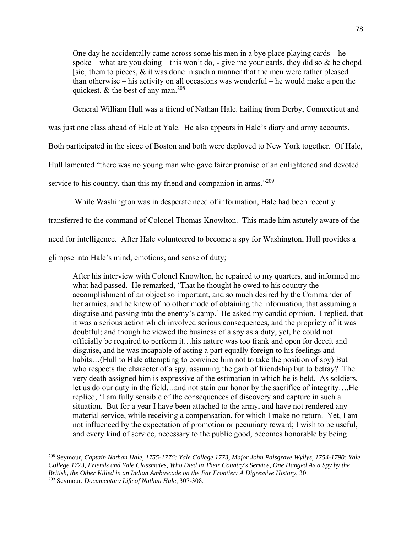One day he accidentally came across some his men in a bye place playing cards – he spoke – what are you doing – this won't do, - give me your cards, they did so  $\&$  he chopd [sic] them to pieces, & it was done in such a manner that the men were rather pleased than otherwise – his activity on all occasions was wonderful – he would make a pen the quickest. & the best of any man.<sup>208</sup>

General William Hull was a friend of Nathan Hale. hailing from Derby, Connecticut and

was just one class ahead of Hale at Yale. He also appears in Hale's diary and army accounts.

Both participated in the siege of Boston and both were deployed to New York together. Of Hale,

Hull lamented "there was no young man who gave fairer promise of an enlightened and devoted

service to his country, than this my friend and companion in arms."<sup>209</sup>

While Washington was in desperate need of information, Hale had been recently

transferred to the command of Colonel Thomas Knowlton. This made him astutely aware of the

need for intelligence. After Hale volunteered to become a spy for Washington, Hull provides a

glimpse into Hale's mind, emotions, and sense of duty;

After his interview with Colonel Knowlton, he repaired to my quarters, and informed me what had passed. He remarked, 'That he thought he owed to his country the accomplishment of an object so important, and so much desired by the Commander of her armies, and he knew of no other mode of obtaining the information, that assuming a disguise and passing into the enemy's camp.' He asked my candid opinion. I replied, that it was a serious action which involved serious consequences, and the propriety of it was doubtful; and though he viewed the business of a spy as a duty, yet, he could not officially be required to perform it…his nature was too frank and open for deceit and disguise, and he was incapable of acting a part equally foreign to his feelings and habits...(Hull to Hale attempting to convince him not to take the position of spy) But who respects the character of a spy, assuming the garb of friendship but to betray? The very death assigned him is expressive of the estimation in which he is held. As soldiers, let us do our duty in the field…and not stain our honor by the sacrifice of integrity….He replied, 'I am fully sensible of the consequences of discovery and capture in such a situation. But for a year I have been attached to the army, and have not rendered any material service, while receiving a compensation, for which I make no return. Yet, I am not influenced by the expectation of promotion or pecuniary reward; I wish to be useful, and every kind of service, necessary to the public good, becomes honorable by being

<sup>208</sup> Seymour, *Captain Nathan Hale, 1755-1776: Yale College 1773, Major John Palsgrave Wyllys, 1754-1790: Yale College 1773, Friends and Yale Classmates, Who Died in Their Country's Service, One Hanged As a Spy by the British, the Other Killed in an Indian Ambuscade on the Far Frontier: A Digressive History*, 30. 209 Seymour, *Documentary Life of Nathan Hale*, 307-308.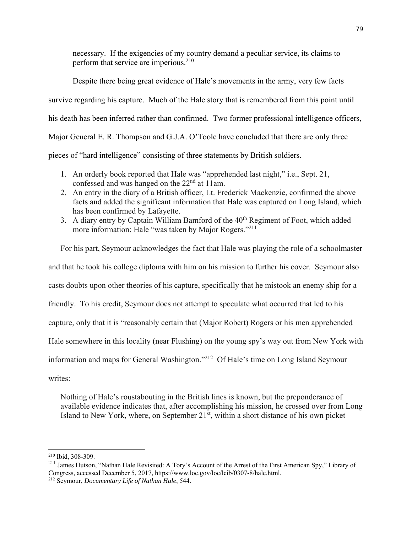necessary. If the exigencies of my country demand a peculiar service, its claims to perform that service are imperious. $210$ 

Despite there being great evidence of Hale's movements in the army, very few facts survive regarding his capture. Much of the Hale story that is remembered from this point until his death has been inferred rather than confirmed. Two former professional intelligence officers, Major General E. R. Thompson and G.J.A. O'Toole have concluded that there are only three pieces of "hard intelligence" consisting of three statements by British soldiers.

- 1. An orderly book reported that Hale was "apprehended last night," i.e., Sept. 21, confessed and was hanged on the  $22<sup>nd</sup>$  at 11am.
- 2. An entry in the diary of a British officer, Lt. Frederick Mackenzie, confirmed the above facts and added the significant information that Hale was captured on Long Island, which has been confirmed by Lafayette.
- 3. A diary entry by Captain William Bamford of the 40<sup>th</sup> Regiment of Foot, which added more information: Hale "was taken by Major Rogers."<sup>211</sup>

For his part, Seymour acknowledges the fact that Hale was playing the role of a schoolmaster and that he took his college diploma with him on his mission to further his cover. Seymour also casts doubts upon other theories of his capture, specifically that he mistook an enemy ship for a friendly. To his credit, Seymour does not attempt to speculate what occurred that led to his capture, only that it is "reasonably certain that (Major Robert) Rogers or his men apprehended Hale somewhere in this locality (near Flushing) on the young spy's way out from New York with information and maps for General Washington."212 Of Hale's time on Long Island Seymour

writes:

Nothing of Hale's roustabouting in the British lines is known, but the preponderance of available evidence indicates that, after accomplishing his mission, he crossed over from Long Island to New York, where, on September  $21<sup>st</sup>$ , within a short distance of his own picket

<sup>210</sup> Ibid, 308-309.

<sup>&</sup>lt;sup>211</sup> James Hutson, "Nathan Hale Revisited: A Tory's Account of the Arrest of the First American Spy," Library of Congress, accessed December 5, 2017, https://www.loc.gov/loc/lcib/0307-8/hale.html.

<sup>212</sup> Seymour, *Documentary Life of Nathan Hale*, 544.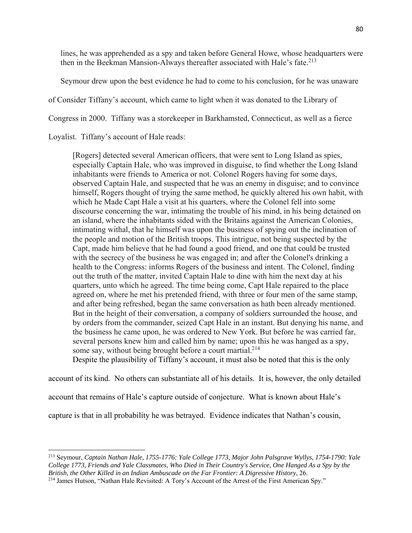lines, he was apprehended as a spy and taken before General Howe, whose headquarters were then in the Beekman Mansion-Always thereafter associated with Hale's fate.<sup>213</sup>

Seymour drew upon the best evidence he had to come to his conclusion, for he was unaware

of Consider Tiffany's account, which came to light when it was donated to the Library of

Congress in 2000. Tiffany was a storekeeper in Barkhamsted, Connecticut, as well as a fierce

Loyalist. Tiffany's account of Hale reads:

[Rogers] detected several American officers, that were sent to Long Island as spies, especially Captain Hale, who was improved in disguise, to find whether the Long Island inhabitants were friends to America or not. Colonel Rogers having for some days, observed Captain Hale, and suspected that he was an enemy in disguise; and to convince himself, Rogers thought of trying the same method, he quickly altered his own habit, with which he Made Capt Hale a visit at his quarters, where the Colonel fell into some discourse concerning the war, intimating the trouble of his mind, in his being detained on an island, where the inhabitants sided with the Britains against the American Colonies, intimating withal, that he himself was upon the business of spying out the inclination of the people and motion of the British troops. This intrigue, not being suspected by the Capt, made him believe that he had found a good friend, and one that could be trusted with the secrecy of the business he was engaged in; and after the Colonel's drinking a health to the Congress: informs Rogers of the business and intent. The Colonel, finding out the truth of the matter, invited Captain Hale to dine with him the next day at his quarters, unto which he agreed. The time being come, Capt Hale repaired to the place agreed on, where he met his pretended friend, with three or four men of the same stamp, and after being refreshed, began the same conversation as hath been already mentioned. But in the height of their conversation, a company of soldiers surrounded the house, and by orders from the commander, seized Capt Hale in an instant. But denying his name, and the business he came upon, he was ordered to New York. But before he was carried far, several persons knew him and called him by name; upon this he was hanged as a spy, some say, without being brought before a court martial.<sup>214</sup>

Despite the plausibility of Tiffany's account, it must also be noted that this is the only

account of its kind. No others can substantiate all of his details. It is, however, the only detailed

account that remains of Hale's capture outside of conjecture. What is known about Hale's

capture is that in all probability he was betrayed. Evidence indicates that Nathan's cousin,

<sup>213</sup> Seymour, *Captain Nathan Hale, 1755-1776: Yale College 1773, Major John Palsgrave Wyllys, 1754-1790: Yale College 1773, Friends and Yale Classmates, Who Died in Their Country's Service, One Hanged As a Spy by the British, the Other Killed in an Indian Ambuscade on the Far Frontier: A Digressive History, 26.* <sup>214</sup> James Hutson, "Nathan Hale Revisited: A Tory's Account of the Arrest of the First American Spy."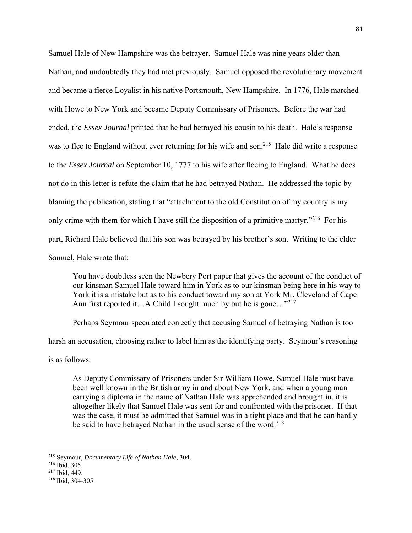Samuel Hale of New Hampshire was the betrayer. Samuel Hale was nine years older than Nathan, and undoubtedly they had met previously. Samuel opposed the revolutionary movement and became a fierce Loyalist in his native Portsmouth, New Hampshire. In 1776, Hale marched with Howe to New York and became Deputy Commissary of Prisoners. Before the war had ended, the *Essex Journal* printed that he had betrayed his cousin to his death. Hale's response was to flee to England without ever returning for his wife and son.<sup>215</sup> Hale did write a response to the *Essex Journal* on September 10, 1777 to his wife after fleeing to England. What he does not do in this letter is refute the claim that he had betrayed Nathan. He addressed the topic by blaming the publication, stating that "attachment to the old Constitution of my country is my only crime with them-for which I have still the disposition of a primitive martyr."<sup>216</sup> For his part, Richard Hale believed that his son was betrayed by his brother's son. Writing to the elder Samuel, Hale wrote that:

You have doubtless seen the Newbery Port paper that gives the account of the conduct of our kinsman Samuel Hale toward him in York as to our kinsman being here in his way to York it is a mistake but as to his conduct toward my son at York Mr. Cleveland of Cape Ann first reported it... A Child I sought much by but he is gone..."<sup>217</sup>

Perhaps Seymour speculated correctly that accusing Samuel of betraying Nathan is too

harsh an accusation, choosing rather to label him as the identifying party. Seymour's reasoning

is as follows:

As Deputy Commissary of Prisoners under Sir William Howe, Samuel Hale must have been well known in the British army in and about New York, and when a young man carrying a diploma in the name of Nathan Hale was apprehended and brought in, it is altogether likely that Samuel Hale was sent for and confronted with the prisoner. If that was the case, it must be admitted that Samuel was in a tight place and that he can hardly be said to have betrayed Nathan in the usual sense of the word.<sup>218</sup>

<sup>215</sup> Seymour, *Documentary Life of Nathan Hale*, 304.

<sup>216</sup> Ibid, 305.

<sup>217</sup> Ibid, 449.

<sup>218</sup> Ibid, 304-305.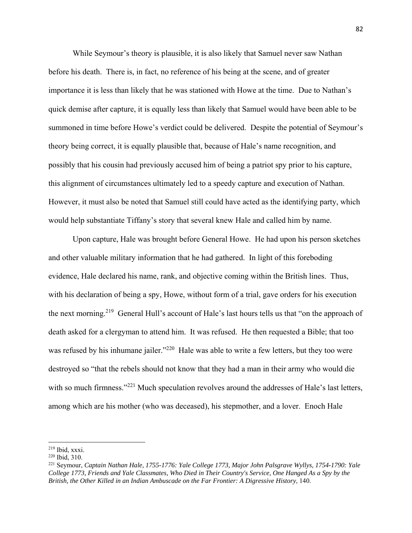While Seymour's theory is plausible, it is also likely that Samuel never saw Nathan before his death. There is, in fact, no reference of his being at the scene, and of greater importance it is less than likely that he was stationed with Howe at the time. Due to Nathan's quick demise after capture, it is equally less than likely that Samuel would have been able to be summoned in time before Howe's verdict could be delivered. Despite the potential of Seymour's theory being correct, it is equally plausible that, because of Hale's name recognition, and possibly that his cousin had previously accused him of being a patriot spy prior to his capture, this alignment of circumstances ultimately led to a speedy capture and execution of Nathan. However, it must also be noted that Samuel still could have acted as the identifying party, which would help substantiate Tiffany's story that several knew Hale and called him by name.

Upon capture, Hale was brought before General Howe. He had upon his person sketches and other valuable military information that he had gathered. In light of this foreboding evidence, Hale declared his name, rank, and objective coming within the British lines. Thus, with his declaration of being a spy, Howe, without form of a trial, gave orders for his execution the next morning.<sup>219</sup> General Hull's account of Hale's last hours tells us that "on the approach of death asked for a clergyman to attend him. It was refused. He then requested a Bible; that too was refused by his inhumane jailer."<sup>220</sup> Hale was able to write a few letters, but they too were destroyed so "that the rebels should not know that they had a man in their army who would die with so much firmness."<sup>221</sup> Much speculation revolves around the addresses of Hale's last letters, among which are his mother (who was deceased), his stepmother, and a lover. Enoch Hale

 $^{219}$  Ibid, xxxi.<br> $^{220}$  Ibid, 310.

<sup>&</sup>lt;sup>221</sup> Seymour, *Captain Nathan Hale, 1755-1776: Yale College 1773, Major John Palsgrave Wyllys, 1754-1790: Yale College 1773, Friends and Yale Classmates, Who Died in Their Country's Service, One Hanged As a Spy by the British, the Other Killed in an Indian Ambuscade on the Far Frontier: A Digressive History*, 140.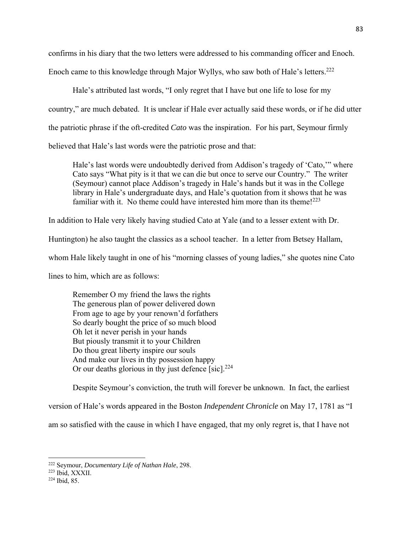confirms in his diary that the two letters were addressed to his commanding officer and Enoch.

Enoch came to this knowledge through Major Wyllys, who saw both of Hale's letters.<sup>222</sup>

Hale's attributed last words, "I only regret that I have but one life to lose for my country," are much debated. It is unclear if Hale ever actually said these words, or if he did utter the patriotic phrase if the oft-credited *Cato* was the inspiration. For his part, Seymour firmly believed that Hale's last words were the patriotic prose and that:

Hale's last words were undoubtedly derived from Addison's tragedy of 'Cato,'" where Cato says "What pity is it that we can die but once to serve our Country." The writer (Seymour) cannot place Addison's tragedy in Hale's hands but it was in the College library in Hale's undergraduate days, and Hale's quotation from it shows that he was familiar with it. No theme could have interested him more than its theme! $223$ 

In addition to Hale very likely having studied Cato at Yale (and to a lesser extent with Dr.

Huntington) he also taught the classics as a school teacher. In a letter from Betsey Hallam,

whom Hale likely taught in one of his "morning classes of young ladies," she quotes nine Cato

lines to him, which are as follows:

 Remember O my friend the laws the rights The generous plan of power delivered down From age to age by your renown'd forfathers So dearly bought the price of so much blood Oh let it never perish in your hands But piously transmit it to your Children Do thou great liberty inspire our souls And make our lives in thy possession happy Or our deaths glorious in thy just defence  $[sic]$ <sup>224</sup>

Despite Seymour's conviction, the truth will forever be unknown. In fact, the earliest

version of Hale's words appeared in the Boston *Independent Chronicle* on May 17, 1781 as "I

am so satisfied with the cause in which I have engaged, that my only regret is, that I have not

<sup>222</sup> Seymour, *Documentary Life of Nathan Hale*, 298.

<sup>223</sup> Ibid, XXXII. 224 Ibid, 85.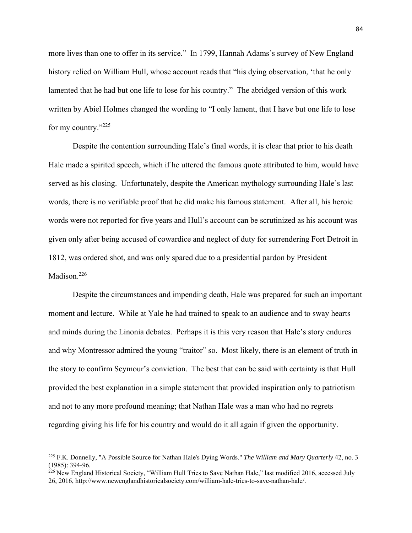more lives than one to offer in its service." In 1799, Hannah Adams's survey of New England history relied on William Hull, whose account reads that "his dying observation, 'that he only lamented that he had but one life to lose for his country." The abridged version of this work written by Abiel Holmes changed the wording to "I only lament, that I have but one life to lose for my country."225

Despite the contention surrounding Hale's final words, it is clear that prior to his death Hale made a spirited speech, which if he uttered the famous quote attributed to him, would have served as his closing. Unfortunately, despite the American mythology surrounding Hale's last words, there is no verifiable proof that he did make his famous statement. After all, his heroic words were not reported for five years and Hull's account can be scrutinized as his account was given only after being accused of cowardice and neglect of duty for surrendering Fort Detroit in 1812, was ordered shot, and was only spared due to a presidential pardon by President Madison.<sup>226</sup>

Despite the circumstances and impending death, Hale was prepared for such an important moment and lecture. While at Yale he had trained to speak to an audience and to sway hearts and minds during the Linonia debates. Perhaps it is this very reason that Hale's story endures and why Montressor admired the young "traitor" so. Most likely, there is an element of truth in the story to confirm Seymour's conviction. The best that can be said with certainty is that Hull provided the best explanation in a simple statement that provided inspiration only to patriotism and not to any more profound meaning; that Nathan Hale was a man who had no regrets regarding giving his life for his country and would do it all again if given the opportunity.

<sup>225</sup> F.K. Donnelly, "A Possible Source for Nathan Hale's Dying Words." *The William and Mary Quarterly* 42, no. 3 (1985): 394-96.

<sup>226</sup> New England Historical Society, "William Hull Tries to Save Nathan Hale," last modified 2016, accessed July 26, 2016, http://www.newenglandhistoricalsociety.com/william-hale-tries-to-save-nathan-hale/.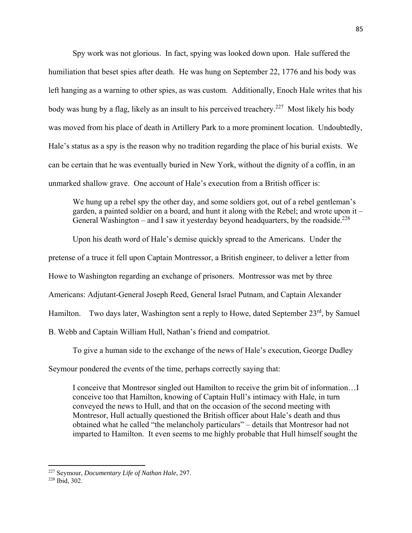Spy work was not glorious. In fact, spying was looked down upon. Hale suffered the humiliation that beset spies after death. He was hung on September 22, 1776 and his body was left hanging as a warning to other spies, as was custom. Additionally, Enoch Hale writes that his body was hung by a flag, likely as an insult to his perceived treachery.<sup>227</sup> Most likely his body was moved from his place of death in Artillery Park to a more prominent location. Undoubtedly, Hale's status as a spy is the reason why no tradition regarding the place of his burial exists. We can be certain that he was eventually buried in New York, without the dignity of a coffin, in an unmarked shallow grave. One account of Hale's execution from a British officer is:

We hung up a rebel spy the other day, and some soldiers got, out of a rebel gentleman's garden, a painted soldier on a board, and hunt it along with the Rebel; and wrote upon it – General Washington – and I saw it yesterday beyond headquarters, by the roadside.<sup>228</sup>

Upon his death word of Hale's demise quickly spread to the Americans. Under the pretense of a truce it fell upon Captain Montressor, a British engineer, to deliver a letter from Howe to Washington regarding an exchange of prisoners. Montressor was met by three Americans: Adjutant-General Joseph Reed, General Israel Putnam, and Captain Alexander Hamilton. Two days later, Washington sent a reply to Howe, dated September 23<sup>rd</sup>, by Samuel B. Webb and Captain William Hull, Nathan's friend and compatriot.

To give a human side to the exchange of the news of Hale's execution, George Dudley Seymour pondered the events of the time, perhaps correctly saying that:

I conceive that Montresor singled out Hamilton to receive the grim bit of information…I conceive too that Hamilton, knowing of Captain Hull's intimacy with Hale, in turn conveyed the news to Hull, and that on the occasion of the second meeting with Montresor, Hull actually questioned the British officer about Hale's death and thus obtained what he called "the melancholy particulars" – details that Montresor had not imparted to Hamilton. It even seems to me highly probable that Hull himself sought the

<sup>227</sup> Seymour, *Documentary Life of Nathan Hale*, 297.

<sup>228</sup> Ibid, 302.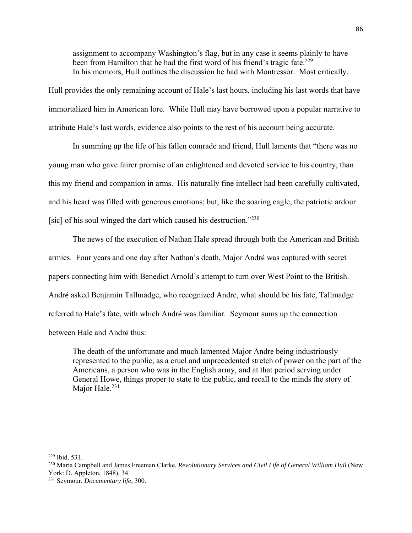assignment to accompany Washington's flag, but in any case it seems plainly to have been from Hamilton that he had the first word of his friend's tragic fate.<sup>229</sup> In his memoirs, Hull outlines the discussion he had with Montressor. Most critically,

Hull provides the only remaining account of Hale's last hours, including his last words that have immortalized him in American lore. While Hull may have borrowed upon a popular narrative to attribute Hale's last words, evidence also points to the rest of his account being accurate.

In summing up the life of his fallen comrade and friend, Hull laments that "there was no young man who gave fairer promise of an enlightened and devoted service to his country, than this my friend and companion in arms. His naturally fine intellect had been carefully cultivated, and his heart was filled with generous emotions; but, like the soaring eagle, the patriotic ardour [sic] of his soul winged the dart which caused his destruction."<sup>230</sup>

The news of the execution of Nathan Hale spread through both the American and British armies. Four years and one day after Nathan's death, Major André was captured with secret papers connecting him with Benedict Arnold's attempt to turn over West Point to the British. André asked Benjamin Tallmadge, who recognized Andre, what should be his fate, Tallmadge referred to Hale's fate, with which André was familiar. Seymour sums up the connection between Hale and André thus:

The death of the unfortunate and much lamented Major Andre being industriously represented to the public, as a cruel and unprecedented stretch of power on the part of the Americans, a person who was in the English army, and at that period serving under General Howe, things proper to state to the public, and recall to the minds the story of Major Hale.<sup>231</sup>

<sup>229</sup> Ibid, 531.

<sup>&</sup>lt;sup>230</sup> Maria Campbell and James Freeman Clarke. *Revolutionary Services and Civil Life of General William Hull* (New York: D. Appleton, 1848), 34.

<sup>231</sup> Seymour, *Documentary life*, 300.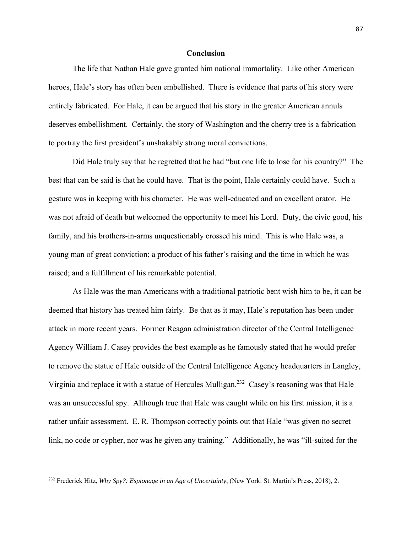# **Conclusion**

The life that Nathan Hale gave granted him national immortality. Like other American heroes, Hale's story has often been embellished. There is evidence that parts of his story were entirely fabricated. For Hale, it can be argued that his story in the greater American annuls deserves embellishment. Certainly, the story of Washington and the cherry tree is a fabrication to portray the first president's unshakably strong moral convictions.

Did Hale truly say that he regretted that he had "but one life to lose for his country?" The best that can be said is that he could have. That is the point, Hale certainly could have. Such a gesture was in keeping with his character. He was well-educated and an excellent orator. He was not afraid of death but welcomed the opportunity to meet his Lord. Duty, the civic good, his family, and his brothers-in-arms unquestionably crossed his mind. This is who Hale was, a young man of great conviction; a product of his father's raising and the time in which he was raised; and a fulfillment of his remarkable potential.

As Hale was the man Americans with a traditional patriotic bent wish him to be, it can be deemed that history has treated him fairly. Be that as it may, Hale's reputation has been under attack in more recent years. Former Reagan administration director of the Central Intelligence Agency William J. Casey provides the best example as he famously stated that he would prefer to remove the statue of Hale outside of the Central Intelligence Agency headquarters in Langley, Virginia and replace it with a statue of Hercules Mulligan.<sup>232</sup> Casey's reasoning was that Hale was an unsuccessful spy. Although true that Hale was caught while on his first mission, it is a rather unfair assessment. E. R. Thompson correctly points out that Hale "was given no secret link, no code or cypher, nor was he given any training." Additionally, he was "ill-suited for the

<sup>232</sup> Frederick Hitz, *Why Spy?: Espionage in an Age of Uncertainty*, (New York: St. Martin's Press, 2018), 2.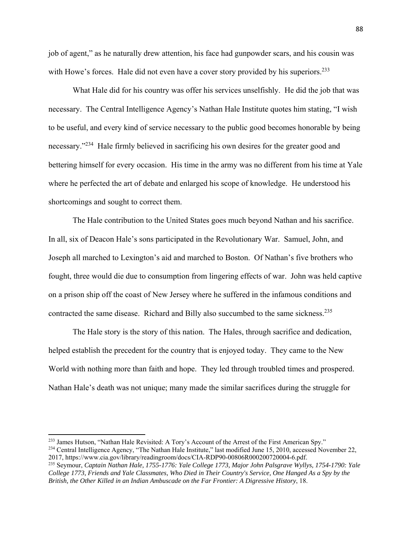job of agent," as he naturally drew attention, his face had gunpowder scars, and his cousin was with Howe's forces. Hale did not even have a cover story provided by his superiors.<sup>233</sup>

What Hale did for his country was offer his services unselfishly. He did the job that was necessary. The Central Intelligence Agency's Nathan Hale Institute quotes him stating, "I wish to be useful, and every kind of service necessary to the public good becomes honorable by being necessary."<sup>234</sup> Hale firmly believed in sacrificing his own desires for the greater good and bettering himself for every occasion. His time in the army was no different from his time at Yale where he perfected the art of debate and enlarged his scope of knowledge. He understood his shortcomings and sought to correct them.

The Hale contribution to the United States goes much beyond Nathan and his sacrifice. In all, six of Deacon Hale's sons participated in the Revolutionary War. Samuel, John, and Joseph all marched to Lexington's aid and marched to Boston. Of Nathan's five brothers who fought, three would die due to consumption from lingering effects of war. John was held captive on a prison ship off the coast of New Jersey where he suffered in the infamous conditions and contracted the same disease. Richard and Billy also succumbed to the same sickness.<sup>235</sup>

The Hale story is the story of this nation. The Hales, through sacrifice and dedication, helped establish the precedent for the country that is enjoyed today. They came to the New World with nothing more than faith and hope. They led through troubled times and prospered. Nathan Hale's death was not unique; many made the similar sacrifices during the struggle for

<sup>233</sup> James Hutson, "Nathan Hale Revisited: A Tory's Account of the Arrest of the First American Spy."

<sup>234</sup> Central Intelligence Agency, "The Nathan Hale Institute," last modified June 15, 2010, accessed November 22, 2017, https://www.cia.gov/library/readingroom/docs/CIA-RDP90-00806R000200720004-6.pdf.

<sup>235</sup> Seymour, *Captain Nathan Hale, 1755-1776: Yale College 1773, Major John Palsgrave Wyllys, 1754-1790: Yale College 1773, Friends and Yale Classmates, Who Died in Their Country's Service, One Hanged As a Spy by the British, the Other Killed in an Indian Ambuscade on the Far Frontier: A Digressive History*, 18.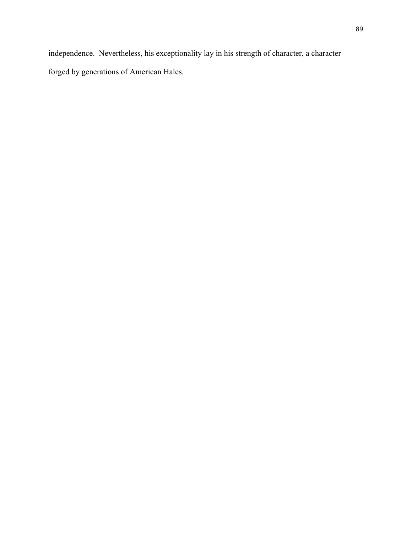independence. Nevertheless, his exceptionality lay in his strength of character, a character forged by generations of American Hales.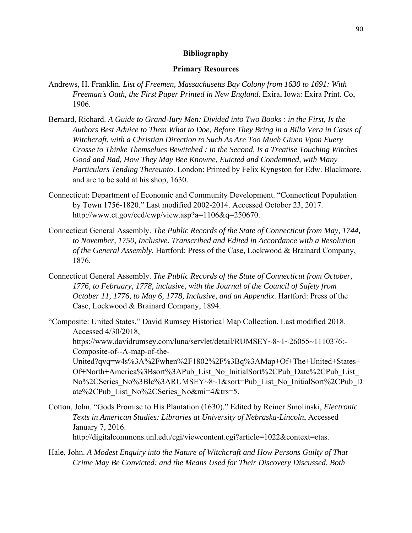#### **Bibliography**

# **Primary Resources**

- Andrews, H. Franklin. *List of Freemen, Massachusetts Bay Colony from 1630 to 1691: With Freeman's Oath, the First Paper Printed in New England*. Exira, Iowa: Exira Print. Co, 1906.
- Bernard, Richard. *A Guide to Grand-Iury Men: Divided into Two Books : in the First, Is the Authors Best Aduice to Them What to Doe, Before They Bring in a Billa Vera in Cases of Witchcraft, with a Christian Direction to Such As Are Too Much Giuen Vpon Euery Crosse to Thinke Themselues Bewitched : in the Second, Is a Treatise Touching Witches Good and Bad, How They May Bee Knowne, Euicted and Condemned, with Many Particulars Tending Thereunto*. London: Printed by Felix Kyngston for Edw. Blackmore, and are to be sold at his shop, 1630.
- Connecticut: Department of Economic and Community Development. "Connecticut Population by Town 1756-1820." Last modified 2002-2014. Accessed October 23, 2017. http://www.ct.gov/ecd/cwp/view.asp?a=1106&q=250670.
- Connecticut General Assembly. *The Public Records of the State of Connecticut from May, 1744, to November, 1750, Inclusive. Transcribed and Edited in Accordance with a Resolution of the General Assembly.* Hartford: Press of the Case, Lockwood & Brainard Company, 1876.
- Connecticut General Assembly. *The Public Records of the State of Connecticut from October, 1776, to February, 1778, inclusive, with the Journal of the Council of Safety from October 11, 1776, to May 6, 1778, Inclusive, and an Appendix*. Hartford: Press of the Case, Lockwood & Brainard Company, 1894.
- "Composite: United States." David Rumsey Historical Map Collection. Last modified 2018. Accessed 4/30/2018, https://www.davidrumsey.com/luna/servlet/detail/RUMSEY~8~1~26055~1110376:- Composite-of--A-map-of-the-

United?qvq=w4s%3A%2Fwhen%2F1802%2F%3Bq%3AMap+Of+The+United+States+ Of+North+America%3Bsort%3APub\_List\_No\_InitialSort%2CPub\_Date%2CPub\_List\_ No%2CSeries\_No%3Blc%3ARUMSEY~8~1&sort=Pub\_List\_No\_InitialSort%2CPub\_D ate%2CPub\_List\_No%2CSeries\_No&mi=4&trs=5.

- Cotton, John. "Gods Promise to His Plantation (1630)." Edited by Reiner Smolinski, *Electronic Texts in American Studies: Libraries at University of Nebraska-Lincoln*, Accessed January 7, 2016. http://digitalcommons.unl.edu/cgi/viewcontent.cgi?article=1022&context=etas.
- Hale, John. *A Modest Enquiry into the Nature of Witchcraft and How Persons Guilty of That Crime May Be Convicted: and the Means Used for Their Discovery Discussed, Both*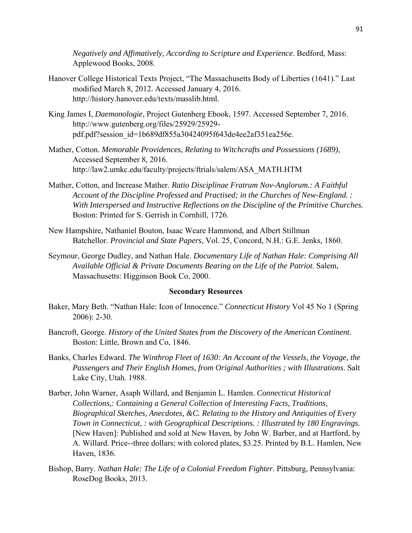*Negatively and Affimatively, According to Scripture and Experience*. Bedford, Mass: Applewood Books, 2008.

- Hanover College Historical Texts Project, "The Massachusetts Body of Liberties (1641)." Last modified March 8, 2012. Accessed January 4, 2016. http://history.hanover.edu/texts/masslib.html.
- King James I, *Daemonologie*, Project Gutenberg Ebook, 1597. Accessed September 7, 2016. http://www.gutenberg.org/files/25929/25929 pdf.pdf?session\_id=1b689df855a30424095f643de4ee2af351ea256e.
- Mather, Cotton. *Memorable Providences, Relating to Witchcrafts and Possessions (1689)*, Accessed September 8, 2016. http://law2.umkc.edu/faculty/projects/ftrials/salem/ASA\_MATH.HTM
- Mather, Cotton, and Increase Mather. *Ratio Disciplinae Fratrum Nov-Anglorum.: A Faithful Account of the Discipline Professed and Practised; in the Churches of New-England. : With Interspersed and Instructive Reflections on the Discipline of the Primitive Churches.*  Boston: Printed for S. Gerrish in Cornhill, 1726.
- New Hampshire, Nathaniel Bouton, Isaac Weare Hammond, and Albert Stillman Batchellor. *Provincial and State Papers*, Vol. 25, Concord, N.H.: G.E. Jenks, 1860.
- Seymour, George Dudley, and Nathan Hale. *Documentary Life of Nathan Hale: Comprising All Available Official & Private Documents Bearing on the Life of the Patriot*. Salem, Massachusetts: Higginson Book Co, 2000.

#### **Secondary Resources**

- Baker, Mary Beth. "Nathan Hale: Icon of Innocence." *Connecticut History* Vol 45 No 1 (Spring 2006): 2-30.
- Bancroft, George. *History of the United States from the Discovery of the American Continent*. Boston: Little, Brown and Co, 1846.
- Banks, Charles Edward. *The Winthrop Fleet of 1630: An Account of the Vessels, the Voyage, the Passengers and Their English Homes, from Original Authorities ; with Illustrations*. Salt Lake City, Utah. 1988.
- Barber, John Warner, Asaph Willard, and Benjamin L. Hamlen. *Connecticut Historical Collections,: Containing a General Collection of Interesting Facts, Traditions, Biographical Sketches, Anecdotes, &C. Relating to the History and Antiquities of Every Town in Connecticut, : with Geographical Descriptions. : Illustrated by 180 Engravings*. [New Haven]: Published and sold at New Haven, by John W. Barber, and at Hartford, by A. Willard. Price--three dollars; with colored plates, \$3.25. Printed by B.L. Hamlen, New Haven, 1836.
- Bishop, Barry. *Nathan Hale: The Life of a Colonial Freedom Fighter*. Pittsburg, Pennsylvania: RoseDog Books, 2013.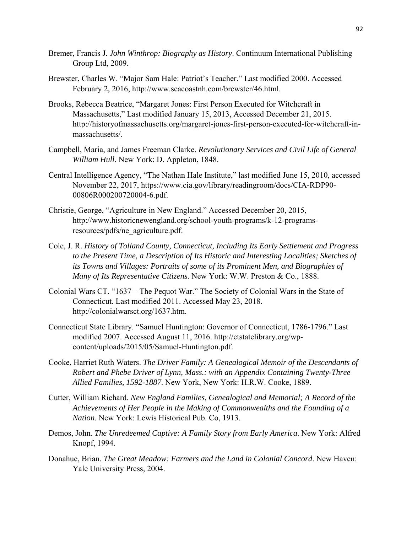- Bremer, Francis J. *John Winthrop: Biography as History*. Continuum International Publishing Group Ltd, 2009.
- Brewster, Charles W. "Major Sam Hale: Patriot's Teacher." Last modified 2000. Accessed February 2, 2016, http://www.seacoastnh.com/brewster/46.html.
- Brooks, Rebecca Beatrice, "Margaret Jones: First Person Executed for Witchcraft in Massachusetts," Last modified January 15, 2013, Accessed December 21, 2015. http://historyofmassachusetts.org/margaret-jones-first-person-executed-for-witchcraft-inmassachusetts/.
- Campbell, Maria, and James Freeman Clarke. *Revolutionary Services and Civil Life of General William Hull*. New York: D. Appleton, 1848.
- Central Intelligence Agency, "The Nathan Hale Institute," last modified June 15, 2010, accessed November 22, 2017, https://www.cia.gov/library/readingroom/docs/CIA-RDP90- 00806R000200720004-6.pdf.
- Christie, George, "Agriculture in New England." Accessed December 20, 2015, http://www.historicnewengland.org/school-youth-programs/k-12-programsresources/pdfs/ne\_agriculture.pdf.
- Cole, J. R. *History of Tolland County, Connecticut, Including Its Early Settlement and Progress to the Present Time, a Description of Its Historic and Interesting Localities; Sketches of its Towns and Villages: Portraits of some of its Prominent Men, and Biographies of Many of Its Representative Citizens*. New York: W.W. Preston & Co., 1888.
- Colonial Wars CT. "1637 The Pequot War." The Society of Colonial Wars in the State of Connecticut. Last modified 2011. Accessed May 23, 2018. http://colonialwarsct.org/1637.htm.
- Connecticut State Library. "Samuel Huntington: Governor of Connecticut, 1786-1796." Last modified 2007. Accessed August 11, 2016. http://ctstatelibrary.org/wpcontent/uploads/2015/05/Samuel-Huntington.pdf.
- Cooke, Harriet Ruth Waters. *The Driver Family: A Genealogical Memoir of the Descendants of Robert and Phebe Driver of Lynn, Mass.: with an Appendix Containing Twenty-Three Allied Families, 1592-1887*. New York, New York: H.R.W. Cooke, 1889.
- Cutter, William Richard. *New England Families, Genealogical and Memorial; A Record of the Achievements of Her People in the Making of Commonwealths and the Founding of a Nation*. New York: Lewis Historical Pub. Co, 1913.
- Demos, John. *The Unredeemed Captive: A Family Story from Early America*. New York: Alfred Knopf, 1994.
- Donahue, Brian. *The Great Meadow: Farmers and the Land in Colonial Concord*. New Haven: Yale University Press, 2004.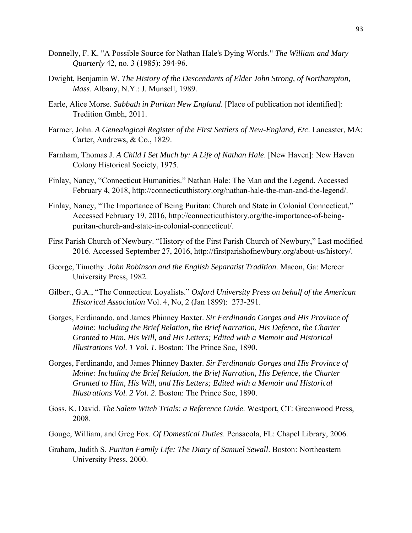- Donnelly, F. K. "A Possible Source for Nathan Hale's Dying Words." *The William and Mary Quarterly* 42, no. 3 (1985): 394-96.
- Dwight, Benjamin W. *The History of the Descendants of Elder John Strong, of Northampton, Mass*. Albany, N.Y.: J. Munsell, 1989.
- Earle, Alice Morse. *Sabbath in Puritan New England*. [Place of publication not identified]: Tredition Gmbh, 2011.
- Farmer, John. *A Genealogical Register of the First Settlers of New-England, Etc*. Lancaster, MA: Carter, Andrews, & Co., 1829.
- Farnham, Thomas J. *A Child I Set Much by: A Life of Nathan Hale*. [New Haven]: New Haven Colony Historical Society, 1975.
- Finlay, Nancy, "Connecticut Humanities." Nathan Hale: The Man and the Legend. Accessed February 4, 2018, http://connecticuthistory.org/nathan-hale-the-man-and-the-legend/.
- Finlay, Nancy, "The Importance of Being Puritan: Church and State in Colonial Connecticut," Accessed February 19, 2016, http://connecticuthistory.org/the-importance-of-beingpuritan-church-and-state-in-colonial-connecticut/.
- First Parish Church of Newbury. "History of the First Parish Church of Newbury," Last modified 2016. Accessed September 27, 2016, http://firstparishofnewbury.org/about-us/history/.
- George, Timothy. *John Robinson and the English Separatist Tradition*. Macon, Ga: Mercer University Press, 1982.
- Gilbert, G.A., "The Connecticut Loyalists." *Oxford University Press on behalf of the American Historical Association* Vol. 4, No, 2 (Jan 1899): 273-291.
- Gorges, Ferdinando, and James Phinney Baxter. *Sir Ferdinando Gorges and His Province of Maine: Including the Brief Relation, the Brief Narration, His Defence, the Charter Granted to Him, His Will, and His Letters; Edited with a Memoir and Historical Illustrations Vol. 1 Vol. 1*. Boston: The Prince Soc, 1890.
- Gorges, Ferdinando, and James Phinney Baxter. *Sir Ferdinando Gorges and His Province of Maine: Including the Brief Relation, the Brief Narration, His Defence, the Charter Granted to Him, His Will, and His Letters; Edited with a Memoir and Historical Illustrations Vol. 2 Vol. 2*. Boston: The Prince Soc, 1890.
- Goss, K. David. *The Salem Witch Trials: a Reference Guide*. Westport, CT: Greenwood Press, 2008.
- Gouge, William, and Greg Fox. *Of Domestical Duties*. Pensacola, FL: Chapel Library, 2006.
- Graham, Judith S. *Puritan Family Life: The Diary of Samuel Sewall*. Boston: Northeastern University Press, 2000.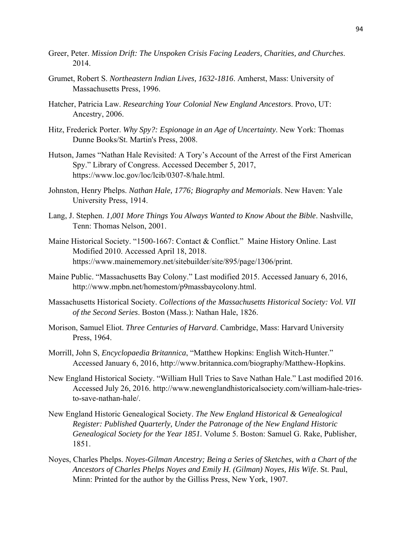- Greer, Peter. *Mission Drift: The Unspoken Crisis Facing Leaders, Charities, and Churches*. 2014.
- Grumet, Robert S. *Northeastern Indian Lives, 1632-1816*. Amherst, Mass: University of Massachusetts Press, 1996.
- Hatcher, Patricia Law. *Researching Your Colonial New England Ancestors*. Provo, UT: Ancestry, 2006.
- Hitz, Frederick Porter. *Why Spy?: Espionage in an Age of Uncertainty*. New York: Thomas Dunne Books/St. Martin's Press, 2008.
- Hutson, James "Nathan Hale Revisited: A Tory's Account of the Arrest of the First American Spy." Library of Congress. Accessed December 5, 2017, https://www.loc.gov/loc/lcib/0307-8/hale.html.
- Johnston, Henry Phelps. *Nathan Hale, 1776; Biography and Memorials*. New Haven: Yale University Press, 1914.
- Lang, J. Stephen. *1,001 More Things You Always Wanted to Know About the Bible*. Nashville, Tenn: Thomas Nelson, 2001.
- Maine Historical Society. "1500-1667: Contact & Conflict." Maine History Online. Last Modified 2010. Accessed April 18, 2018. https://www.mainememory.net/sitebuilder/site/895/page/1306/print.
- Maine Public. "Massachusetts Bay Colony." Last modified 2015. Accessed January 6, 2016, http://www.mpbn.net/homestom/p9massbaycolony.html.
- Massachusetts Historical Society. *Collections of the Massachusetts Historical Society: Vol. VII of the Second Series*. Boston (Mass.): Nathan Hale, 1826.
- Morison, Samuel Eliot. *Three Centuries of Harvard*. Cambridge, Mass: Harvard University Press, 1964.
- Morrill, John S, *Encyclopaedia Britannica*, "Matthew Hopkins: English Witch-Hunter." Accessed January 6, 2016, http://www.britannica.com/biography/Matthew-Hopkins.
- New England Historical Society. "William Hull Tries to Save Nathan Hale." Last modified 2016. Accessed July 26, 2016. http://www.newenglandhistoricalsociety.com/william-hale-triesto-save-nathan-hale/.
- New England Historic Genealogical Society. *The New England Historical & Genealogical Register: Published Quarterly, Under the Patronage of the New England Historic Genealogical Society for the Year 1851.* Volume 5. Boston: Samuel G. Rake, Publisher, 1851.
- Noyes, Charles Phelps. *Noyes-Gilman Ancestry; Being a Series of Sketches, with a Chart of the Ancestors of Charles Phelps Noyes and Emily H. (Gilman) Noyes, His Wife*. St. Paul, Minn: Printed for the author by the Gilliss Press, New York, 1907.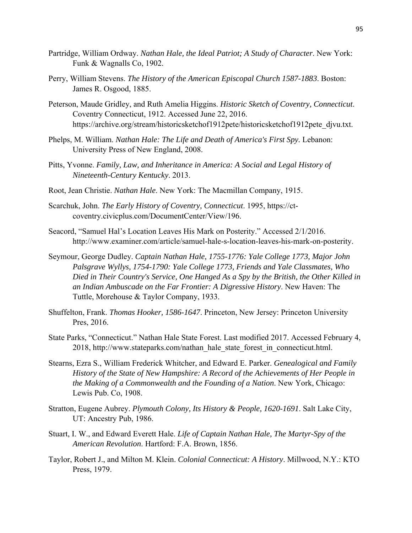- Partridge, William Ordway. *Nathan Hale, the Ideal Patriot; A Study of Character*. New York: Funk & Wagnalls Co, 1902.
- Perry, William Stevens. *The History of the American Episcopal Church 1587-1883*. Boston: James R. Osgood, 1885.
- Peterson, Maude Gridley, and Ruth Amelia Higgins. *Historic Sketch of Coventry, Connecticut*. Coventry Connecticut, 1912. Accessed June 22, 2016. https://archive.org/stream/historicsketchof1912pete/historicsketchof1912pete\_djvu.txt.
- Phelps, M. William. *Nathan Hale: The Life and Death of America's First Spy.* Lebanon: University Press of New England, 2008.
- Pitts, Yvonne. *Family, Law, and Inheritance in America: A Social and Legal History of Nineteenth-Century Kentucky*. 2013.
- Root, Jean Christie. *Nathan Hale*. New York: The Macmillan Company, 1915.
- Scarchuk, John. *The Early History of Coventry, Connecticut*. 1995, https://ctcoventry.civicplus.com/DocumentCenter/View/196.
- Seacord, "Samuel Hal's Location Leaves His Mark on Posterity." Accessed 2/1/2016. http://www.examiner.com/article/samuel-hale-s-location-leaves-his-mark-on-posterity.
- Seymour, George Dudley. *Captain Nathan Hale, 1755-1776: Yale College 1773, Major John Palsgrave Wyllys, 1754-1790: Yale College 1773, Friends and Yale Classmates, Who Died in Their Country's Service, One Hanged As a Spy by the British, the Other Killed in an Indian Ambuscade on the Far Frontier: A Digressive History*. New Haven: The Tuttle, Morehouse & Taylor Company, 1933.
- Shuffelton, Frank. *Thomas Hooker, 1586-1647*. Princeton, New Jersey: Princeton University Pres, 2016.
- State Parks, "Connecticut." Nathan Hale State Forest. Last modified 2017. Accessed February 4, 2018, http://www.stateparks.com/nathan\_hale\_state\_forest\_in\_connecticut.html.
- Stearns, Ezra S., William Frederick Whitcher, and Edward E. Parker. *Genealogical and Family History of the State of New Hampshire: A Record of the Achievements of Her People in the Making of a Commonwealth and the Founding of a Nation*. New York, Chicago: Lewis Pub. Co, 1908.
- Stratton, Eugene Aubrey. *Plymouth Colony, Its History & People, 1620-1691*. Salt Lake City, UT: Ancestry Pub, 1986.
- Stuart, I. W., and Edward Everett Hale. *Life of Captain Nathan Hale, The Martyr-Spy of the American Revolution*. Hartford: F.A. Brown, 1856.
- Taylor, Robert J., and Milton M. Klein. *Colonial Connecticut: A History*. Millwood, N.Y.: KTO Press, 1979.